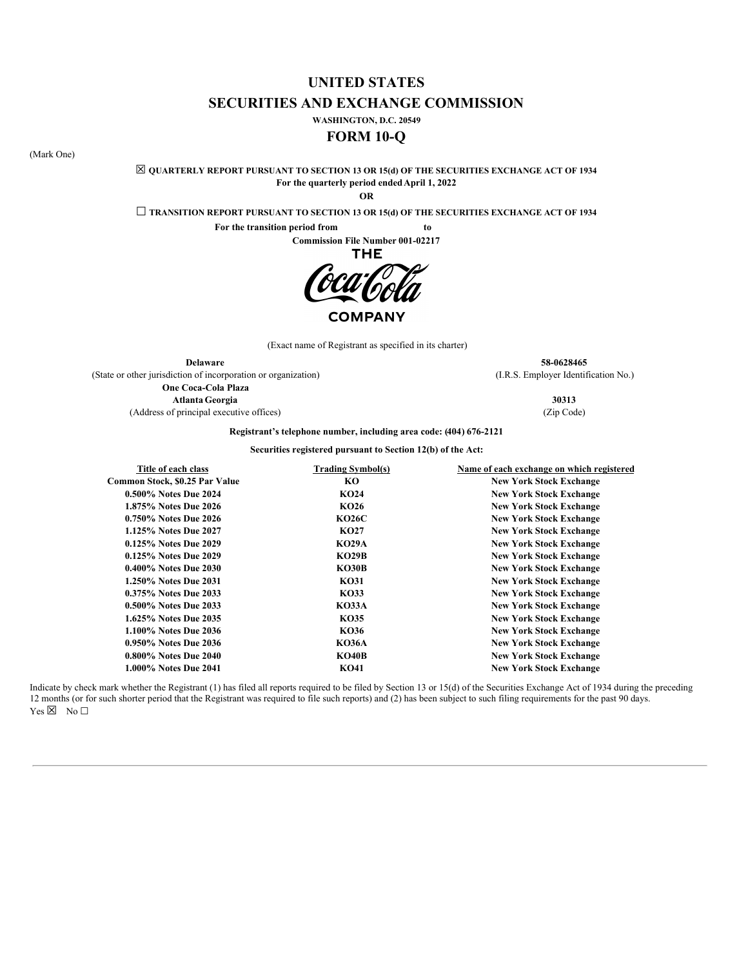# **UNITED STATES SECURITIES AND EXCHANGE COMMISSION WASHINGTON, D.C. 20549**

# **FORM 10-Q**

(Mark One)

☒ **QUARTERLY REPORT PURSUANT TO SECTION 13 OR 15(d) OF THE SECURITIES EXCHANGE ACT OF 1934 For the quarterly period endedApril 1, 2022**

**OR**

☐ **TRANSITION REPORT PURSUANT TO SECTION 13 OR 15(d) OF THE SECURITIES EXCHANGE ACT OF 1934**

**For the transition period from to**

**Commission File Number 001-02217**



(Exact name of Registrant as specified in its charter)

**Delaware 58-0628465** (State or other jurisdiction of incorporation or organization) (I.R.S. Employer Identification No.)

**One Coca-Cola Plaza Atlanta Georgia 30313**

(Address of principal executive offices) (Zip Code)

**Registrant's telephone number, including area code: (404) 676-2121**

## **Securities registered pursuant to Section 12(b) of the Act:**

| Title of each class            | <b>Trading Symbol(s)</b> | Name of each exchange on which registered |
|--------------------------------|--------------------------|-------------------------------------------|
| Common Stock, \$0.25 Par Value | KO                       | <b>New York Stock Exchange</b>            |
| 0.500% Notes Due 2024          | <b>KO24</b>              | <b>New York Stock Exchange</b>            |
| <b>1.875% Notes Due 2026</b>   | KO26                     | <b>New York Stock Exchange</b>            |
| 0.750% Notes Due 2026          | <b>KO26C</b>             | <b>New York Stock Exchange</b>            |
| 1.125% Notes Due 2027          | KO27                     | <b>New York Stock Exchange</b>            |
| 0.125% Notes Due 2029          | <b>KO29A</b>             | <b>New York Stock Exchange</b>            |
| 0.125% Notes Due 2029          | <b>KO29B</b>             | <b>New York Stock Exchange</b>            |
| 0.400% Notes Due 2030          | <b>KO30B</b>             | <b>New York Stock Exchange</b>            |
| <b>1.250% Notes Due 2031</b>   | <b>KO31</b>              | <b>New York Stock Exchange</b>            |
| 0.375% Notes Due 2033          | KO33                     | <b>New York Stock Exchange</b>            |
| 0.500% Notes Due 2033          | <b>KO33A</b>             | <b>New York Stock Exchange</b>            |
| <b>1.625% Notes Due 2035</b>   | KO35                     | <b>New York Stock Exchange</b>            |
| <b>1.100% Notes Due 2036</b>   | KO36                     | <b>New York Stock Exchange</b>            |
| 0.950% Notes Due 2036          | KO36A                    | <b>New York Stock Exchange</b>            |
| 0.800% Notes Due 2040          | KO40B                    | <b>New York Stock Exchange</b>            |
| <b>1.000% Notes Due 2041</b>   | <b>KO41</b>              | <b>New York Stock Exchange</b>            |

Indicate by check mark whether the Registrant (1) has filed all reports required to be filed by Section 13 or 15(d) of the Securities Exchange Act of 1934 during the preceding 12 months (or for such shorter period that the Registrant was required to file such reports) and (2) has been subject to such filing requirements for the past 90 days.  $Yes \boxtimes$  No  $\square$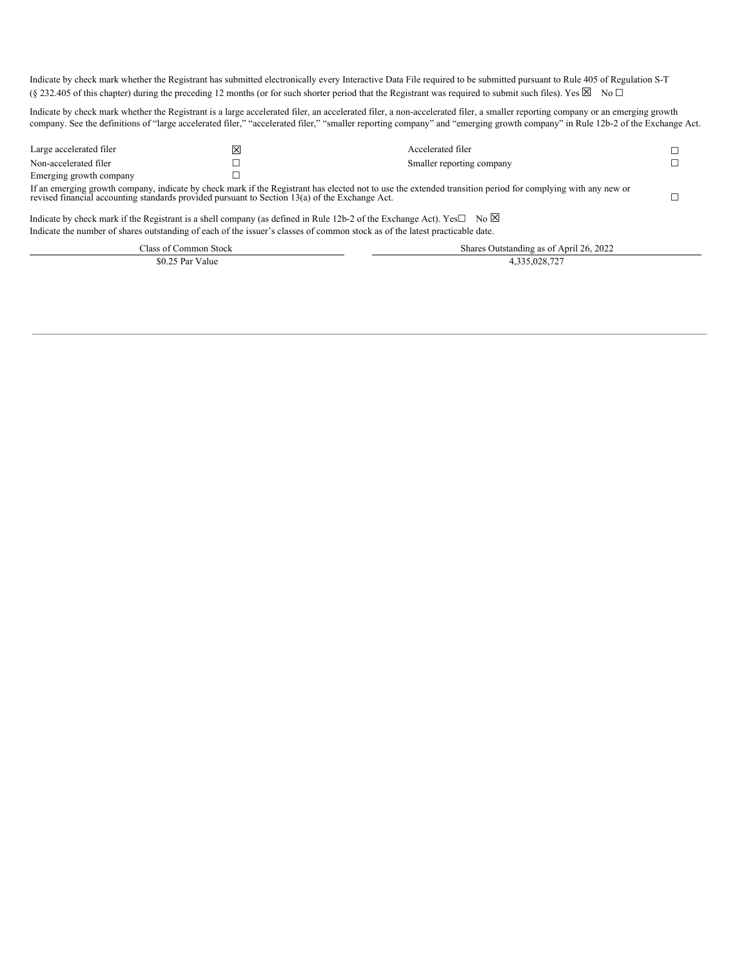Indicate by check mark whether the Registrant has submitted electronically every Interactive Data File required to be submitted pursuant to Rule 405 of Regulation S-T (§ 232.405 of this chapter) during the preceding 12 months (or for such shorter period that the Registrant was required to submit such files). Yes  $\boxtimes$  No  $\square$ 

Indicate by check mark whether the Registrant is a large accelerated filer, an accelerated filer, a non-accelerated filer, a smaller reporting company or an emerging growth company. See the definitions of "large accelerated filer," "accelerated filer," "smaller reporting company" and "emerging growth company" in Rule 12b-2 of the Exchange Act.

| Large accelerated filer                                                                                                                                                                                                                                               | ⊠ | Accelerated filer         |  |
|-----------------------------------------------------------------------------------------------------------------------------------------------------------------------------------------------------------------------------------------------------------------------|---|---------------------------|--|
| Non-accelerated filer                                                                                                                                                                                                                                                 |   | Smaller reporting company |  |
| Emerging growth company                                                                                                                                                                                                                                               |   |                           |  |
| If an emerging growth company, indicate by check mark if the Registrant has elected not to use the extended transition period for complying with any new or<br>revised financial accounting standards provided pursuant to Section 13(a) of the Exchange Act.         |   |                           |  |
| Indicate by check mark if the Registrant is a shell company (as defined in Rule 12b-2 of the Exchange Act). Yes $\Box$ No $\boxtimes$<br>Indicate the number of shares outstanding of each of the issuer's classes of common stock as of the latest practicable date. |   |                           |  |

| e e s<br>Class of Common Stock | Shares Outstanding as of April 26, 2022 |
|--------------------------------|-----------------------------------------|
| \$0.25 Par Value               | 4,335,028,727                           |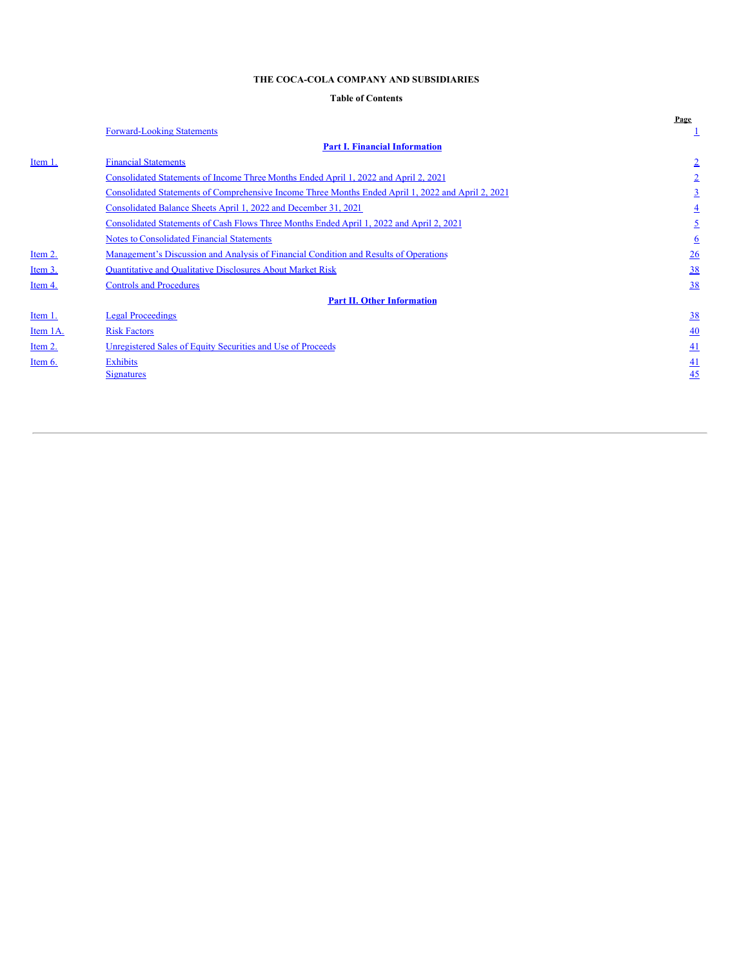# **THE COCA-COLA COMPANY AND SUBSIDIARIES**

# **Table of Contents**

<span id="page-2-0"></span>

|          |                                                                                                    | Page           |
|----------|----------------------------------------------------------------------------------------------------|----------------|
|          | <b>Forward-Looking Statements</b>                                                                  |                |
|          | <b>Part I. Financial Information</b>                                                               |                |
| Item 1.  | <b>Financial Statements</b>                                                                        | $\overline{2}$ |
|          | Consolidated Statements of Income Three Months Ended April 1, 2022 and April 2, 2021               | $\overline{2}$ |
|          | Consolidated Statements of Comprehensive Income Three Months Ended April 1, 2022 and April 2, 2021 | <u>3</u>       |
|          | Consolidated Balance Sheets April 1, 2022 and December 31, 2021                                    | $\overline{4}$ |
|          | Consolidated Statements of Cash Flows Three Months Ended April 1, 2022 and April 2, 2021           | <u>5</u>       |
|          | <b>Notes to Consolidated Financial Statements</b>                                                  | <u>6</u>       |
| Item 2.  | Management's Discussion and Analysis of Financial Condition and Results of Operations              | 26             |
| Item 3.  | Quantitative and Qualitative Disclosures About Market Risk                                         | <u>38</u>      |
| Item 4.  | <b>Controls and Procedures</b>                                                                     | 38             |
|          | <b>Part II. Other Information</b>                                                                  |                |
| Item 1.  | <b>Legal Proceedings</b>                                                                           | <u>38</u>      |
| Item 1A. | <b>Risk Factors</b>                                                                                | 40             |
| Item 2.  | Unregistered Sales of Equity Securities and Use of Proceeds                                        | 41             |
| Item 6.  | Exhibits                                                                                           | 41             |
|          | <b>Signatures</b>                                                                                  | 45             |
|          |                                                                                                    |                |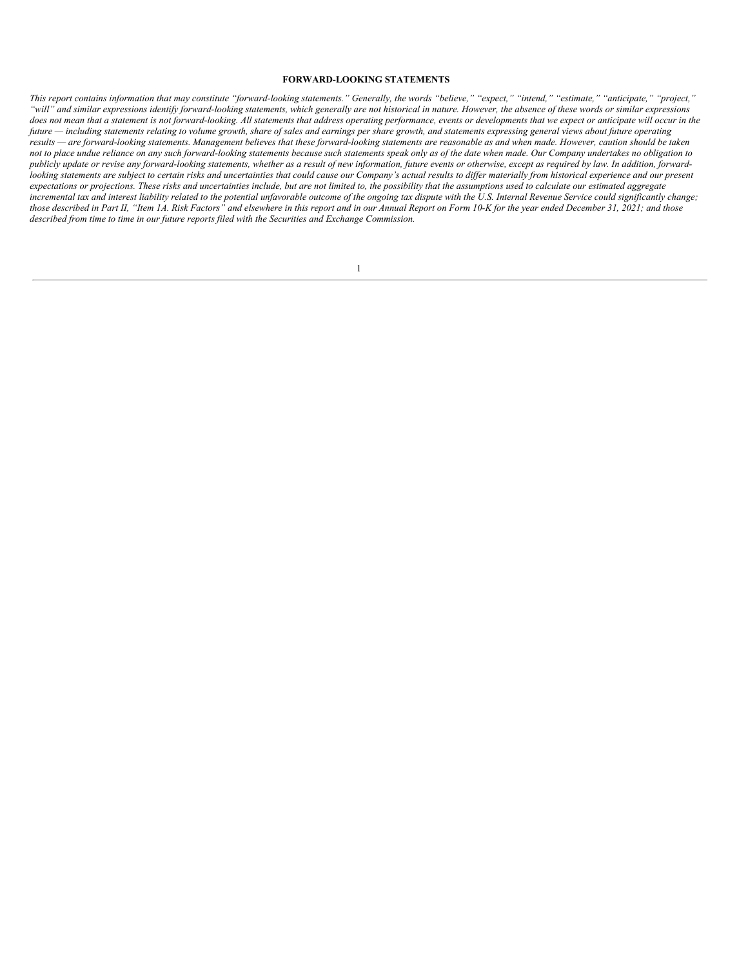#### **FORWARD-LOOKING STATEMENTS**

<span id="page-3-0"></span>This report contains information that may constitute "forward-looking statements." Generally, the words "believe," "expect," "intend," "estimate," "anticipate," "project," "will" and similar expressions identify forward-looking statements, which generally are not historical in nature. However, the absence of these words or similar expressions does not mean that a statement is not forward-looking. All statements that address operating performance, events or developments that we expect or anticipate will occur in the future - including statements relating to volume growth, share of sales and earnings per share growth, and statements expressing general views about future operating results — are forward-looking statements. Management believes that these forward-looking statements are reasonable as and when made. However, caution should be taken not to place undue reliance on any such forward-looking statements because such statements speak only as of the date when made. Our Company undertakes no obligation to publicly update or revise any forward-looking statements, whether as a result of new information, future events or otherwise, except as required by law. In addition, forward-.<br>looking statements are subject to certain risks and uncertainties that could cause our Company's actual results to differ materially from historical experience and our present expectations or projections. These risks and uncertainties include, but are not limited to, the possibility that the assumptions used to calculate our estimated aggregate incremental tax and interest liability related to the potential unfavorable outcome of the ongoing tax dispute with the U.S. Internal Revenue Service could significantly change; those described in Part II, "Item 1A. Risk Factors" and elsewhere in this report and in our Annual Report on Form 10-K for the year ended December 31, 2021; and those *described from time to time in our future reports filed with the Securities and Exchange Commission.*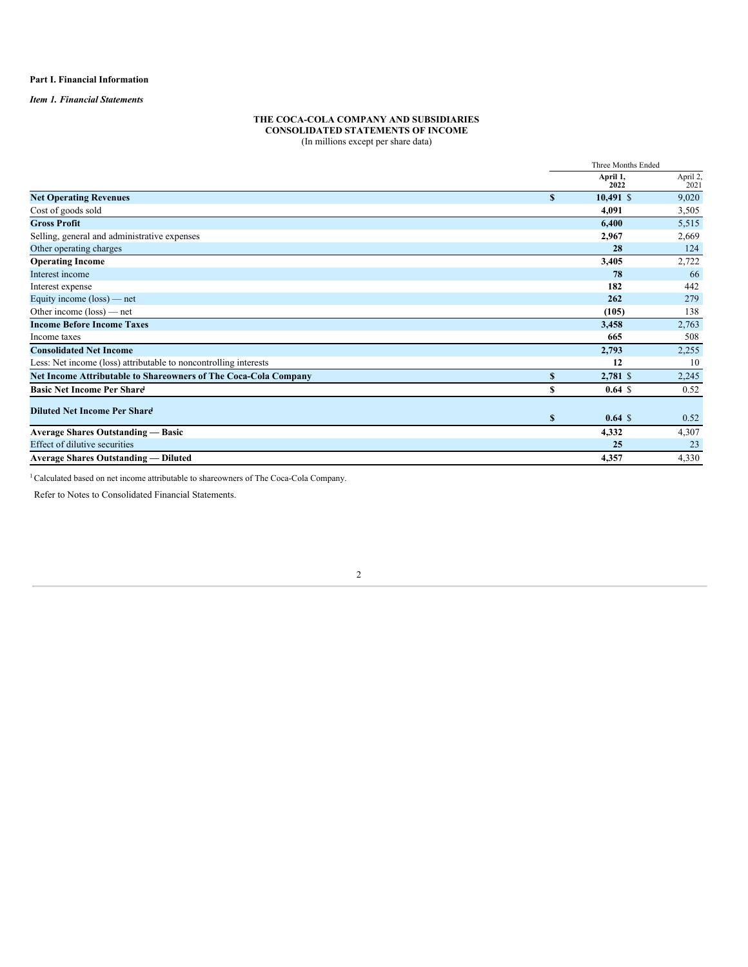<span id="page-4-1"></span><span id="page-4-0"></span>*Item 1. Financial Statements*

#### **THE COCA-COLA COMPANY AND SUBSIDIARIES CONSOLIDATED STATEMENTS OF INCOME** (In millions except per share data)

|                                                                  |              | Three Months Ended |                  |
|------------------------------------------------------------------|--------------|--------------------|------------------|
|                                                                  |              | April 1,<br>2022   | April 2,<br>2021 |
| <b>Net Operating Revenues</b>                                    | S            | $10,491$ \$        | 9,020            |
| Cost of goods sold                                               |              | 4,091              | 3,505            |
| <b>Gross Profit</b>                                              |              | 6,400              | 5,515            |
| Selling, general and administrative expenses                     |              | 2,967              | 2,669            |
| Other operating charges                                          |              | 28                 | 124              |
| <b>Operating Income</b>                                          |              | 3,405              | 2,722            |
| Interest income                                                  |              | 78                 | 66               |
| Interest expense                                                 |              | 182                | 442              |
| Equity income (loss) — net                                       |              | 262                | 279              |
| Other income $(\text{loss})$ — net                               |              | (105)              | 138              |
| <b>Income Before Income Taxes</b>                                |              | 3,458              | 2,763            |
| Income taxes                                                     |              | 665                | 508              |
| <b>Consolidated Net Income</b>                                   |              | 2,793              | 2,255            |
| Less: Net income (loss) attributable to noncontrolling interests |              | 12                 | 10               |
| Net Income Attributable to Shareowners of The Coca-Cola Company  | $\mathbf{s}$ | $2,781$ \$         | 2,245            |
| <b>Basic Net Income Per Share</b>                                | \$           | $0.64~\text{\AA}$  | 0.52             |
| <b>Diluted Net Income Per Share</b>                              |              |                    |                  |
|                                                                  | \$           | $0.64~\text{\AA}$  | 0.52             |
| <b>Average Shares Outstanding — Basic</b>                        |              | 4,332              | 4,307            |
| Effect of dilutive securities                                    |              | 25                 | 23               |
| <b>Average Shares Outstanding — Diluted</b>                      |              | 4,357              | 4,330            |

<sup>1</sup> Calculated based on net income attributable to shareowners of The Coca-Cola Company.

<span id="page-4-2"></span>Refer to Notes to Consolidated Financial Statements.

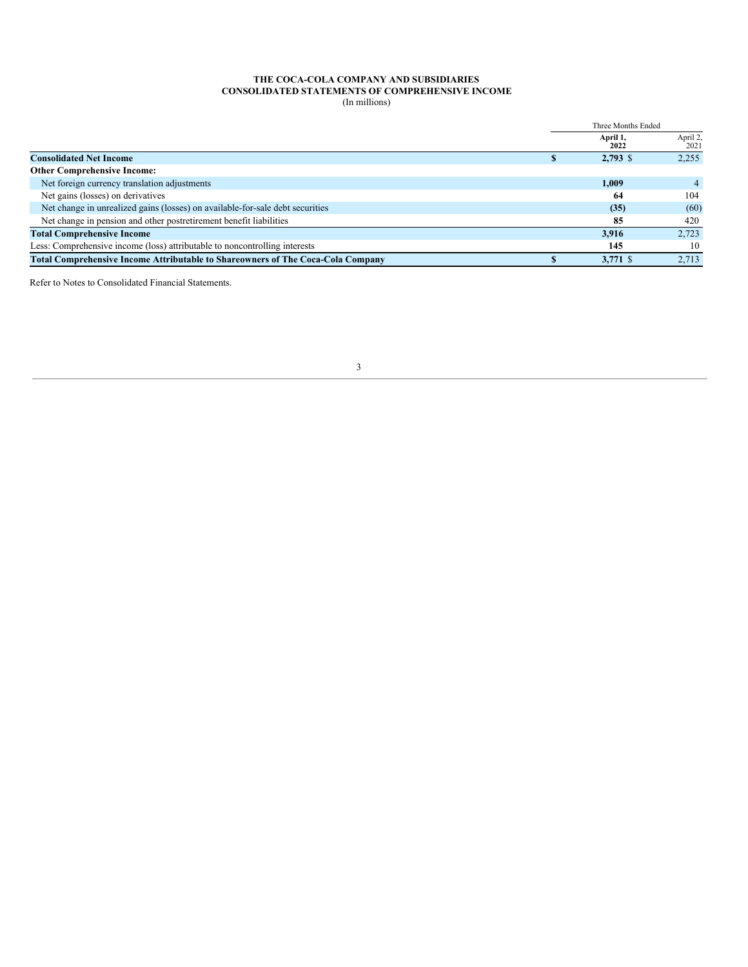# **THE COCA-COLA COMPANY AND SUBSIDIARIES CONSOLIDATED STATEMENTS OF COMPREHENSIVE INCOME**

(In millions)

|                                                                                        | Three Months Ended |                  |                  |
|----------------------------------------------------------------------------------------|--------------------|------------------|------------------|
|                                                                                        |                    | April 1.<br>2022 | April 2,<br>2021 |
| <b>Consolidated Net Income</b>                                                         |                    | $2,793$ \$       | 2,255            |
| <b>Other Comprehensive Income:</b>                                                     |                    |                  |                  |
| Net foreign currency translation adjustments                                           |                    | 1,009            | 4                |
| Net gains (losses) on derivatives                                                      |                    | 64               | 104              |
| Net change in unrealized gains (losses) on available-for-sale debt securities          |                    | (35)             | (60)             |
| Net change in pension and other postretirement benefit liabilities                     |                    | 85               | 420              |
| <b>Total Comprehensive Income</b>                                                      |                    | 3,916            | 2.723            |
| Less: Comprehensive income (loss) attributable to noncontrolling interests             |                    | 145              | 10               |
| <b>Total Comprehensive Income Attributable to Shareowners of The Coca-Cola Company</b> |                    | $3,771$ \$       | 2,713            |

<span id="page-5-0"></span>Refer to Notes to Consolidated Financial Statements.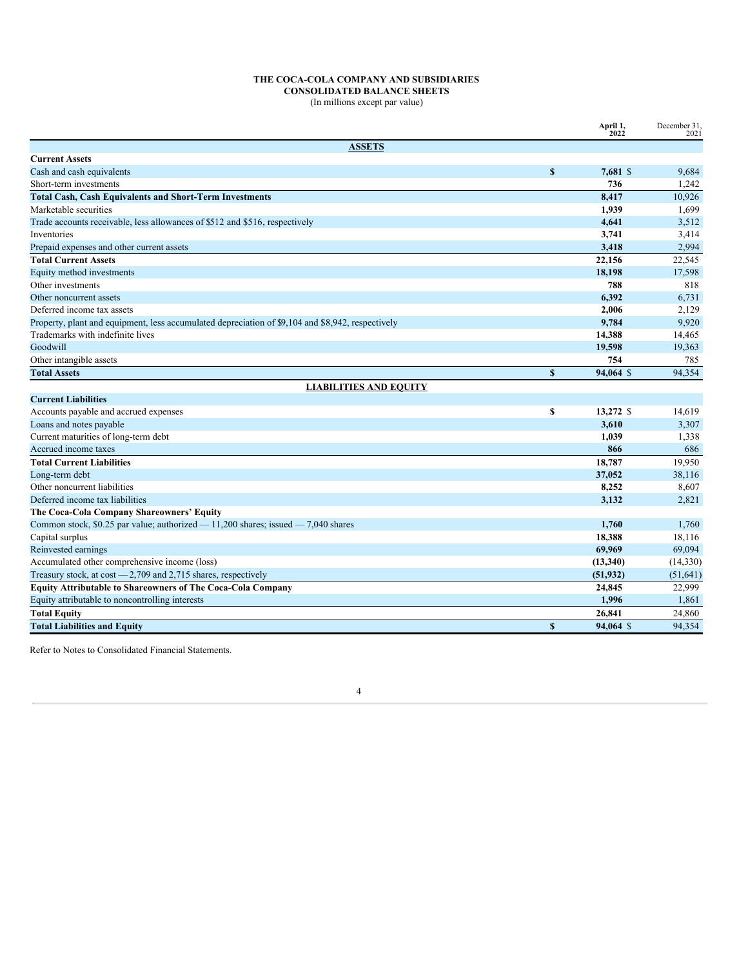# **THE COCA-COLA COMPANY AND SUBSIDIARIES CONSOLIDATED BALANCE SHEETS**

(In millions except par value)

|                                                                                                   |              | April 1,<br>2022 | December 31.<br>2021 |
|---------------------------------------------------------------------------------------------------|--------------|------------------|----------------------|
| <b>ASSETS</b>                                                                                     |              |                  |                      |
| <b>Current Assets</b>                                                                             |              |                  |                      |
| Cash and cash equivalents                                                                         | S            | 7.681S           | 9.684                |
| Short-term investments                                                                            |              | 736              | 1,242                |
| <b>Total Cash, Cash Equivalents and Short-Term Investments</b>                                    |              | 8.417            | 10.926               |
| Marketable securities                                                                             |              | 1,939            | 1,699                |
| Trade accounts receivable, less allowances of \$512 and \$516, respectively                       |              | 4,641            | 3,512                |
| Inventories                                                                                       |              | 3,741            | 3,414                |
| Prepaid expenses and other current assets                                                         |              | 3,418            | 2,994                |
| <b>Total Current Assets</b>                                                                       |              | 22,156           | 22,545               |
| Equity method investments                                                                         |              | 18,198           | 17,598               |
| Other investments                                                                                 |              | 788              | 818                  |
| Other noncurrent assets                                                                           |              | 6,392            | 6,731                |
| Deferred income tax assets                                                                        |              | 2,006            | 2,129                |
| Property, plant and equipment, less accumulated depreciation of \$9,104 and \$8,942, respectively |              | 9,784            | 9.920                |
| Trademarks with indefinite lives                                                                  |              | 14,388           | 14,465               |
| Goodwill                                                                                          |              | 19,598           | 19,363               |
| Other intangible assets                                                                           |              | 754              | 785                  |
| <b>Total Assets</b>                                                                               | $\mathbf{s}$ | 94.064 \$        | 94.354               |
| <b>LIABILITIES AND EQUITY</b>                                                                     |              |                  |                      |
| <b>Current Liabilities</b>                                                                        |              |                  |                      |
| Accounts payable and accrued expenses                                                             | S            | 13,272 \$        | 14,619               |
| Loans and notes payable                                                                           |              | 3.610            | 3,307                |
| Current maturities of long-term debt                                                              |              | 1,039            | 1,338                |
| Accrued income taxes                                                                              |              | 866              | 686                  |
| <b>Total Current Liabilities</b>                                                                  |              | 18,787           | 19,950               |
| Long-term debt                                                                                    |              | 37,052           | 38,116               |
| Other noncurrent liabilities                                                                      |              | 8,252            | 8,607                |
| Deferred income tax liabilities                                                                   |              | 3,132            | 2.821                |
| The Coca-Cola Company Shareowners' Equity                                                         |              |                  |                      |
| Common stock, \$0.25 par value; authorized $-11,200$ shares; issued $-7,040$ shares               |              | 1,760            | 1,760                |
| Capital surplus                                                                                   |              | 18,388           | 18,116               |
| Reinvested earnings                                                                               |              | 69,969           | 69.094               |
| Accumulated other comprehensive income (loss)                                                     |              | (13,340)         | (14, 330)            |
| Treasury stock, at $\cos\theta$ - 2,709 and 2,715 shares, respectively                            |              | (51, 932)        | (51, 641)            |
| <b>Equity Attributable to Shareowners of The Coca-Cola Company</b>                                |              | 24,845           | 22,999               |
| Equity attributable to noncontrolling interests                                                   |              | 1,996            | 1,861                |
| <b>Total Equity</b>                                                                               |              | 26,841           | 24,860               |
| <b>Total Liabilities and Equity</b>                                                               | $\mathbf S$  | 94,064 \$        | 94.354               |

<span id="page-6-0"></span>Refer to Notes to Consolidated Financial Statements.

# 4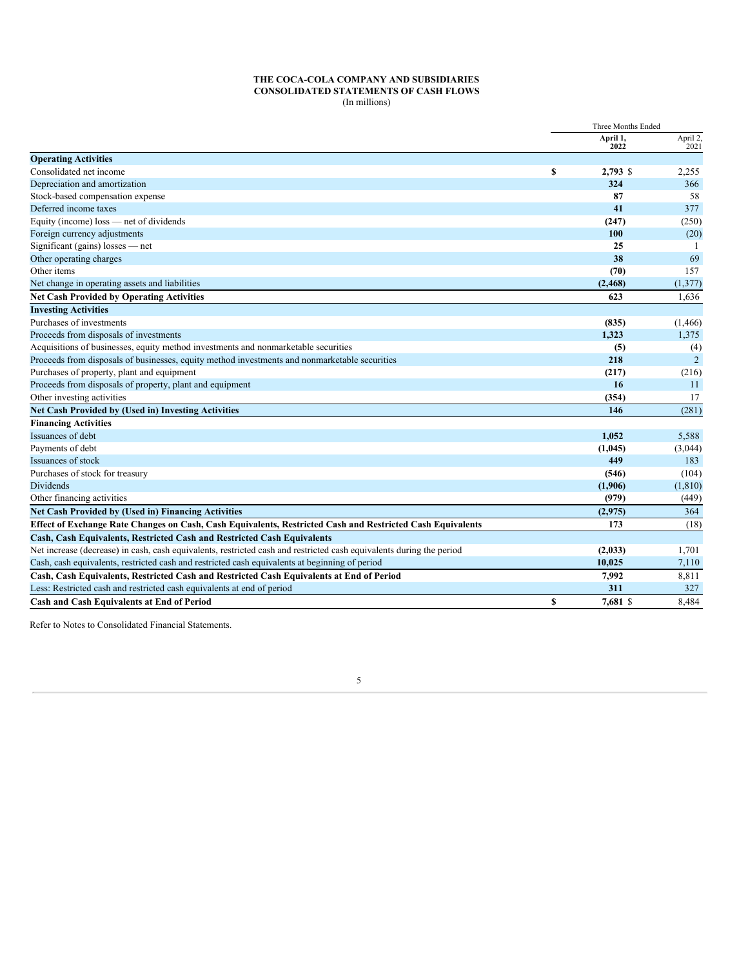#### **THE COCA-COLA COMPANY AND SUBSIDIARIES CONSOLIDATED STATEMENTS OF CASH FLOWS** (In millions)

|                                                                                                                      | Three Months Ended |                  |  |
|----------------------------------------------------------------------------------------------------------------------|--------------------|------------------|--|
|                                                                                                                      | April 1,<br>2022   | April 2,<br>2021 |  |
| <b>Operating Activities</b>                                                                                          |                    |                  |  |
| Consolidated net income                                                                                              | \$<br>2,793 \$     | 2,255            |  |
| Depreciation and amortization                                                                                        | 324                | 366              |  |
| Stock-based compensation expense                                                                                     | 87                 | 58               |  |
| Deferred income taxes                                                                                                | 41                 | 377              |  |
| Equity (income) loss — net of dividends                                                                              | (247)              | (250)            |  |
| Foreign currency adjustments                                                                                         | <b>100</b>         | (20)             |  |
| Significant (gains) losses — net                                                                                     | 25                 |                  |  |
| Other operating charges                                                                                              | 38                 | 69               |  |
| Other items                                                                                                          | (70)               | 157              |  |
| Net change in operating assets and liabilities                                                                       | (2, 468)           | (1, 377)         |  |
| <b>Net Cash Provided by Operating Activities</b>                                                                     | 623                | 1,636            |  |
| <b>Investing Activities</b>                                                                                          |                    |                  |  |
| Purchases of investments                                                                                             | (835)              | (1, 466)         |  |
| Proceeds from disposals of investments                                                                               | 1,323              | 1,375            |  |
| Acquisitions of businesses, equity method investments and nonmarketable securities                                   | (5)                | (4)              |  |
| Proceeds from disposals of businesses, equity method investments and nonmarketable securities                        | 218                | 2                |  |
| Purchases of property, plant and equipment                                                                           | (217)              | (216)            |  |
| Proceeds from disposals of property, plant and equipment                                                             | 16                 | 11               |  |
| Other investing activities                                                                                           | (354)              | 17               |  |
| Net Cash Provided by (Used in) Investing Activities                                                                  | 146                | (281)            |  |
| <b>Financing Activities</b>                                                                                          |                    |                  |  |
| Issuances of debt                                                                                                    | 1,052              | 5,588            |  |
| Payments of debt                                                                                                     | (1,045)            | (3,044)          |  |
| Issuances of stock                                                                                                   | 449                | 183              |  |
| Purchases of stock for treasury                                                                                      | (546)              | (104)            |  |
| Dividends                                                                                                            | (1,906)            | (1, 810)         |  |
| Other financing activities                                                                                           | (979)              | (449)            |  |
| <b>Net Cash Provided by (Used in) Financing Activities</b>                                                           | (2,975)            | 364              |  |
| Effect of Exchange Rate Changes on Cash, Cash Equivalents, Restricted Cash and Restricted Cash Equivalents           | 173                | (18)             |  |
| Cash, Cash Equivalents, Restricted Cash and Restricted Cash Equivalents                                              |                    |                  |  |
| Net increase (decrease) in cash, cash equivalents, restricted cash and restricted cash equivalents during the period | (2,033)            | 1,701            |  |
| Cash, cash equivalents, restricted cash and restricted cash equivalents at beginning of period                       | 10,025             | 7,110            |  |
| Cash, Cash Equivalents, Restricted Cash and Restricted Cash Equivalents at End of Period                             | 7,992              | 8,811            |  |
| Less: Restricted cash and restricted cash equivalents at end of period                                               | 311                | 327              |  |
| <b>Cash and Cash Equivalents at End of Period</b>                                                                    | \$<br>7.681 \$     | 8.484            |  |

Refer to Notes to Consolidated Financial Statements.

5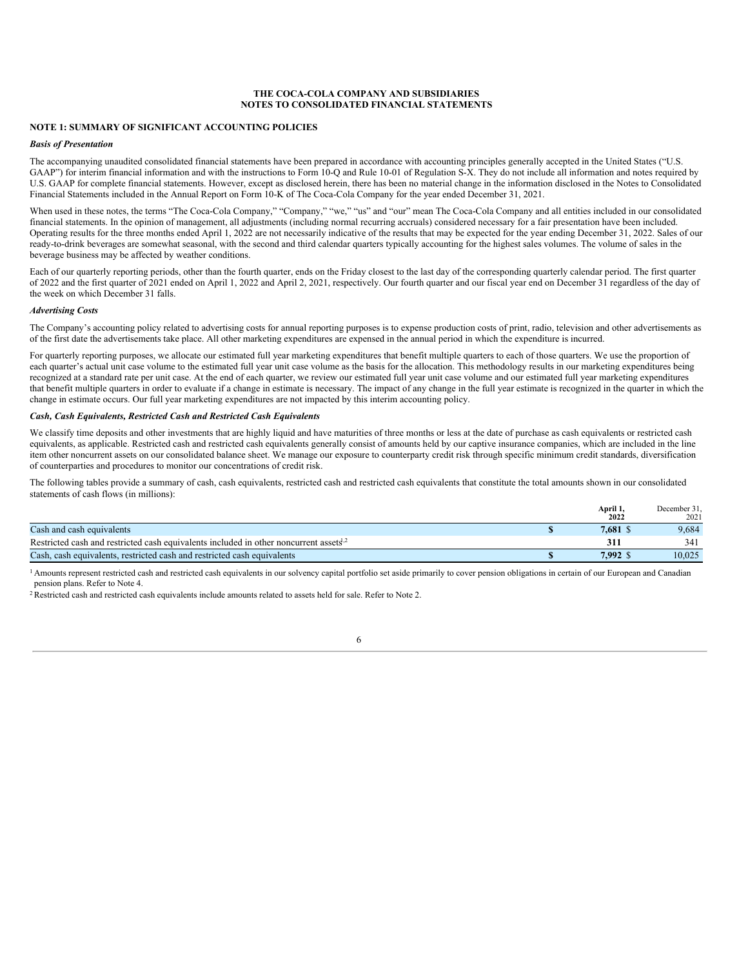## **THE COCA-COLA COMPANY AND SUBSIDIARIES NOTES TO CONSOLIDATED FINANCIAL STATEMENTS**

## <span id="page-8-0"></span>**NOTE 1: SUMMARY OF SIGNIFICANT ACCOUNTING POLICIES**

#### *Basis of Presentation*

The accompanying unaudited consolidated financial statements have been prepared in accordance with accounting principles generally accepted in the United States ("U.S. GAAP") for interim financial information and with the instructions to Form 10-Q and Rule 10-01 of Regulation S-X. They do not include all information and notes required by U.S. GAAP for complete financial statements. However, except as disclosed herein, there has been no material change in the information disclosed in the Notes to Consolidated Financial Statements included in the Annual Report on Form 10-K of The Coca-Cola Company for the year ended December 31, 2021.

When used in these notes, the terms "The Coca-Cola Company," "Company," "we," "us" and "our" mean The Coca-Cola Company and all entities included in our consolidated financial statements. In the opinion of management, all adjustments (including normal recurring accruals) considered necessary for a fair presentation have been included. Operating results for the three months ended April 1, 2022 are not necessarily indicative of the results that may be expected for the year ending December 31, 2022. Sales of our ready-to-drink beverages are somewhat seasonal, with the second and third calendar quarters typically accounting for the highest sales volumes. The volume of sales in the beverage business may be affected by weather conditions.

Each of our quarterly reporting periods, other than the fourth quarter, ends on the Friday closest to the last day of the corresponding quarterly calendar period. The first quarter of 2022 and the first quarter of 2021 ended on April 1, 2022 and April 2, 2021, respectively. Our fourth quarter and our fiscal year end on December 31 regardless of the day of the week on which December 31 falls.

#### *Advertising Costs*

The Company's accounting policy related to advertising costs for annual reporting purposes is to expense production costs of print, radio, television and other advertisements as of the first date the advertisements take place. All other marketing expenditures are expensed in the annual period in which the expenditure is incurred.

For quarterly reporting purposes, we allocate our estimated full year marketing expenditures that benefit multiple quarters to each of those quarters. We use the proportion of each quarter's actual unit case volume to the estimated full year unit case volume as the basis for the allocation. This methodology results in our marketing expenditures being recognized at a standard rate per unit case. At the end of each quarter, we review our estimated full year unit case volume and our estimated full year marketing expenditures that benefit multiple quarters in order to evaluate if a change in estimate is necessary. The impact of any change in the full year estimate is recognized in the quarter in which the change in estimate occurs. Our full year marketing expenditures are not impacted by this interim accounting policy.

## *Cash, Cash Equivalents, Restricted Cash and Restricted Cash Equivalents*

We classify time deposits and other investments that are highly liquid and have maturities of three months or less at the date of purchase as cash equivalents or restricted cash equivalents, as applicable. Restricted cash and restricted cash equivalents generally consist of amounts held by our captive insurance companies, which are included in the line item other noncurrent assets on our consolidated balance sheet. We manage our exposure to counterparty credit risk through specific minimum credit standards, diversification of counterparties and procedures to monitor our concentrations of credit risk.

The following tables provide a summary of cash, cash equivalents, restricted cash and restricted cash equivalents that constitute the total amounts shown in our consolidated statements of cash flows (in millions):

|                                                                                                   | April 1.<br>2022 | December 31.<br>2021 |
|---------------------------------------------------------------------------------------------------|------------------|----------------------|
| Cash and cash equivalents                                                                         | $7,681$ \$       | 9.684                |
| Restricted cash and restricted cash equivalents included in other noncurrent assets. <sup>2</sup> |                  | 341                  |
| Cash, cash equivalents, restricted cash and restricted cash equivalents                           | 7,992            | 10.025               |

<sup>1</sup> Amounts represent restricted cash and restricted cash equivalents in our solvency capital portfolio set aside primarily to cover pension obligations in certain of our European and Canadian pension plans. Refer to Note 4.

6

<sup>2</sup> Restricted cash and restricted cash equivalents include amounts related to assets held for sale. Refer to Note 2.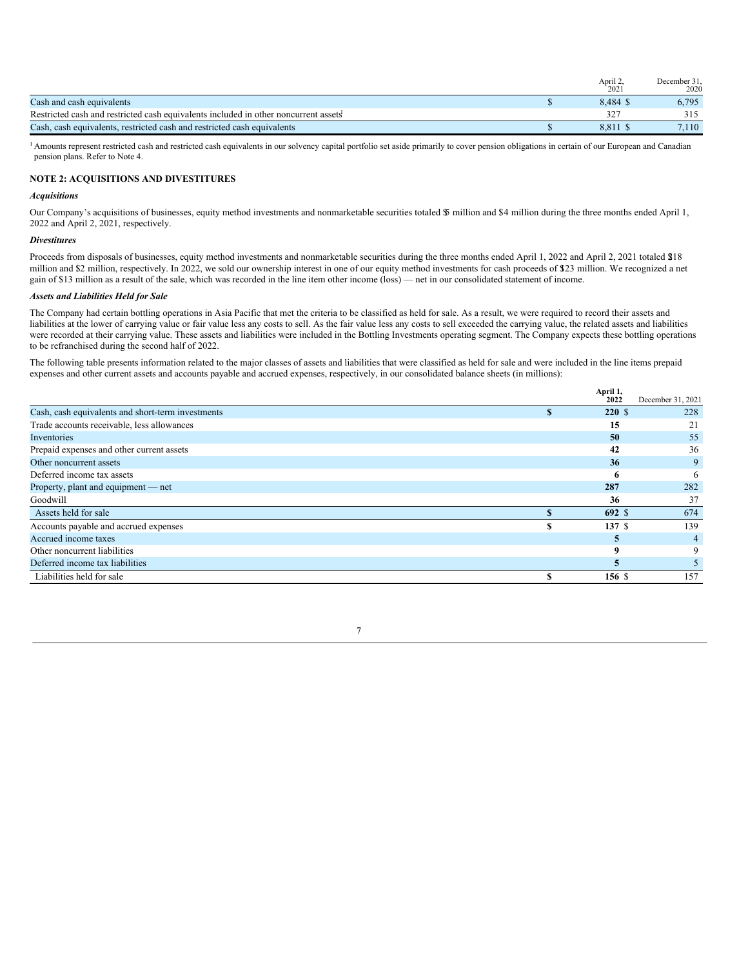|                                                                                     | April 2, | December 31. |
|-------------------------------------------------------------------------------------|----------|--------------|
|                                                                                     | 202i     | 2020         |
| Cash and cash equivalents                                                           | 8.484 \$ | 6.795        |
| Restricted cash and restricted cash equivalents included in other noncurrent assets | 327      |              |
| Cash, cash equivalents, restricted cash and restricted cash equivalents             | 8.811    | 7.110        |

<sup>1</sup> Amounts represent restricted cash and restricted cash equivalents in our solvency capital portfolio set aside primarily to cover pension obligations in certain of our European and Canadian pension plans. Refer to Note 4.

# **NOTE 2: ACQUISITIONS AND DIVESTITURES**

## *Acquisitions*

Our Company's acquisitions of businesses, equity method investments and nonmarketable securities totaled \$5 million and \$4 million during the three months ended April 1, 2022 and April 2, 2021, respectively.

## *Divestitures*

Proceeds from disposals of businesses, equity method investments and nonmarketable securities during the three months ended April 1, 2022 and April 2, 2021 totaled \$18 million and \$2 million, respectively. In 2022, we sold our ownership interest in one of our equity method investments for cash proceeds of \$23 million. We recognized a net gain of \$13 million as a result of the sale, which was recorded in the line item other income (loss) — net in our consolidated statement of income.

#### *Assets and Liabilities Held for Sale*

The Company had certain bottling operations in Asia Pacific that met the criteria to be classified as held for sale. As a result, we were required to record their assets and liabilities at the lower of carrying value or fair value less any costs to sell. As the fair value less any costs to sell exceeded the carrying value, the related assets and liabilities were recorded at their carrying value. These assets and liabilities were included in the Bottling Investments operating segment. The Company expects these bottling operations to be refranchised during the second half of 2022.

The following table presents information related to the major classes of assets and liabilities that were classified as held for sale and were included in the line items prepaid expenses and other current assets and accounts payable and accrued expenses, respectively, in our consolidated balance sheets (in millions):

|                                                   |     | April 1,<br>2022 | December 31, 2021 |
|---------------------------------------------------|-----|------------------|-------------------|
| Cash, cash equivalents and short-term investments | \$. | $220 \text{ s}$  | 228               |
| Trade accounts receivable, less allowances        |     | 15               | 21                |
| Inventories                                       |     | 50               | 55                |
| Prepaid expenses and other current assets         |     | 42               | 36                |
| Other noncurrent assets                           |     | 36               | 9                 |
| Deferred income tax assets                        |     | n                | 6                 |
| Property, plant and equipment — net               |     | 287              | 282               |
| Goodwill                                          |     | 36               | 37                |
| Assets held for sale                              |     | 692 \$           | 674               |
| Accounts payable and accrued expenses             |     | 137S             | 139               |
| Accrued income taxes                              |     |                  | 4                 |
| Other noncurrent liabilities                      |     |                  | 9                 |
| Deferred income tax liabilities                   |     | э                |                   |
| Liabilities held for sale                         |     | 156S             | 157               |

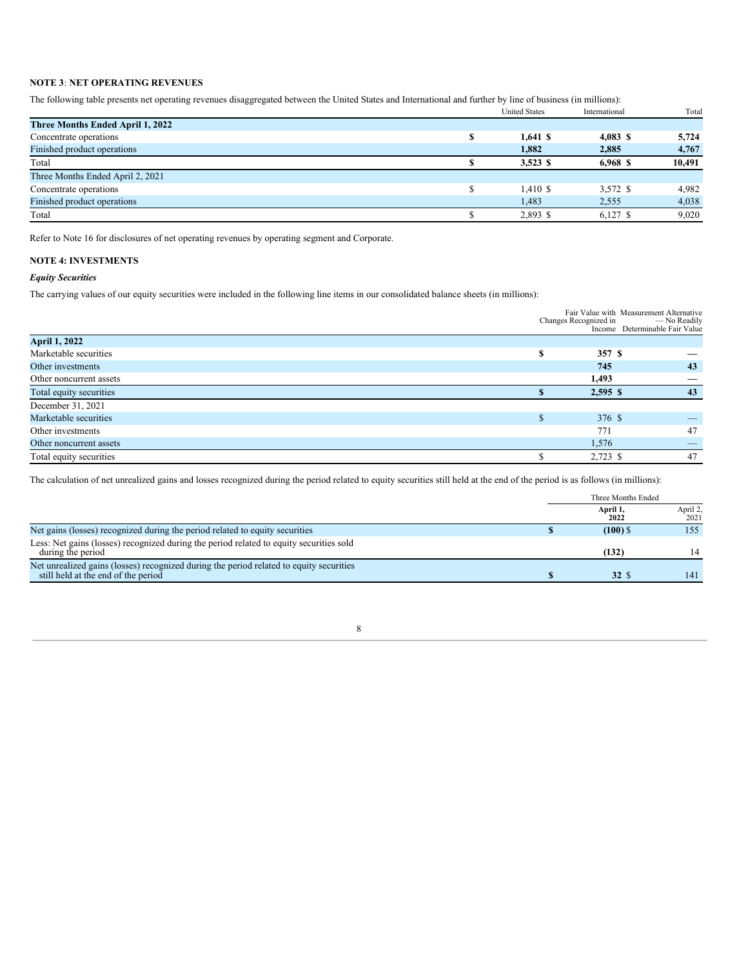# **NOTE 3**: **NET OPERATING REVENUES**

The following table presents net operating revenues disaggregated between the United States and International and further by line of business (in millions):

|                                  | <b>United States</b> | International | Total  |
|----------------------------------|----------------------|---------------|--------|
| Three Months Ended April 1, 2022 |                      |               |        |
| Concentrate operations           | 1,641S               | $4,083$ \$    | 5,724  |
| Finished product operations      | 1,882                | 2,885         | 4,767  |
| Total                            | 3.523S               | 6,968 \$      | 10,491 |
| Three Months Ended April 2, 2021 |                      |               |        |
| Concentrate operations           | 1,410 \$             | 3,572 \$      | 4,982  |
| Finished product operations      | 1,483                | 2,555         | 4,038  |
| Total                            | 2,893 \$             | $6,127$ \$    | 9,020  |

Refer to Note 16 for disclosures of net operating revenues by operating segment and Corporate.

# **NOTE 4: INVESTMENTS**

# *Equity Securities*

The carrying values of our equity securities were included in the following line items in our consolidated balance sheets (in millions):

|                         |               |            | Fair Value with Measurement Alternative<br>Changes Recognized in - No Readily<br>Income Determinable Fair Value |
|-------------------------|---------------|------------|-----------------------------------------------------------------------------------------------------------------|
| <b>April 1, 2022</b>    |               |            |                                                                                                                 |
| Marketable securities   | £.            | 357 S      |                                                                                                                 |
| Other investments       |               | 745        | 43                                                                                                              |
| Other noncurrent assets |               | 1,493      |                                                                                                                 |
| Total equity securities |               | $2,595$ \$ | 43                                                                                                              |
| December 31, 2021       |               |            |                                                                                                                 |
| Marketable securities   | $\mathcal{S}$ | 376 \$     | _                                                                                                               |
| Other investments       |               | 771        | 47                                                                                                              |
| Other noncurrent assets |               | 1,576      |                                                                                                                 |
| Total equity securities |               | 2,723 \$   | 47                                                                                                              |

The calculation of net unrealized gains and losses recognized during the period related to equity securities still held at the end of the period is as follows (in millions):

|                                                                                                                                | Three Months Ended |                  |                  |
|--------------------------------------------------------------------------------------------------------------------------------|--------------------|------------------|------------------|
|                                                                                                                                |                    | April 1,<br>2022 | April 2,<br>2021 |
| Net gains (losses) recognized during the period related to equity securities                                                   |                    | $(100)$ \$       | 155              |
| Less: Net gains (losses) recognized during the period related to equity securities sold<br>during the period                   |                    | (132)            |                  |
| Net unrealized gains (losses) recognized during the period related to equity securities<br>still held at the end of the period |                    | 32 S             | 141              |

# 8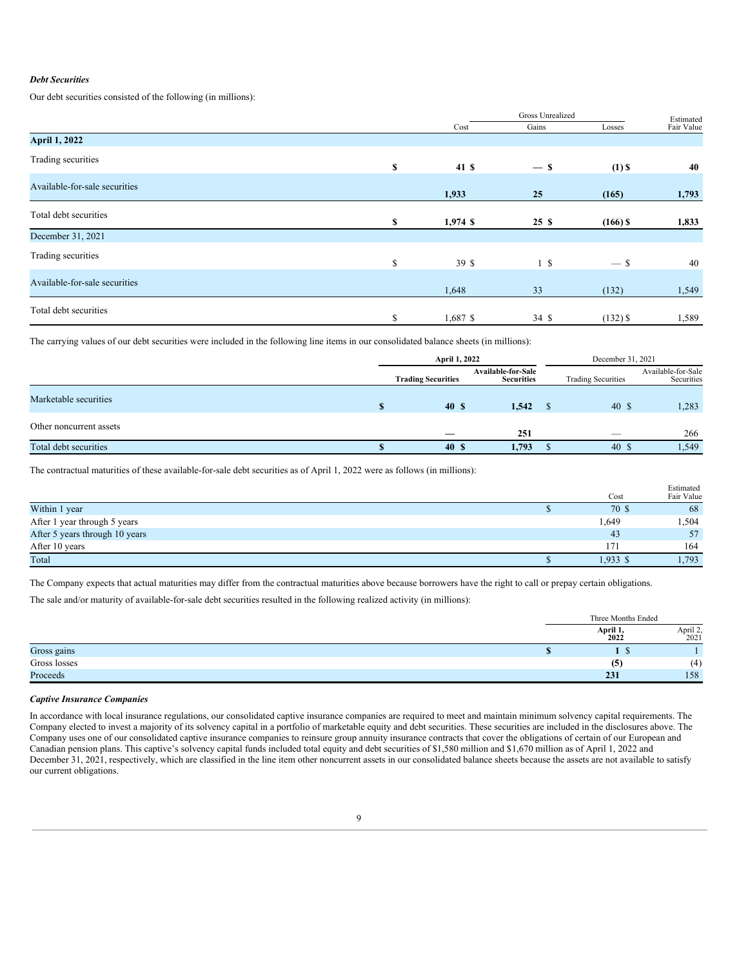#### *Debt Securities*

Our debt securities consisted of the following (in millions):

|                               |    | Gross Unrealized |               |            | Estimated  |
|-------------------------------|----|------------------|---------------|------------|------------|
|                               |    | Cost             | Gains         | Losses     | Fair Value |
| <b>April 1, 2022</b>          |    |                  |               |            |            |
| Trading securities            | S  | 41 \$            | $-s$          | $(1)$ \$   | 40         |
| Available-for-sale securities |    | 1,933            | 25            | (165)      | 1,793      |
| Total debt securities         | S  | $1,974$ \$       | 25S           | $(166)$ \$ | 1,833      |
| December 31, 2021             |    |                  |               |            |            |
| Trading securities            | \$ | 39S              | $1 \text{ s}$ | $-$ \$     | 40         |
| Available-for-sale securities |    | 1,648            | 33            | (132)      | 1,549      |
| Total debt securities         | \$ | 1,687 \$         | 34 \$         | $(132)$ \$ | 1,589      |

The carrying values of our debt securities were included in the following line items in our consolidated balance sheets (in millions):

|                         | April 1, 2022             |                                         |  | December 31, 2021         |                                  |  |
|-------------------------|---------------------------|-----------------------------------------|--|---------------------------|----------------------------------|--|
|                         | <b>Trading Securities</b> | Available-for-Sale<br><b>Securities</b> |  | <b>Trading Securities</b> | Available-for-Sale<br>Securities |  |
| Marketable securities   | 40 \$                     | 1,542                                   |  | $40 \text{ s}$            | 1,283                            |  |
| Other noncurrent assets |                           | 251                                     |  | $-$                       | 266                              |  |
| Total debt securities   | 40 \$                     | 1,793                                   |  | 40 \$                     | 1,549                            |  |

The contractual maturities of these available-for-sale debt securities as of April 1, 2022 were as follows (in millions):

|                                | Cost       | Estimated<br>Fair Value |
|--------------------------------|------------|-------------------------|
| Within 1 year                  | 70 \$      | 68                      |
| After 1 year through 5 years   | 1,649      | .504                    |
| After 5 years through 10 years | -43        | 57                      |
| After 10 years                 | 171        | 164                     |
| Total                          | $1,933$ \$ | 1,793                   |

The Company expects that actual maturities may differ from the contractual maturities above because borrowers have the right to call or prepay certain obligations.

The sale and/or maturity of available-for-sale debt securities resulted in the following realized activity (in millions):

|              | Three Months Ended |                  |
|--------------|--------------------|------------------|
|              | April 1,<br>2022   | April 2,<br>2021 |
| Gross gains  | - P                |                  |
| Gross losses | (5)                | (4)              |
| Proceeds     | 231                | 158              |

### *Captive Insurance Companies*

In accordance with local insurance regulations, our consolidated captive insurance companies are required to meet and maintain minimum solvency capital requirements. The Company elected to invest a majority of its solvency capital in a portfolio of marketable equity and debt securities. These securities are included in the disclosures above. The Company uses one of our consolidated captive insurance companies to reinsure group annuity insurance contracts that cover the obligations of certain of our European and Canadian pension plans. This captive's solvency capital funds included total equity and debt securities of \$1,580 million and \$1,670 million as of April 1, 2022 and December 31, 2021, respectively, which are classified in the line item other noncurrent assets in our consolidated balance sheets because the assets are not available to satisfy our current obligations.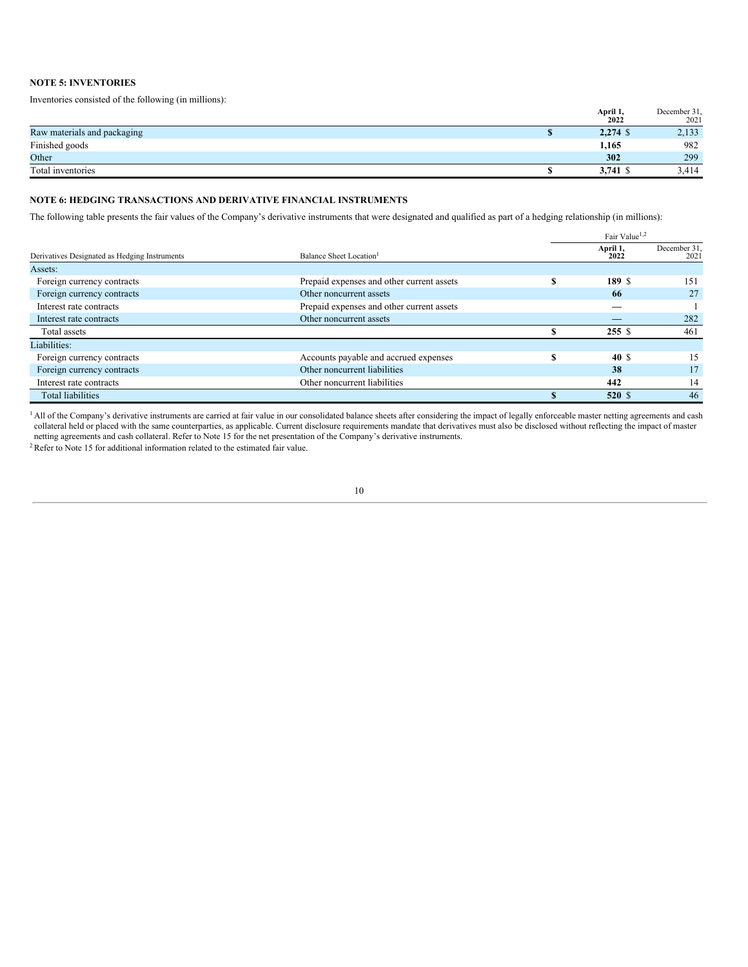# **NOTE 5: INVENTORIES**

Inventories consisted of the following (in millions):

|                             |          | April 1,<br>2022 | December 31,<br>2021 |
|-----------------------------|----------|------------------|----------------------|
| Raw materials and packaging | <b>N</b> | $2,274$ \$       | 2,133                |
| Finished goods              |          | 1,165            | 982                  |
| Other                       |          | 302              | 299                  |
| Total inventories           |          | 3,741 \$         | 3,414                |

# **NOTE 6: HEDGING TRANSACTIONS AND DERIVATIVE FINANCIAL INSTRUMENTS**

The following table presents the fair values of the Company's derivative instruments that were designated and qualified as part of a hedging relationship (in millions):

|                                               |                                           | Fair Value <sup>1,2</sup> |                      |
|-----------------------------------------------|-------------------------------------------|---------------------------|----------------------|
| Derivatives Designated as Hedging Instruments | Balance Sheet Location <sup>1</sup>       | April 1,<br>2022          | December 31,<br>2021 |
| Assets:                                       |                                           |                           |                      |
| Foreign currency contracts                    | Prepaid expenses and other current assets | 189 S                     | 151                  |
| Foreign currency contracts                    | Other noncurrent assets                   | 66                        | 27                   |
| Interest rate contracts                       | Prepaid expenses and other current assets |                           |                      |
| Interest rate contracts                       | Other noncurrent assets                   |                           | 282                  |
| Total assets                                  |                                           | 255S                      | 461                  |
| Liabilities:                                  |                                           |                           |                      |
| Foreign currency contracts                    | Accounts payable and accrued expenses     | 40 S                      | 15                   |
| Foreign currency contracts                    | Other noncurrent liabilities              | 38                        | 17                   |
| Interest rate contracts                       | Other noncurrent liabilities              | 442                       | 14                   |
| <b>Total liabilities</b>                      |                                           | 520 \$                    | 46                   |

<sup>1</sup> All of the Company's derivative instruments are carried at fair value in our consolidated balance sheets after considering the impact of legally enforceable master netting agreements and cash collateral held or placed with the same counterparties, as applicable. Current disclosure requirements mandate that derivatives must also be disclosed without reflecting the impact of master netting agreements and cash collateral. Refer to Note 15 for the net presentation of the Company's derivative instruments.

 $2$  Refer to Note 15 for additional information related to the estimated fair value.

10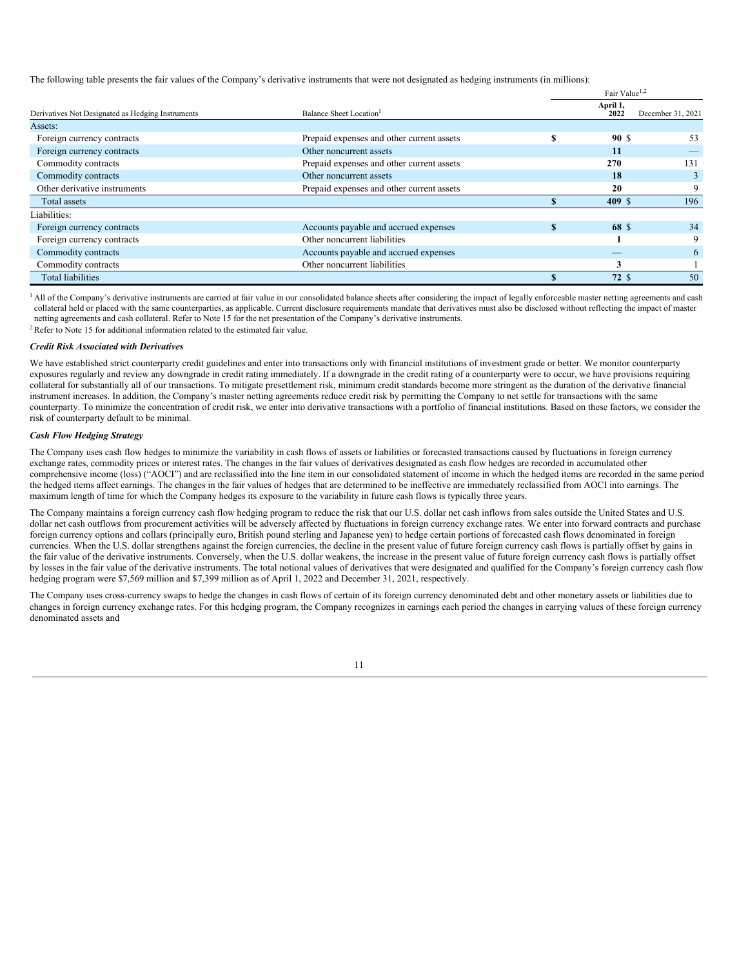The following table presents the fair values of the Company's derivative instruments that were not designated as hedging instruments (in millions):

|                                                   |                                           | Fair Value <sup>1,2</sup> |                   |
|---------------------------------------------------|-------------------------------------------|---------------------------|-------------------|
| Derivatives Not Designated as Hedging Instruments | Balance Sheet Location <sup>1</sup>       | April 1,<br>2022          | December 31, 2021 |
| Assets:                                           |                                           |                           |                   |
| Foreign currency contracts                        | Prepaid expenses and other current assets | 90 S                      | 53                |
| Foreign currency contracts                        | Other noncurrent assets                   | 11                        |                   |
| Commodity contracts                               | Prepaid expenses and other current assets | 270                       | 131               |
| Commodity contracts                               | Other noncurrent assets                   | 18                        |                   |
| Other derivative instruments                      | Prepaid expenses and other current assets | 20                        | 9                 |
| Total assets                                      |                                           | 409 \$                    | 196               |
| Liabilities:                                      |                                           |                           |                   |
| Foreign currency contracts                        | Accounts payable and accrued expenses     | 68 \$                     | 34                |
| Foreign currency contracts                        | Other noncurrent liabilities              |                           | 9                 |
| Commodity contracts                               | Accounts payable and accrued expenses     |                           | 6                 |
| Commodity contracts                               | Other noncurrent liabilities              |                           |                   |
| <b>Total liabilities</b>                          |                                           | 72S                       | 50                |

<sup>1</sup>All of the Company's derivative instruments are carried at fair value in our consolidated balance sheets after considering the impact of legally enforceable master netting agreements and cash collateral held or placed with the same counterparties, as applicable. Current disclosure requirements mandate that derivatives must also be disclosed without reflecting the impact of master netting agreements and cash collateral. Refer to Note 15 for the net presentation of the Company's derivative instruments.

<sup>2</sup> Refer to Note 15 for additional information related to the estimated fair value.

## *Credit Risk Associated with Derivatives*

We have established strict counterparty credit guidelines and enter into transactions only with financial institutions of investment grade or better. We monitor counterparty exposures regularly and review any downgrade in credit rating immediately. If a downgrade in the credit rating of a counterparty were to occur, we have provisions requiring collateral for substantially all of our transactions. To mitigate presettlement risk, minimum credit standards become more stringent as the duration of the derivative financial instrument increases. In addition, the Company's master netting agreements reduce credit risk by permitting the Company to net settle for transactions with the same counterparty. To minimize the concentration of credit risk, we enter into derivative transactions with a portfolio of financial institutions. Based on these factors, we consider the risk of counterparty default to be minimal.

## *Cash Flow Hedging Strategy*

The Company uses cash flow hedges to minimize the variability in cash flows of assets or liabilities or forecasted transactions caused by fluctuations in foreign currency exchange rates, commodity prices or interest rates. The changes in the fair values of derivatives designated as cash flow hedges are recorded in accumulated other comprehensive income (loss) ("AOCI") and are reclassified into the line item in our consolidated statement of income in which the hedged items are recorded in the same period the hedged items affect earnings. The changes in the fair values of hedges that are determined to be ineffective are immediately reclassified from AOCI into earnings. The maximum length of time for which the Company hedges its exposure to the variability in future cash flows is typically three years.

The Company maintains a foreign currency cash flow hedging program to reduce the risk that our U.S. dollar net cash inflows from sales outside the United States and U.S. dollar net cash outflows from procurement activities will be adversely affected by fluctuations in foreign currency exchange rates. We enter into forward contracts and purchase foreign currency options and collars (principally euro, British pound sterling and Japanese yen) to hedge certain portions of forecasted cash flows denominated in foreign currencies. When the U.S. dollar strengthens against the foreign currencies, the decline in the present value of future foreign currency cash flows is partially offset by gains in the fair value of the derivative instruments. Conversely, when the U.S. dollar weakens, the increase in the present value of future foreign currency cash flows is partially offset by losses in the fair value of the derivative instruments. The total notional values of derivatives that were designated and qualified for the Company's foreign currency cash flow hedging program were \$7,569 million and \$7,399 million as of April 1, 2022 and December 31, 2021, respectively.

The Company uses cross-currency swaps to hedge the changes in cash flows of certain of its foreign currency denominated debt and other monetary assets or liabilities due to changes in foreign currency exchange rates. For this hedging program, the Company recognizes in earnings each period the changes in carrying values of these foreign currency denominated assets and

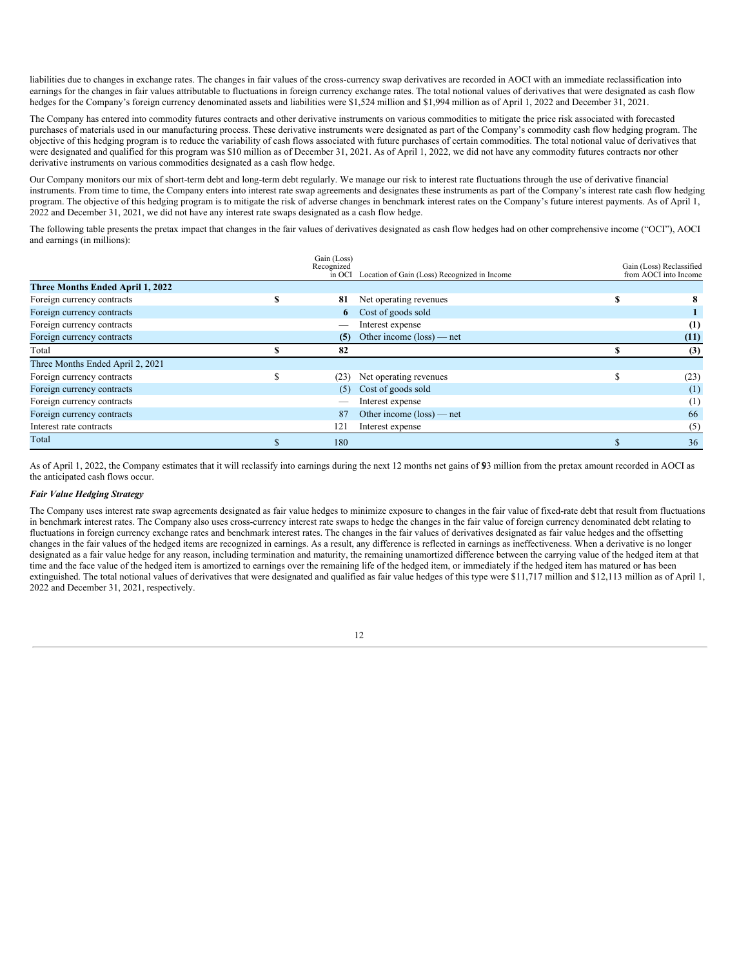liabilities due to changes in exchange rates. The changes in fair values of the cross-currency swap derivatives are recorded in AOCI with an immediate reclassification into earnings for the changes in fair values attributable to fluctuations in foreign currency exchange rates. The total notional values of derivatives that were designated as cash flow hedges for the Company's foreign currency denominated assets and liabilities were \$1,524 million and \$1,994 million as of April 1, 2022 and December 31, 2021.

The Company has entered into commodity futures contracts and other derivative instruments on various commodities to mitigate the price risk associated with forecasted purchases of materials used in our manufacturing process. These derivative instruments were designated as part of the Company's commodity cash flow hedging program. The objective of this hedging program is to reduce the variability of cash flows associated with future purchases of certain commodities. The total notional value of derivatives that were designated and qualified for this program was \$10 million as of December 31, 2021. As of April 1, 2022, we did not have any commodity futures contracts nor other derivative instruments on various commodities designated as a cash flow hedge.

Our Company monitors our mix of short-term debt and long-term debt regularly. We manage our risk to interest rate fluctuations through the use of derivative financial instruments. From time to time, the Company enters into interest rate swap agreements and designates these instruments as part of the Company's interest rate cash flow hedging program. The objective of this hedging program is to mitigate the risk of adverse changes in benchmark interest rates on the Company's future interest payments. As of April 1, 2022 and December 31, 2021, we did not have any interest rate swaps designated as a cash flow hedge.

The following table presents the pretax impact that changes in the fair values of derivatives designated as cash flow hedges had on other comprehensive income ("OCI"), AOCI and earnings (in millions):

|                                  |   | Gain (Loss)<br>Recognized<br>in OCI | Location of Gain (Loss) Recognized in Income | Gain (Loss) Reclassified<br>from AOCI into Income |
|----------------------------------|---|-------------------------------------|----------------------------------------------|---------------------------------------------------|
| Three Months Ended April 1, 2022 |   |                                     |                                              |                                                   |
| Foreign currency contracts       | S | 81                                  | Net operating revenues                       | 8                                                 |
| Foreign currency contracts       |   | 6.                                  | Cost of goods sold                           |                                                   |
| Foreign currency contracts       |   |                                     | Interest expense                             | (1)                                               |
| Foreign currency contracts       |   | (5)                                 | Other income $(\text{loss})$ — net           | (11)                                              |
| Total                            |   | 82                                  |                                              | (3)                                               |
| Three Months Ended April 2, 2021 |   |                                     |                                              |                                                   |
| Foreign currency contracts       | S | (23)                                | Net operating revenues                       | (23)                                              |
| Foreign currency contracts       |   | (5)                                 | Cost of goods sold                           | (1)                                               |
| Foreign currency contracts       |   |                                     | Interest expense                             | (1)                                               |
| Foreign currency contracts       |   | 87                                  | Other income $(\text{loss})$ — net           | 66                                                |
| Interest rate contracts          |   | 121                                 | Interest expense                             | (5)                                               |
| Total                            |   | 180                                 |                                              | 36                                                |

As of April 1, 2022, the Company estimates that it will reclassify into earnings during the next 12 months net gains of 93 million from the pretax amount recorded in AOCI as the anticipated cash flows occur.

### *Fair Value Hedging Strategy*

The Company uses interest rate swap agreements designated as fair value hedges to minimize exposure to changes in the fair value of fixed-rate debt that result from fluctuations in benchmark interest rates. The Company also uses cross-currency interest rate swaps to hedge the changes in the fair value of foreign currency denominated debt relating to fluctuations in foreign currency exchange rates and benchmark interest rates. The changes in the fair values of derivatives designated as fair value hedges and the offsetting changes in the fair values of the hedged items are recognized in earnings. As a result, any difference is reflected in earnings as ineffectiveness. When a derivative is no longer designated as a fair value hedge for any reason, including termination and maturity, the remaining unamortized difference between the carrying value of the hedged item at that time and the face value of the hedged item is amortized to earnings over the remaining life of the hedged item, or immediately if the hedged item has matured or has been extinguished. The total notional values of derivatives that were designated and qualified as fair value hedges of this type were \$11,717 million and \$12,113 million as of April 1, 2022 and December 31, 2021, respectively.

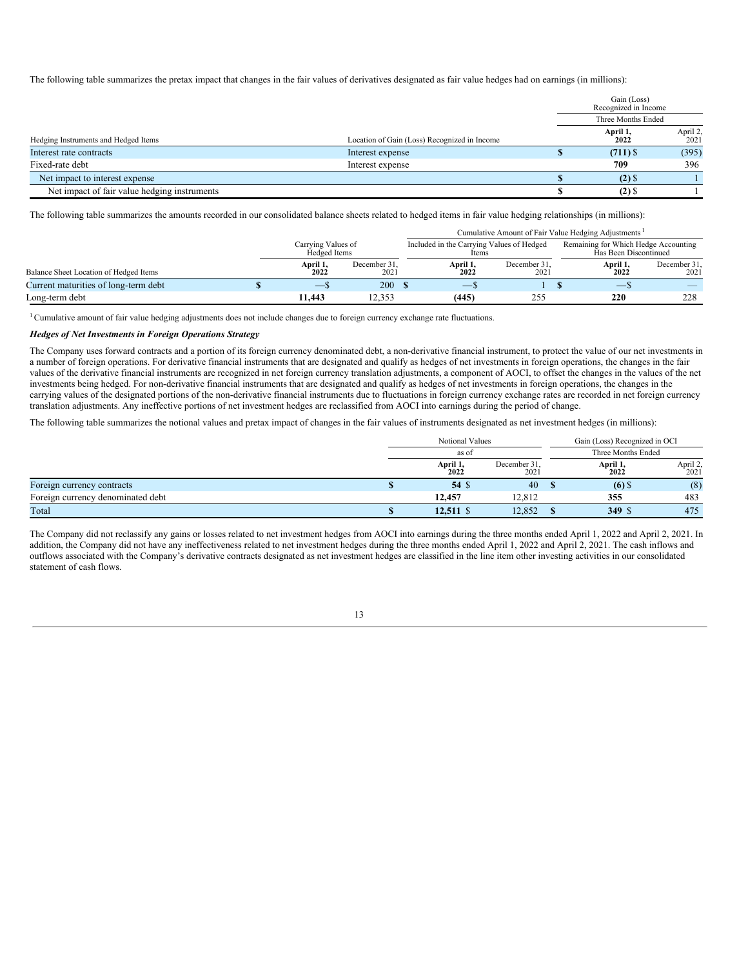The following table summarizes the pretax impact that changes in the fair values of derivatives designated as fair value hedges had on earnings (in millions):

|                                              |                                              | Gain (Loss)<br>Recognized in Income |                  |
|----------------------------------------------|----------------------------------------------|-------------------------------------|------------------|
|                                              |                                              | Three Months Ended                  |                  |
| Hedging Instruments and Hedged Items         | Location of Gain (Loss) Recognized in Income | April 1,<br>2022                    | April 2,<br>2021 |
| Interest rate contracts                      | Interest expense                             | $(711)$ \$                          | (395)            |
| Fixed-rate debt                              | Interest expense                             | 709                                 | 396              |
| Net impact to interest expense               |                                              | $(2)$ \$                            |                  |
| Net impact of fair value hedging instruments |                                              | $(2)$ \$                            |                  |

The following table summarizes the amounts recorded in our consolidated balance sheets related to hedged items in fair value hedging relationships (in millions):

|                                        |                                    |                      |                                                    | Cumulative Amount of Fair Value Hedging Adjustments <sup>1</sup> |                                                               |                      |  |  |  |  |
|----------------------------------------|------------------------------------|----------------------|----------------------------------------------------|------------------------------------------------------------------|---------------------------------------------------------------|----------------------|--|--|--|--|
|                                        | Carrying Values of<br>Hedged Items |                      | Included in the Carrying Values of Hedged<br>Items |                                                                  | Remaining for Which Hedge Accounting<br>Has Been Discontinued |                      |  |  |  |  |
| Balance Sheet Location of Hedged Items | April 1,<br>2022                   | December 31,<br>2021 | April 1,<br>2022                                   | December 31.<br>2021                                             | April 1,<br>2022                                              | December 31,<br>2021 |  |  |  |  |
| Current maturities of long-term debt   | $-1$                               | 200S                 | $\qquad \qquad \qquad$                             |                                                                  | —                                                             |                      |  |  |  |  |
| Long-term debt                         | 11.443                             | 12.353               | (445)                                              | 255                                                              | 220                                                           | 228                  |  |  |  |  |

<sup>1</sup> Cumulative amount of fair value hedging adjustments does not include changes due to foreign currency exchange rate fluctuations.

## *Hedges of Net Investments in Foreign Operations Strategy*

The Company uses forward contracts and a portion of its foreign currency denominated debt, a non-derivative financial instrument, to protect the value of our net investments in a number of foreign operations. For derivative financial instruments that are designated and qualify as hedges of net investments in foreign operations, the changes in the fair values of the derivative financial instruments are recognized in net foreign currency translation adjustments, a component of AOCI, to offset the changes in the values of the net investments being hedged. For non-derivative financial instruments that are designated and qualify as hedges of net investments in foreign operations, the changes in the carrying values of the designated portions of the non-derivative financial instruments due to fluctuations in foreign currency exchange rates are recorded in net foreign currency translation adjustments. Any ineffective portions of net investment hedges are reclassified from AOCI into earnings during the period of change.

The following table summarizes the notional values and pretax impact of changes in the fair values of instruments designated as net investment hedges (in millions):

|                                   | <b>Notional Values</b> |                      | Gain (Loss) Recognized in OCI |                    |                  |
|-----------------------------------|------------------------|----------------------|-------------------------------|--------------------|------------------|
|                                   | as of                  |                      |                               | Three Months Ended |                  |
|                                   | April 1,<br>2022       | December 31.<br>2021 |                               | April 1,<br>2022   | April 2,<br>2021 |
| Foreign currency contracts        | $54 \text{ s}$         | 40                   |                               | $(6)$ \$           | (8)              |
| Foreign currency denominated debt | 12.457                 | 12.812               |                               | 355                | 483              |
| Total                             | $12,511$ \$            | 12,852               |                               | 349 \$             | 475              |

The Company did not reclassify any gains or losses related to net investment hedges from AOCI into earnings during the three months ended April 1, 2022 and April 2, 2021. In addition, the Company did not have any ineffectiveness related to net investment hedges during the three months ended April 1, 2022 and April 2, 2021. The cash inflows and outflows associated with the Company's derivative contracts designated as net investment hedges are classified in the line item other investing activities in our consolidated statement of cash flows.

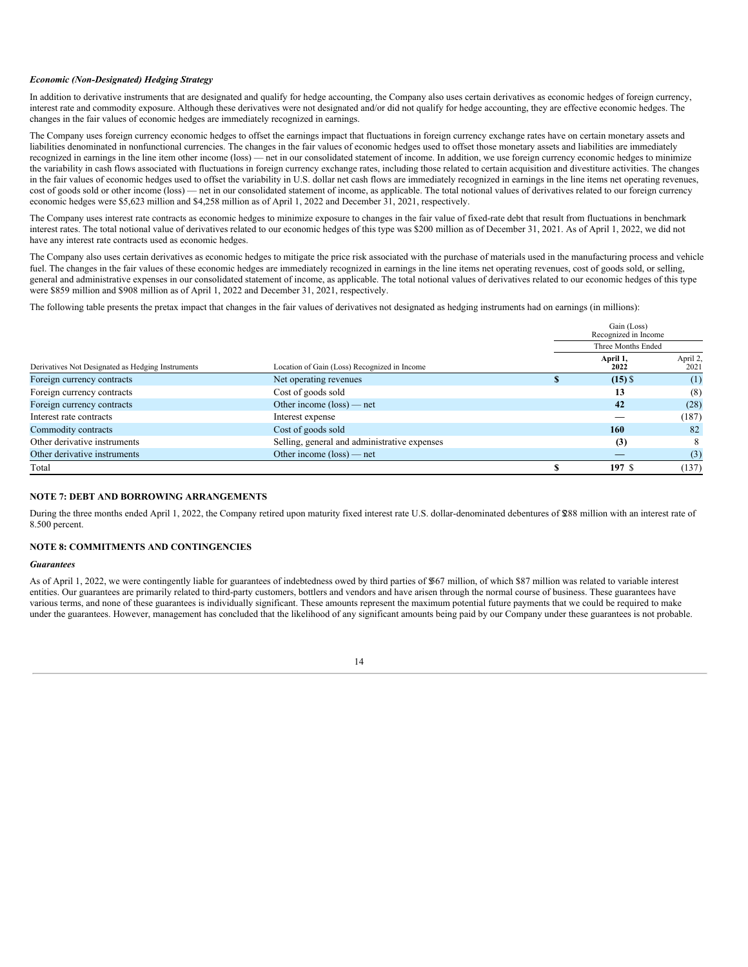#### *Economic (Non-Designated) Hedging Strategy*

In addition to derivative instruments that are designated and qualify for hedge accounting, the Company also uses certain derivatives as economic hedges of foreign currency, interest rate and commodity exposure. Although these derivatives were not designated and/or did not qualify for hedge accounting, they are effective economic hedges. The changes in the fair values of economic hedges are immediately recognized in earnings.

The Company uses foreign currency economic hedges to offset the earnings impact that fluctuations in foreign currency exchange rates have on certain monetary assets and liabilities denominated in nonfunctional currencies. The changes in the fair values of economic hedges used to offset those monetary assets and liabilities are immediately recognized in earnings in the line item other income (loss) — net in our consolidated statement of income. In addition, we use foreign currency economic hedges to minimize the variability in cash flows associated with fluctuations in foreign currency exchange rates, including those related to certain acquisition and divestiture activities. The changes in the fair values of economic hedges used to offset the variability in U.S. dollar net cash flows are immediately recognized in earnings in the line items net operating revenues, cost of goods sold or other income (loss) — net in our consolidated statement of income, as applicable. The total notional values of derivatives related to our foreign currency economic hedges were \$5,623 million and \$4,258 million as of April 1, 2022 and December 31, 2021, respectively.

The Company uses interest rate contracts as economic hedges to minimize exposure to changes in the fair value of fixed-rate debt that result from fluctuations in benchmark interest rates. The total notional value of derivatives related to our economic hedges of this type was \$200 million as of December 31, 2021. As of April 1, 2022, we did not have any interest rate contracts used as economic hedges.

The Company also uses certain derivatives as economic hedges to mitigate the price risk associated with the purchase of materials used in the manufacturing process and vehicle fuel. The changes in the fair values of these economic hedges are immediately recognized in earnings in the line items net operating revenues, cost of goods sold, or selling, general and administrative expenses in our consolidated statement of income, as applicable. The total notional values of derivatives related to our economic hedges of this type were \$859 million and \$908 million as of April 1, 2022 and December 31, 2021, respectively.

The following table presents the pretax impact that changes in the fair values of derivatives not designated as hedging instruments had on earnings (in millions):

|                                                   |                                              | Gain (Loss)<br>Recognized in Income |                  |
|---------------------------------------------------|----------------------------------------------|-------------------------------------|------------------|
|                                                   |                                              | Three Months Ended                  |                  |
| Derivatives Not Designated as Hedging Instruments | Location of Gain (Loss) Recognized in Income | April 1,<br>2022                    | April 2,<br>2021 |
| Foreign currency contracts                        | Net operating revenues                       | $(15)$ \$                           | (1)              |
| Foreign currency contracts                        | Cost of goods sold                           | 13                                  | (8)              |
| Foreign currency contracts                        | Other income $(\text{loss})$ — net           | 42                                  | (28)             |
| Interest rate contracts                           | Interest expense                             |                                     | (187)            |
| Commodity contracts                               | Cost of goods sold                           | 160                                 | 82               |
| Other derivative instruments                      | Selling, general and administrative expenses | (3)                                 | 8                |
| Other derivative instruments                      | Other income $(\text{loss})$ — net           |                                     | (3)              |
| Total                                             |                                              | 197 S                               | (137)            |

## **NOTE 7: DEBT AND BORROWING ARRANGEMENTS**

During the three months ended April 1, 2022, the Company retired upon maturity fixed interest rate U.S. dollar-denominated debentures of \$288 million with an interest rate of 8.500 percent.

#### **NOTE 8: COMMITMENTS AND CONTINGENCIES**

#### *Guarantees*

As of April 1, 2022, we were contingently liable for guarantees of indebtedness owed by third parties of \$67 million, of which \$87 million was related to variable interest entities. Our guarantees are primarily related to third-party customers, bottlers and vendors and have arisen through the normal course of business. These guarantees have various terms, and none of these guarantees is individually significant. These amounts represent the maximum potential future payments that we could be required to make under the guarantees. However, management has concluded that the likelihood of any significant amounts being paid by our Company under these guarantees is not probable.

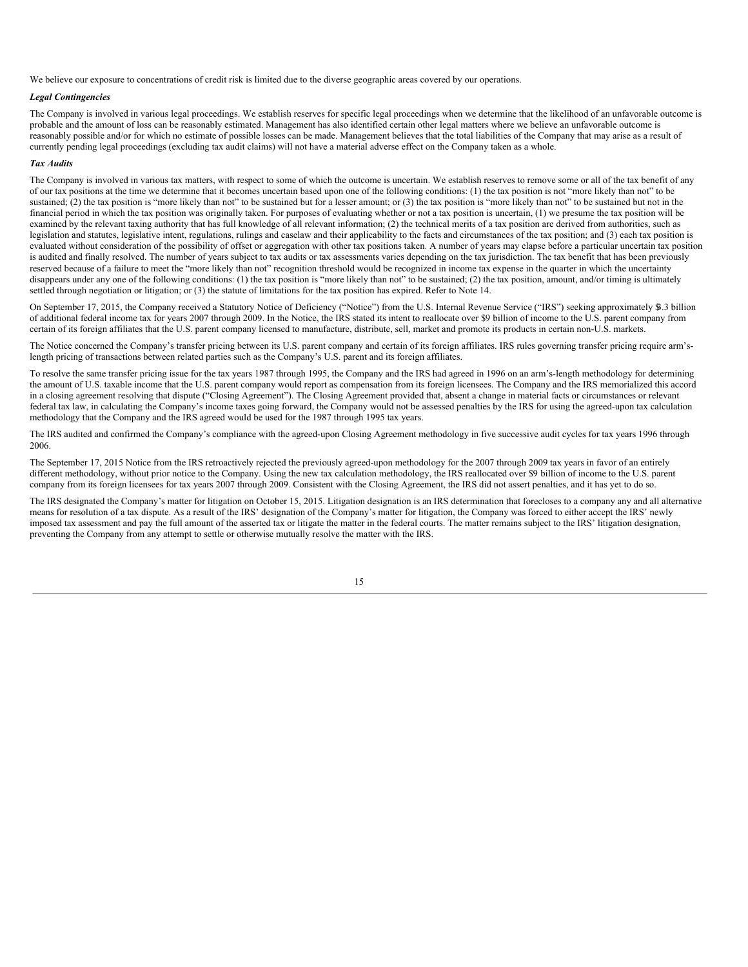We believe our exposure to concentrations of credit risk is limited due to the diverse geographic areas covered by our operations.

### *Legal Contingencies*

The Company is involved in various legal proceedings. We establish reserves for specific legal proceedings when we determine that the likelihood of an unfavorable outcome is probable and the amount of loss can be reasonably estimated. Management has also identified certain other legal matters where we believe an unfavorable outcome is reasonably possible and/or for which no estimate of possible losses can be made. Management believes that the total liabilities of the Company that may arise as a result of currently pending legal proceedings (excluding tax audit claims) will not have a material adverse effect on the Company taken as a whole.

### *Tax Audits*

The Company is involved in various tax matters, with respect to some of which the outcome is uncertain. We establish reserves to remove some or all of the tax benefit of any of our tax positions at the time we determine that it becomes uncertain based upon one of the following conditions: (1) the tax position is not "more likely than not" to be sustained; (2) the tax position is "more likely than not" to be sustained but for a lesser amount; or (3) the tax position is "more likely than not" to be sustained but not in the financial period in which the tax position was originally taken. For purposes of evaluating whether or not a tax position is uncertain, (1) we presume the tax position will be examined by the relevant taxing authority that has full knowledge of all relevant information; (2) the technical merits of a tax position are derived from authorities, such as legislation and statutes, legislative intent, regulations, rulings and caselaw and their applicability to the facts and circumstances of the tax position; and (3) each tax position is evaluated without consideration of the possibility of offset or aggregation with other tax positions taken. A number of years may elapse before a particular uncertain tax position is audited and finally resolved. The number of years subject to tax audits or tax assessments varies depending on the tax jurisdiction. The tax benefit that has been previously reserved because of a failure to meet the "more likely than not" recognition threshold would be recognized in income tax expense in the quarter in which the uncertainty disappears under any one of the following conditions: (1) the tax position is "more likely than not" to be sustained; (2) the tax position, amount, and/or timing is ultimately settled through negotiation or litigation; or (3) the statute of limitations for the tax position has expired. Refer to Note 14.

On September 17, 2015, the Company received a Statutory Notice of Deficiency ("Notice") from the U.S. Internal Revenue Service ("IRS") seeking approximately \$3.3 billion of additional federal income tax for years 2007 through 2009. In the Notice, the IRS stated its intent to reallocate over \$9 billion of income to the U.S. parent company from certain of its foreign affiliates that the U.S. parent company licensed to manufacture, distribute, sell, market and promote its products in certain non-U.S. markets.

The Notice concerned the Company's transfer pricing between its U.S. parent company and certain of its foreign affiliates. IRS rules governing transfer pricing require arm'slength pricing of transactions between related parties such as the Company's U.S. parent and its foreign affiliates.

To resolve the same transfer pricing issue for the tax years 1987 through 1995, the Company and the IRS had agreed in 1996 on an arm's-length methodology for determining the amount of U.S. taxable income that the U.S. parent company would report as compensation from its foreign licensees. The Company and the IRS memorialized this accord in a closing agreement resolving that dispute ("Closing Agreement"). The Closing Agreement provided that, absent a change in material facts or circumstances or relevant federal tax law, in calculating the Company's income taxes going forward, the Company would not be assessed penalties by the IRS for using the agreed-upon tax calculation methodology that the Company and the IRS agreed would be used for the 1987 through 1995 tax years.

The IRS audited and confirmed the Company's compliance with the agreed-upon Closing Agreement methodology in five successive audit cycles for tax years 1996 through 2006.

The September 17, 2015 Notice from the IRS retroactively rejected the previously agreed-upon methodology for the 2007 through 2009 tax years in favor of an entirely different methodology, without prior notice to the Company. Using the new tax calculation methodology, the IRS reallocated over \$9 billion of income to the U.S. parent company from its foreign licensees for tax years 2007 through 2009. Consistent with the Closing Agreement, the IRS did not assert penalties, and it has yet to do so.

The IRS designated the Company's matter for litigation on October 15, 2015. Litigation designation is an IRS determination that forecloses to a company any and all alternative means for resolution of a tax dispute. As a result of the IRS' designation of the Company's matter for litigation, the Company was forced to either accept the IRS' newly imposed tax assessment and pay the full amount of the asserted tax or litigate the matter in the federal courts. The matter remains subject to the IRS' litigation designation, preventing the Company from any attempt to settle or otherwise mutually resolve the matter with the IRS.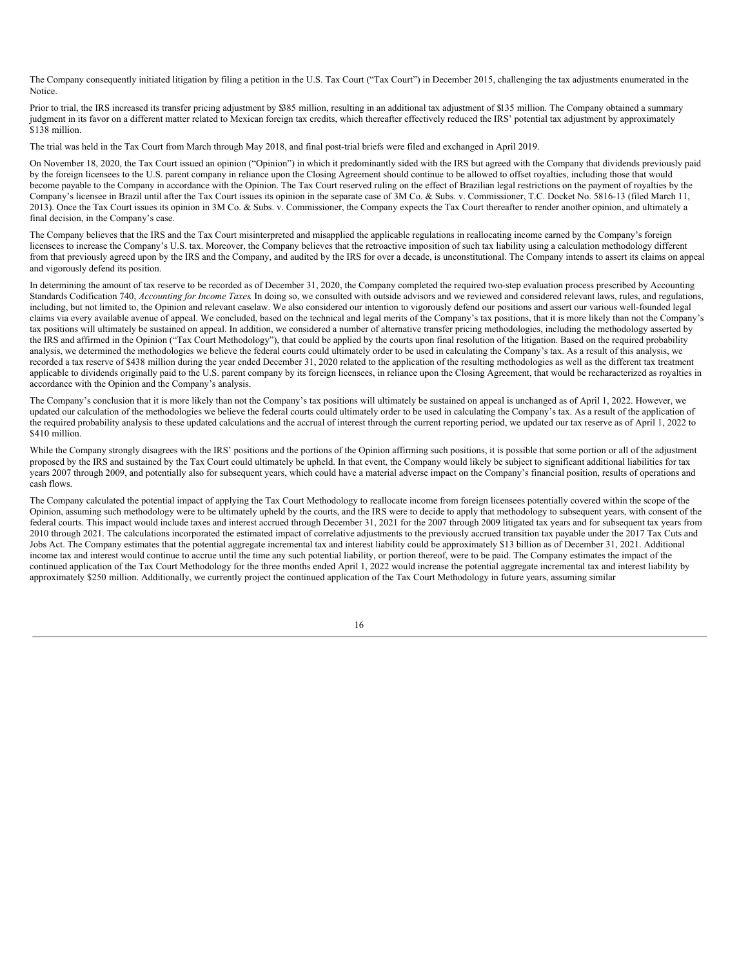The Company consequently initiated litigation by filing a petition in the U.S. Tax Court ("Tax Court") in December 2015, challenging the tax adjustments enumerated in the Notice.

Prior to trial, the IRS increased its transfer pricing adjustment by \$385 million, resulting in an additional tax adjustment of \$135 million. The Company obtained a summary judgment in its favor on a different matter related to Mexican foreign tax credits, which thereafter effectively reduced the IRS' potential tax adjustment by approximately \$138 million.

The trial was held in the Tax Court from March through May 2018, and final post-trial briefs were filed and exchanged in April 2019.

On November 18, 2020, the Tax Court issued an opinion ("Opinion") in which it predominantly sided with the IRS but agreed with the Company that dividends previously paid by the foreign licensees to the U.S. parent company in reliance upon the Closing Agreement should continue to be allowed to offset royalties, including those that would become payable to the Company in accordance with the Opinion. The Tax Court reserved ruling on the effect of Brazilian legal restrictions on the payment of royalties by the Company's licensee in Brazil until after the Tax Court issues its opinion in the separate case of 3M Co. & Subs. v. Commissioner, T.C. Docket No. 5816-13 (filed March 11, 2013). Once the Tax Court issues its opinion in 3M Co. & Subs. v. Commissioner, the Company expects the Tax Court thereafter to render another opinion, and ultimately a final decision, in the Company's case.

The Company believes that the IRS and the Tax Court misinterpreted and misapplied the applicable regulations in reallocating income earned by the Company's foreign licensees to increase the Company's U.S. tax. Moreover, the Company believes that the retroactive imposition of such tax liability using a calculation methodology different from that previously agreed upon by the IRS and the Company, and audited by the IRS for over a decade, is unconstitutional. The Company intends to assert its claims on appeal and vigorously defend its position.

In determining the amount of tax reserve to be recorded as of December 31, 2020, the Company completed the required two-step evaluation process prescribed by Accounting Standards Codification 740, *Accounting for Income Taxes*. In doing so, we consulted with outside advisors and we reviewed and considered relevant laws, rules, and regulations, including, but not limited to, the Opinion and relevant caselaw. We also considered our intention to vigorously defend our positions and assert our various well-founded legal claims via every available avenue of appeal. We concluded, based on the technical and legal merits of the Company's tax positions, that it is more likely than not the Company's tax positions will ultimately be sustained on appeal. In addition, we considered a number of alternative transfer pricing methodologies, including the methodology asserted by the IRS and affirmed in the Opinion ("Tax Court Methodology"), that could be applied by the courts upon final resolution of the litigation. Based on the required probability analysis, we determined the methodologies we believe the federal courts could ultimately order to be used in calculating the Company's tax. As a result of this analysis, we recorded a tax reserve of \$438 million during the year ended December 31, 2020 related to the application of the resulting methodologies as well as the different tax treatment applicable to dividends originally paid to the U.S. parent company by its foreign licensees, in reliance upon the Closing Agreement, that would be recharacterized as royalties in accordance with the Opinion and the Company's analysis.

The Company's conclusion that it is more likely than not the Company's tax positions will ultimately be sustained on appeal is unchanged as of April 1, 2022. However, we updated our calculation of the methodologies we believe the federal courts could ultimately order to be used in calculating the Company's tax. As a result of the application of the required probability analysis to these updated calculations and the accrual of interest through the current reporting period, we updated our tax reserve as of April 1, 2022 to \$410 million.

While the Company strongly disagrees with the IRS' positions and the portions of the Opinion affirming such positions, it is possible that some portion or all of the adjustment proposed by the IRS and sustained by the Tax Court could ultimately be upheld. In that event, the Company would likely be subject to significant additional liabilities for tax years 2007 through 2009, and potentially also for subsequent years, which could have a material adverse impact on the Company's financial position, results of operations and cash flows.

The Company calculated the potential impact of applying the Tax Court Methodology to reallocate income from foreign licensees potentially covered within the scope of the Opinion, assuming such methodology were to be ultimately upheld by the courts, and the IRS were to decide to apply that methodology to subsequent years, with consent of the federal courts. This impact would include taxes and interest accrued through December 31, 2021 for the 2007 through 2009 litigated tax years and for subsequent tax years from 2010 through 2021. The calculations incorporated the estimated impact of correlative adjustments to the previously accrued transition tax payable under the 2017 Tax Cuts and Jobs Act. The Company estimates that the potential aggregate incremental tax and interest liability could be approximately \$13 billion as of December 31, 2021. Additional income tax and interest would continue to accrue until the time any such potential liability, or portion thereof, were to be paid. The Company estimates the impact of the continued application of the Tax Court Methodology for the three months ended April 1, 2022 would increase the potential aggregate incremental tax and interest liability by approximately \$250 million. Additionally, we currently project the continued application of the Tax Court Methodology in future years, assuming similar

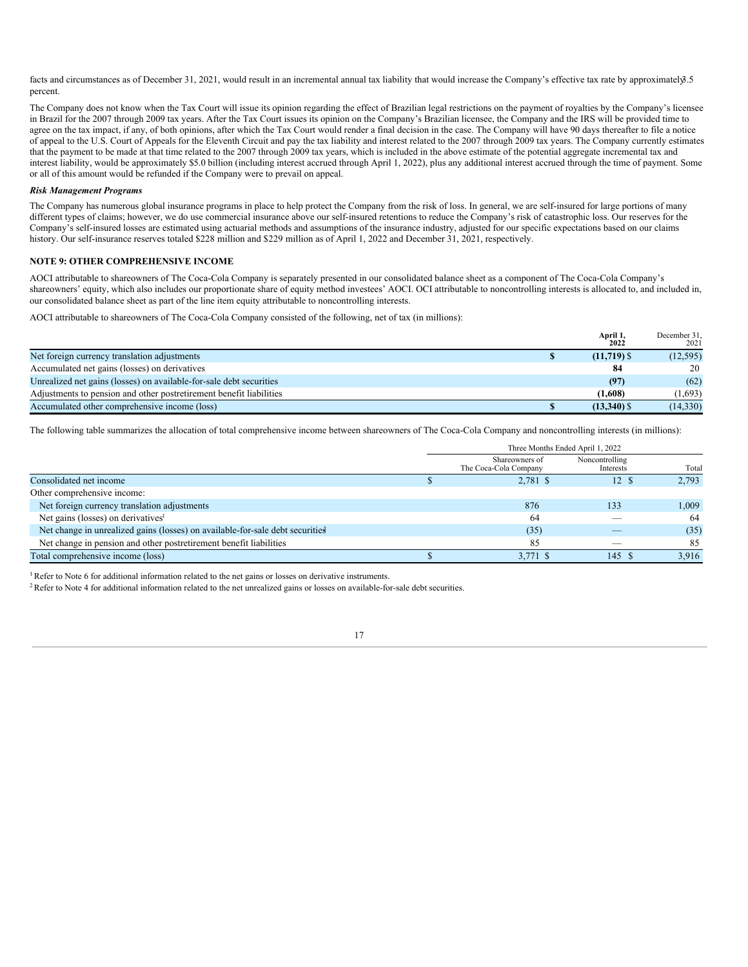facts and circumstances as of December 31, 2021, would result in an incremental annual tax liability that would increase the Company's effective tax rate by approximately3.5 percent.

The Company does not know when the Tax Court will issue its opinion regarding the effect of Brazilian legal restrictions on the payment of royalties by the Company's licensee in Brazil for the 2007 through 2009 tax years. After the Tax Court issues its opinion on the Company's Brazilian licensee, the Company and the IRS will be provided time to agree on the tax impact, if any, of both opinions, after which the Tax Court would render a final decision in the case. The Company will have 90 days thereafter to file a notice of appeal to the U.S. Court of Appeals for the Eleventh Circuit and pay the tax liability and interest related to the 2007 through 2009 tax years. The Company currently estimates that the payment to be made at that time related to the 2007 through 2009 tax years, which is included in the above estimate of the potential aggregate incremental tax and interest liability, would be approximately \$5.0 billion (including interest accrued through April 1, 2022), plus any additional interest accrued through the time of payment. Some or all of this amount would be refunded if the Company were to prevail on appeal.

# *Risk Management Programs*

The Company has numerous global insurance programs in place to help protect the Company from the risk of loss. In general, we are self-insured for large portions of many different types of claims; however, we do use commercial insurance above our self-insured retentions to reduce the Company's risk of catastrophic loss. Our reserves for the Company's self-insured losses are estimated using actuarial methods and assumptions of the insurance industry, adjusted for our specific expectations based on our claims history. Our self-insurance reserves totaled \$228 million and \$229 million as of April 1, 2022 and December 31, 2021, respectively.

## **NOTE 9: OTHER COMPREHENSIVE INCOME**

AOCI attributable to shareowners of The Coca-Cola Company is separately presented in our consolidated balance sheet as a component of The Coca-Cola Company's shareowners' equity, which also includes our proportionate share of equity method investees' AOCI. OCI attributable to noncontrolling interests is allocated to, and included in, our consolidated balance sheet as part of the line item equity attributable to noncontrolling interests.

AOCI attributable to shareowners of The Coca-Cola Company consisted of the following, net of tax (in millions):

|                                                                     | April 1,<br>2022 | December 31,<br>2021 |
|---------------------------------------------------------------------|------------------|----------------------|
| Net foreign currency translation adjustments                        | $(11,719)$ \$    | (12, 595)            |
| Accumulated net gains (losses) on derivatives                       | 84               | 20                   |
| Unrealized net gains (losses) on available-for-sale debt securities | (97)             | (62)                 |
| Adjustments to pension and other postretirement benefit liabilities | (1.608)          | (1,693)              |
| Accumulated other comprehensive income (loss)                       | $(13,340)$ \$    | (14,330)             |

The following table summarizes the allocation of total comprehensive income between shareowners of The Coca-Cola Company and noncontrolling interests (in millions):

|                                                                               |                                         | Three Months Ended April 1, 2022 |       |  |  |  |  |  |
|-------------------------------------------------------------------------------|-----------------------------------------|----------------------------------|-------|--|--|--|--|--|
|                                                                               | Shareowners of<br>The Coca-Cola Company | Noncontrolling<br>Interests      | Total |  |  |  |  |  |
| Consolidated net income                                                       | 2,781 \$                                | 12 S                             | 2,793 |  |  |  |  |  |
| Other comprehensive income:                                                   |                                         |                                  |       |  |  |  |  |  |
| Net foreign currency translation adjustments                                  | 876                                     | 133                              | 1,009 |  |  |  |  |  |
| Net gains (losses) on derivatives <sup>1</sup>                                | 64                                      |                                  | -64   |  |  |  |  |  |
| Net change in unrealized gains (losses) on available-for-sale debt securities | (35)                                    |                                  | (35)  |  |  |  |  |  |
| Net change in pension and other postretirement benefit liabilities            | 85                                      |                                  | 85    |  |  |  |  |  |
| Total comprehensive income (loss)                                             | 3.771 \$                                | 145 S                            | 3,916 |  |  |  |  |  |

<sup>1</sup> Refer to Note 6 for additional information related to the net gains or losses on derivative instruments.

<sup>2</sup> Refer to Note 4 for additional information related to the net unrealized gains or losses on available-for-sale debt securities.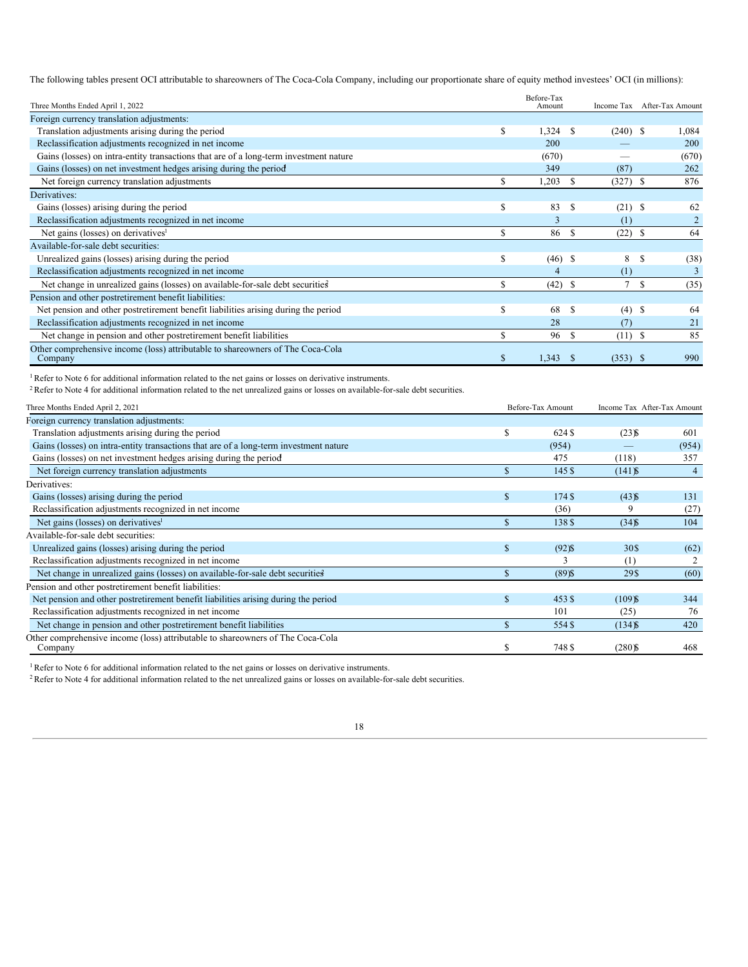The following tables present OCI attributable to shareowners of The Coca-Cola Company, including our proportionate share of equity method investees' OCI (in millions):

| Three Months Ended April 1, 2022                                                          |    | Before-Tax<br>Amount |               | Income Tax |               | After-Tax Amount |
|-------------------------------------------------------------------------------------------|----|----------------------|---------------|------------|---------------|------------------|
| Foreign currency translation adjustments:                                                 |    |                      |               |            |               |                  |
| Translation adjustments arising during the period                                         | \$ | 1,324                | -S            | $(240)$ \$ |               | 1,084            |
| Reclassification adjustments recognized in net income                                     |    | 200                  |               |            |               | <b>200</b>       |
| Gains (losses) on intra-entity transactions that are of a long-term investment nature     |    | (670)                |               |            |               | (670)            |
| Gains (losses) on net investment hedges arising during the period                         |    | 349                  |               | (87)       |               | 262              |
| Net foreign currency translation adjustments                                              | S  | 1,203                | <sup>\$</sup> | (327)      | S             | 876              |
| Derivatives:                                                                              |    |                      |               |            |               |                  |
| Gains (losses) arising during the period                                                  | \$ | 83                   | -S            | $(21)$ \$  |               | 62               |
| Reclassification adjustments recognized in net income                                     |    | 3                    |               | (1)        |               |                  |
| Net gains (losses) on derivatives <sup>1</sup>                                            | S  | 86                   | -S            | (22)       | S             | 64               |
| Available-for-sale debt securities:                                                       |    |                      |               |            |               |                  |
| Unrealized gains (losses) arising during the period                                       | \$ | (46)                 | -S            | 8          | <sup>\$</sup> | (38)             |
| Reclassification adjustments recognized in net income                                     |    | 4                    |               | (1)        |               | 3                |
| Net change in unrealized gains (losses) on available-for-sale debt securities             | S  | (42)                 | -S            | 7          | <sup>\$</sup> | (35)             |
| Pension and other postretirement benefit liabilities:                                     |    |                      |               |            |               |                  |
| Net pension and other postretirement benefit liabilities arising during the period        | \$ | 68                   | <sup>\$</sup> | (4)        | <sup>\$</sup> | 64               |
| Reclassification adjustments recognized in net income                                     |    | 28                   |               | (7)        |               | 21               |
| Net change in pension and other postretirement benefit liabilities                        | S  | 96                   | <sup>S</sup>  | $(11)$ \$  |               | 85               |
| Other comprehensive income (loss) attributable to shareowners of The Coca-Cola<br>Company | \$ | 1,343                | -S            | $(353)$ \$ |               | 990              |

<sup>1</sup> Refer to Note 6 for additional information related to the net gains or losses on derivative instruments.

<sup>2</sup> Refer to Note 4 for additional information related to the net unrealized gains or losses on available-for-sale debt securities.

| Three Months Ended April 2, 2021                                                          |    | Before-Tax Amount | Income Tax After-Tax Amount |                |  |
|-------------------------------------------------------------------------------------------|----|-------------------|-----------------------------|----------------|--|
| Foreign currency translation adjustments:                                                 |    |                   |                             |                |  |
| Translation adjustments arising during the period                                         | \$ | 624 S             | $(23)$ \$                   | 601            |  |
| Gains (losses) on intra-entity transactions that are of a long-term investment nature     |    | (954)             |                             | (954)          |  |
| Gains (losses) on net investment hedges arising during the period                         |    | 475               | (118)                       | 357            |  |
| Net foreign currency translation adjustments                                              | \$ | 145S              | $(141)$ \$                  | $\overline{4}$ |  |
| Derivatives:                                                                              |    |                   |                             |                |  |
| Gains (losses) arising during the period                                                  | \$ | 174S              | $(43)$ \$                   | 131            |  |
| Reclassification adjustments recognized in net income                                     |    | (36)              | 9                           | (27)           |  |
| Net gains (losses) on derivatives <sup>1</sup>                                            | \$ | 138 \$            | $(34)$ \$                   | 104            |  |
| Available-for-sale debt securities:                                                       |    |                   |                             |                |  |
| Unrealized gains (losses) arising during the period                                       | \$ | $(92)$ \$         | 30\$                        | (62)           |  |
| Reclassification adjustments recognized in net income                                     |    | 3                 | (1)                         |                |  |
| Net change in unrealized gains (losses) on available-for-sale debt securities             | \$ | $(89)$ \$         | 29\$                        | (60)           |  |
| Pension and other postretirement benefit liabilities:                                     |    |                   |                             |                |  |
| Net pension and other postretirement benefit liabilities arising during the period        | \$ | 453 \$            | $(109)$ \$                  | 344            |  |
| Reclassification adjustments recognized in net income                                     |    | 101               | (25)                        | 76             |  |
| Net change in pension and other postretirement benefit liabilities                        | \$ | 554\$             | $(134)$ \$                  | 420            |  |
| Other comprehensive income (loss) attributable to shareowners of The Coca-Cola<br>Company | S  | 748 S             | $(280)$ \$                  | 468            |  |

<sup>1</sup> Refer to Note 6 for additional information related to the net gains or losses on derivative instruments.

<sup>2</sup> Refer to Note 4 for additional information related to the net unrealized gains or losses on available-for-sale debt securities.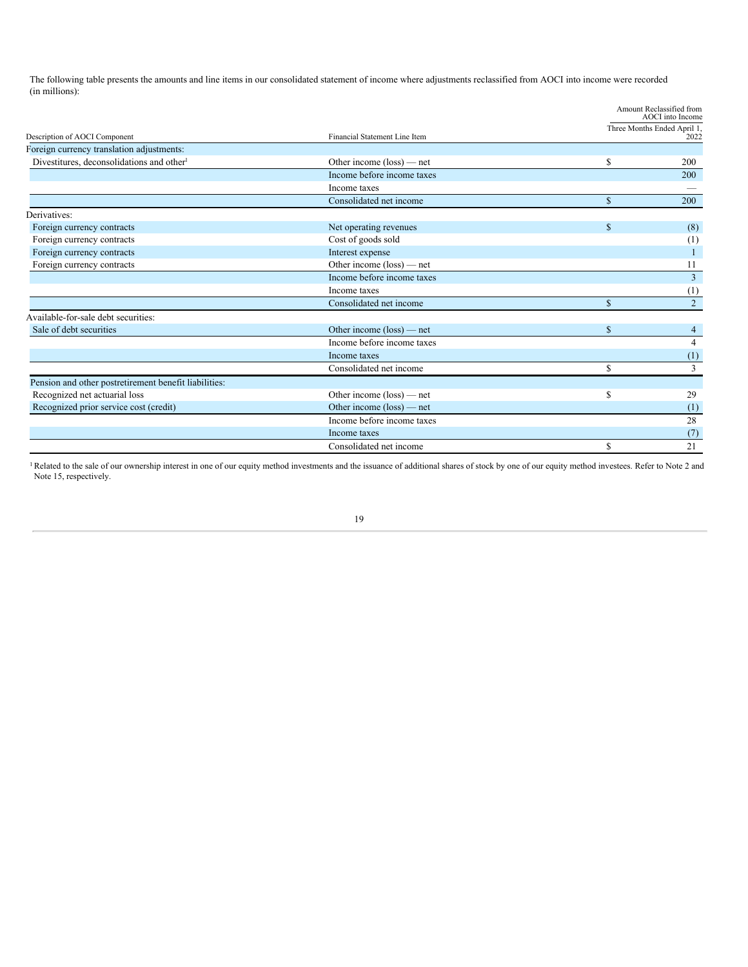The following table presents the amounts and line items in our consolidated statement of income where adjustments reclassified from AOCI into income were recorded (in millions):

|                                                       |                                    |              | Amount Reclassified from<br><b>AOCI</b> into Income<br>Three Months Ended April 1, |
|-------------------------------------------------------|------------------------------------|--------------|------------------------------------------------------------------------------------|
| Description of AOCI Component                         | Financial Statement Line Item      |              | 2022                                                                               |
| Foreign currency translation adjustments:             |                                    |              |                                                                                    |
| Divestitures, deconsolidations and other <sup>1</sup> | Other income $(\text{loss})$ — net | \$           | 200                                                                                |
|                                                       | Income before income taxes         |              | 200                                                                                |
|                                                       | Income taxes                       |              |                                                                                    |
|                                                       | Consolidated net income            | $\mathbb{S}$ | 200                                                                                |
| Derivatives:                                          |                                    |              |                                                                                    |
| Foreign currency contracts                            | Net operating revenues             | \$           | (8)                                                                                |
| Foreign currency contracts                            | Cost of goods sold                 |              | (1)                                                                                |
| Foreign currency contracts                            | Interest expense                   |              |                                                                                    |
| Foreign currency contracts                            | Other income $(\text{loss})$ — net |              | 11                                                                                 |
|                                                       | Income before income taxes         |              | $\overline{3}$                                                                     |
|                                                       | Income taxes                       |              | (1)                                                                                |
|                                                       | Consolidated net income            | $\mathbb{S}$ | $\overline{2}$                                                                     |
| Available-for-sale debt securities:                   |                                    |              |                                                                                    |
| Sale of debt securities                               | Other income $(\text{loss})$ — net | $\mathbb{S}$ | $\overline{4}$                                                                     |
|                                                       | Income before income taxes         |              | $\overline{4}$                                                                     |
|                                                       | Income taxes                       |              | (1)                                                                                |
|                                                       | Consolidated net income            | $\mathbb{S}$ | 3                                                                                  |
| Pension and other postretirement benefit liabilities: |                                    |              |                                                                                    |
| Recognized net actuarial loss                         | Other income $(\text{loss})$ — net | \$           | 29                                                                                 |
| Recognized prior service cost (credit)                | Other income $(\text{loss})$ — net |              | (1)                                                                                |
|                                                       | Income before income taxes         |              | 28                                                                                 |
|                                                       | Income taxes                       |              | (7)                                                                                |
|                                                       | Consolidated net income            | S            | 21                                                                                 |

<sup>1</sup> Related to the sale of our ownership interest in one of our equity method investments and the issuance of additional shares of stock by one of our equity method investees. Refer to Note 2 and Note 15, respectively.

19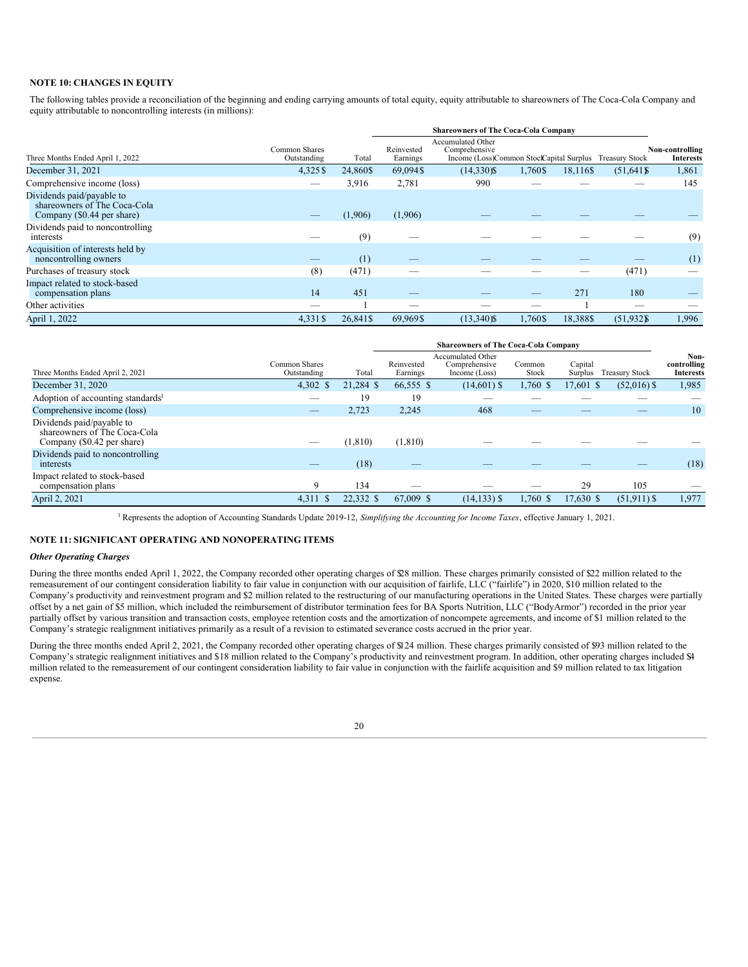## **NOTE 10: CHANGES IN EQUITY**

The following tables provide a reconciliation of the beginning and ending carrying amounts of total equity, equity attributable to shareowners of The Coca-Cola Company and equity attributable to noncontrolling interests (in millions):

|                                                                                         | <b>Shareowners of The Coca-Cola Company</b> |          |                          |                                                                                                      |         |          |          |                                     |  |
|-----------------------------------------------------------------------------------------|---------------------------------------------|----------|--------------------------|------------------------------------------------------------------------------------------------------|---------|----------|----------|-------------------------------------|--|
| Three Months Ended April 1, 2022                                                        | Common Shares<br>Outstanding                | Total    | Reinvested<br>Earnings   | <b>Accumulated Other</b><br>Comprehensive<br>Income (Loss)Common StockCapital Surplus Treasury Stock |         |          |          | Non-controlling<br><b>Interests</b> |  |
| December 31, 2021                                                                       | 4,325\$                                     | 24,860\$ | 69,094\$                 | $(14,330)$ \$                                                                                        | 1,760\$ | 18,116\$ | (51,641) | 1,861                               |  |
| Comprehensive income (loss)                                                             |                                             | 3,916    | 2,781                    | 990                                                                                                  |         |          |          | 145                                 |  |
| Dividends paid/payable to<br>shareowners of The Coca-Cola<br>Company (\$0.44 per share) |                                             | (1,906)  | (1,906)                  |                                                                                                      |         |          |          |                                     |  |
| Dividends paid to noncontrolling<br>interests                                           |                                             | (9)      |                          |                                                                                                      |         |          |          | (9)                                 |  |
| Acquisition of interests held by<br>noncontrolling owners                               |                                             | (1)      |                          |                                                                                                      |         |          |          | (1)                                 |  |
| Purchases of treasury stock                                                             | (8)                                         | (471)    |                          |                                                                                                      |         |          | (471)    | _                                   |  |
| Impact related to stock-based<br>compensation plans                                     | 14                                          | 451      | $\overline{\phantom{a}}$ |                                                                                                      | _       | 271      | 180      |                                     |  |
| Other activities                                                                        | __                                          |          | __                       |                                                                                                      |         |          |          |                                     |  |
| April 1, 2022                                                                           | 4,331\$                                     | 26,841\$ | 69,969\$                 | $(13,340)$ \$                                                                                        | 1,760\$ | 18,388\$ | (51.932) | 1,996                               |  |

|                                                                                         |                              |           | <b>Shareowners of The Coca-Cola Company</b> |                                                            |                 |                    |                       |                                         |  |  |
|-----------------------------------------------------------------------------------------|------------------------------|-----------|---------------------------------------------|------------------------------------------------------------|-----------------|--------------------|-----------------------|-----------------------------------------|--|--|
| Three Months Ended April 2, 2021                                                        | Common Shares<br>Outstanding | Total     | Reinvested<br>Earnings                      | <b>Accumulated Other</b><br>Comprehensive<br>Income (Loss) | Common<br>Stock | Capital<br>Surplus | <b>Treasury Stock</b> | Non-<br>controlling<br><b>Interests</b> |  |  |
| December 31, 2020                                                                       | $4,302$ \$                   | 21,284 \$ | 66,555 \$                                   | $(14,601)$ \$                                              | $1,760$ \$      | $7,601$ \$         | $(52,016)$ \$         | 1,985                                   |  |  |
| Adoption of accounting standards <sup>1</sup>                                           | _                            | 19        | 19                                          | _                                                          |                 |                    |                       |                                         |  |  |
| Comprehensive income (loss)                                                             |                              | 2,723     | 2,245                                       | 468                                                        | _               | _                  |                       | 10                                      |  |  |
| Dividends paid/payable to<br>shareowners of The Coca-Cola<br>Company (\$0.42 per share) |                              | (1, 810)  | (1, 810)                                    |                                                            |                 |                    |                       |                                         |  |  |
| Dividends paid to noncontrolling<br>interests                                           |                              | (18)      |                                             |                                                            |                 |                    |                       | (18)                                    |  |  |
| Impact related to stock-based<br>compensation plans                                     | 9                            | 134       | $\overline{\phantom{a}}$                    | $\overline{\phantom{a}}$                                   | $-$             | 29                 | 105                   |                                         |  |  |
| April 2, 2021                                                                           | 4,311 \$                     | 22,332 \$ | 67,009 \$                                   | $(14, 133)$ \$                                             | $1.760$ \$      | 17,630 \$          | $(51, 911)$ \$        | 1,977                                   |  |  |

Represents the adoption of Accounting Standards Update 2019-12, *Simplifying the Accounting for Income Taxes*, effective January 1, 2021. 1

# **NOTE 11: SIGNIFICANT OPERATING AND NONOPERATING ITEMS**

#### *Other Operating Charges*

During the three months ended April 1, 2022, the Company recorded other operating charges of \$28 million. These charges primarily consisted of \$22 million related to the remeasurement of our contingent consideration liability to fair value in conjunction with our acquisition of fairlife, LLC ("fairlife") in 2020, \$10 million related to the Company's productivity and reinvestment program and \$2 million related to the restructuring of our manufacturing operations in the United States. These charges were partially offset by a net gain of \$5 million, which included the reimbursement of distributor termination fees for BA Sports Nutrition, LLC ("BodyArmor") recorded in the prior year partially offset by various transition and transaction costs, employee retention costs and the amortization of noncompete agreements, and income of \$1 million related to the Company's strategic realignment initiatives primarily as a result of a revision to estimated severance costs accrued in the prior year.

During the three months ended April 2, 2021, the Company recorded other operating charges of \$124 million. These charges primarily consisted of \$93 million related to the Company's strategic realignment initiatives and \$18 million related to the Company's productivity and reinvestment program. In addition, other operating charges included \$4 million related to the remeasurement of our contingent consideration liability to fair value in conjunction with the fairlife acquisition and \$9 million related to tax litigation expense.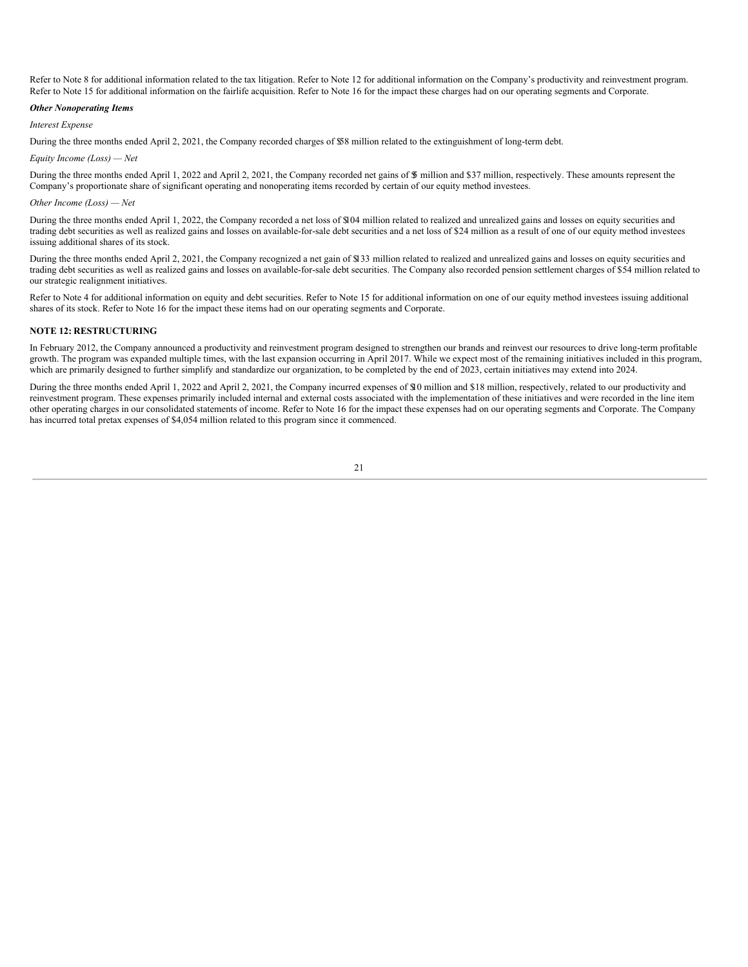Refer to Note 8 for additional information related to the tax litigation. Refer to Note 12 for additional information on the Company's productivity and reinvestment program. Refer to Note 15 for additional information on the fairlife acquisition. Refer to Note 16 for the impact these charges had on our operating segments and Corporate.

### *Other Nonoperating Items*

## *Interest Expense*

During the three months ended April 2, 2021, the Company recorded charges of \$58 million related to the extinguishment of long-term debt.

*Equity Income (Loss) — Net*

During the three months ended April 1, 2022 and April 2, 2021, the Company recorded net gains of \$ million and \$37 million, respectively. These amounts represent the Company's proportionate share of significant operating and nonoperating items recorded by certain of our equity method investees.

#### *Other Income (Loss) — Net*

During the three months ended April 1, 2022, the Company recorded a net loss of \$104 million related to realized and unrealized gains and losses on equity securities and trading debt securities as well as realized gains and losses on available-for-sale debt securities and a net loss of \$24 million as a result of one of our equity method investees issuing additional shares of its stock.

During the three months ended April 2, 2021, the Company recognized a net gain of \$133 million related to realized and unrealized gains and losses on equity securities and trading debt securities as well as realized gains and losses on available-for-sale debt securities. The Company also recorded pension settlement charges of \$54 million related to our strategic realignment initiatives.

Refer to Note 4 for additional information on equity and debt securities. Refer to Note 15 for additional information on one of our equity method investees issuing additional shares of its stock. Refer to Note 16 for the impact these items had on our operating segments and Corporate.

#### **NOTE 12: RESTRUCTURING**

In February 2012, the Company announced a productivity and reinvestment program designed to strengthen our brands and reinvest our resources to drive long-term profitable growth. The program was expanded multiple times, with the last expansion occurring in April 2017. While we expect most of the remaining initiatives included in this program, which are primarily designed to further simplify and standardize our organization, to be completed by the end of 2023, certain initiatives may extend into 2024.

During the three months ended April 1, 2022 and April 2, 2021, the Company incurred expenses of \$10 million and \$18 million, respectively, related to our productivity and reinvestment program. These expenses primarily included internal and external costs associated with the implementation of these initiatives and were recorded in the line item other operating charges in our consolidated statements of income. Refer to Note 16 for the impact these expenses had on our operating segments and Corporate. The Company has incurred total pretax expenses of \$4,054 million related to this program since it commenced.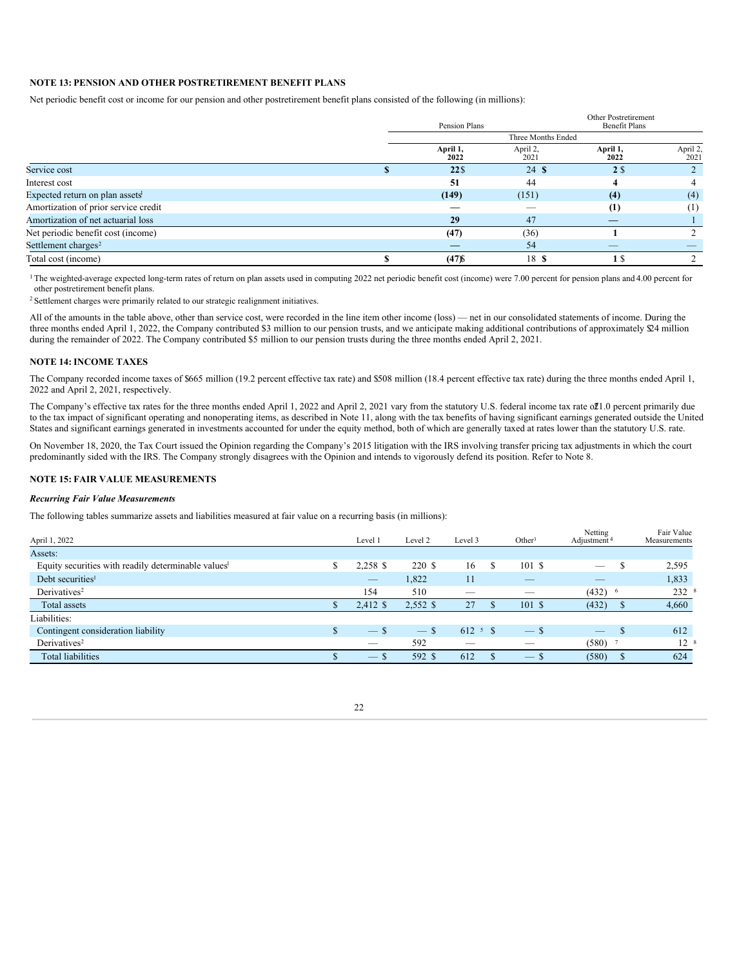## **NOTE 13: PENSION AND OTHER POSTRETIREMENT BENEFIT PLANS**

Net periodic benefit cost or income for our pension and other postretirement benefit plans consisted of the following (in millions):

|                                             | Pension Plans    |                    | Other Postretirement<br><b>Benefit Plans</b> |                  |
|---------------------------------------------|------------------|--------------------|----------------------------------------------|------------------|
|                                             |                  | Three Months Ended |                                              |                  |
|                                             | April 1,<br>2022 | April 2,<br>2021   | April 1,<br>2022                             | April 2,<br>2021 |
| Service cost                                | 22\$             | 24 \$              | 2S                                           |                  |
| Interest cost                               | 51               | 44                 |                                              | $\overline{4}$   |
| Expected return on plan assets <sup>1</sup> | (149)            | (151)              | (4)                                          | (4)              |
| Amortization of prior service credit        |                  |                    | (1)                                          | (1)              |
| Amortization of net actuarial loss          | 29               | 47                 |                                              |                  |
| Net periodic benefit cost (income)          | (47)             | (36)               |                                              |                  |
| Settlement charges <sup>2</sup>             |                  | 54                 | $-$                                          |                  |
| Total cost (income)                         | $(47)$ \$        | 18 \$              | 1 S                                          |                  |

<sup>1</sup>The weighted-average expected long-term rates of return on plan assets used in computing 2022 net periodic benefit cost (income) were 7.00 percent for pension plans and 4.00 percent for other postretirement benefit plans.

<sup>2</sup> Settlement charges were primarily related to our strategic realignment initiatives.

All of the amounts in the table above, other than service cost, were recorded in the line item other income (loss) — net in our consolidated statements of income. During the three months ended April 1, 2022, the Company contributed \$3 million to our pension trusts, and we anticipate making additional contributions of approximately \$24 million during the remainder of 2022. The Company contributed \$5 million to our pension trusts during the three months ended April 2, 2021.

#### **NOTE 14: INCOME TAXES**

The Company recorded income taxes of \$665 million (19.2 percent effective tax rate) and \$508 million (18.4 percent effective tax rate) during the three months ended April 1, 2022 and April 2, 2021, respectively.

The Company's effective tax rates for the three months ended April 1, 2022 and April 2, 2021 vary from the statutory U.S. federal income tax rate of 1.0 percent primarily due to the tax impact of significant operating and nonoperating items, as described in Note 11, along with the tax benefits of having significant earnings generated outside the United States and significant earnings generated in investments accounted for under the equity method, both of which are generally taxed at rates lower than the statutory U.S. rate.

On November 18, 2020, the Tax Court issued the Opinion regarding the Company's 2015 litigation with the IRS involving transfer pricing tax adjustments in which the court predominantly sided with the IRS. The Company strongly disagrees with the Opinion and intends to vigorously defend its position. Refer to Note 8.

## **NOTE 15: FAIR VALUE MEASUREMENTS**

### *Recurring Fair Value Measurements*

The following tables summarize assets and liabilities measured at fair value on a recurring basis (in millions):

| April 1, 2022                                                   |    | Level 1                         | Level 2    | Level 3                  |               | Other <sup>3</sup> | Netting<br>Adjustment <sup>4</sup> | Fair Value<br>Measurements |
|-----------------------------------------------------------------|----|---------------------------------|------------|--------------------------|---------------|--------------------|------------------------------------|----------------------------|
| Assets:                                                         |    |                                 |            |                          |               |                    |                                    |                            |
| Equity securities with readily determinable values <sup>1</sup> | S  | 2,258 \$                        | 220 \$     | 16                       | S             | 101S               |                                    | 2,595                      |
| Debt securities <sup>1</sup>                                    |    | $\hspace{0.1mm}-\hspace{0.1mm}$ | 1,822      | 11                       |               | $-$                | $\overline{\phantom{a}}$           | 1,833                      |
| Derivatives <sup>2</sup>                                        |    | 154                             | 510        | $-$                      |               |                    | $(432)$ 6                          | 232                        |
| Total assets                                                    |    | 2,412 \$                        | $2,552$ \$ | 27                       |               | 101S               | (432)<br><sup>2</sup>              | 4,660                      |
| Liabilities:                                                    |    |                                 |            |                          |               |                    |                                    |                            |
| Contingent consideration liability                              | \$ | $-$ \$                          | $-$ \$     | $612 \t5 \tS$            |               | $-$ \$             |                                    | 612                        |
| Derivatives <sup>2</sup>                                        |    | $\hspace{0.1mm}-\hspace{0.1mm}$ | 592        | $\overline{\phantom{a}}$ |               | _                  | (580)                              | 12                         |
| <b>Total liabilities</b>                                        | ъ  | $\overline{\phantom{0}}$        | 592 \$     | 612                      | <sup>\$</sup> | $-5$               | (580)<br>ж                         | 624                        |

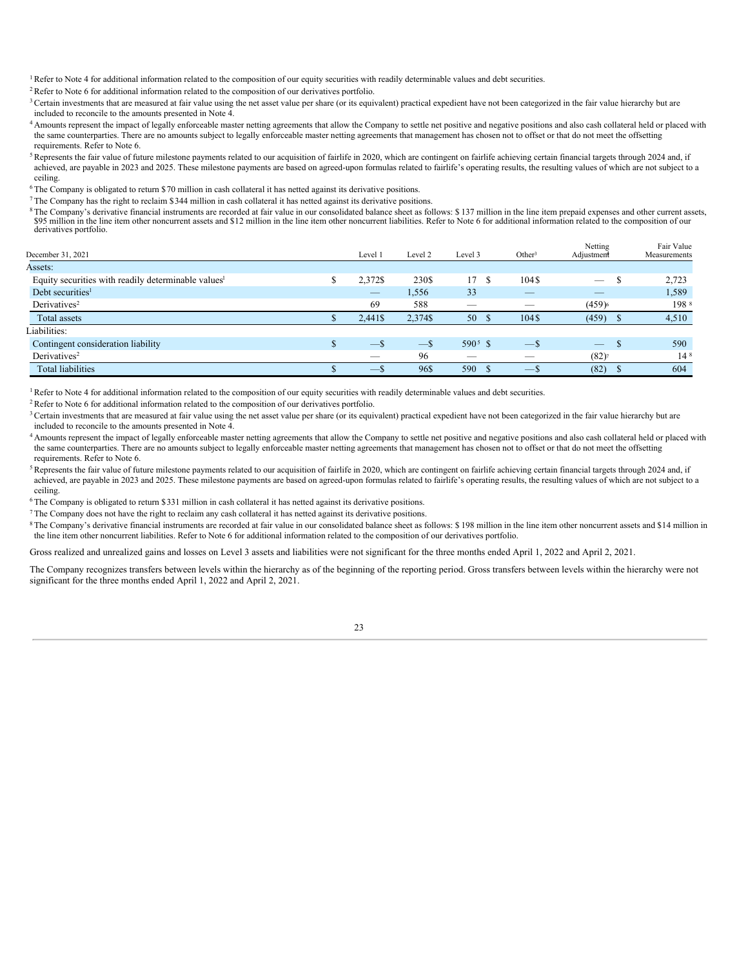<sup>1</sup> Refer to Note 4 for additional information related to the composition of our equity securities with readily determinable values and debt securities.

 $P^2$  Refer to Note 6 for additional information related to the composition of our derivatives portfolio.

<sup>3</sup> Certain investments that are measured at fair value using the net asset value per share (or its equivalent) practical expedient have not been categorized in the fair value hierarchy but are included to reconcile to the amounts presented in Note 4.

Amounts represent the impact of legally enforceable master netting agreements that allow the Company to settle net positive and negative positions and also cash collateral held or placed with 4 the same counterparties. There are no amounts subject to legally enforceable master netting agreements that management has chosen not to offset or that do not meet the offsetting requirements. Refer to Note 6.

 $<sup>5</sup>$  Represents the fair value of future milestone payments related to our acquisition of fairlife in 2020, which are contingent on fairlife achieving certain financial targets through 2024 and, if</sup> achieved, are payable in 2023 and 2025. These milestone payments are based on agreed-upon formulas related to fairlife's operating results, the resulting values of which are not subject to a ceiling.

 $6$  The Company is obligated to return \$70 million in cash collateral it has netted against its derivative positions.

 $^7$  The Company has the right to reclaim \$344 million in cash collateral it has netted against its derivative positions.

<sup>8</sup> The Company's derivative financial instruments are recorded at fair value in our consolidated balance sheet as follows: \$137 million in the line item prepaid expenses and other current assets, \$95 million in the line i derivatives portfolio.

| December 31, 2021                                               |   | Level 1                  | Level 2 | Level 3              | Other <sup>3</sup> | Netting<br>Adjustment | Fair Value<br>Measurements |
|-----------------------------------------------------------------|---|--------------------------|---------|----------------------|--------------------|-----------------------|----------------------------|
| Assets:                                                         |   |                          |         |                      |                    |                       |                            |
| Equity securities with readily determinable values <sup>1</sup> | S | 2,372\$                  | 230\$   | 17S                  | 104\$              | S                     | 2,723                      |
| Debt securities <sup>1</sup>                                    |   | $\overline{\phantom{a}}$ | 1,556   | 33                   | _                  | _                     | 1,589                      |
| Derivatives <sup>2</sup>                                        |   | 69                       | 588     | __                   | __                 | (459) <sub>6</sub>    | 1988                       |
| Total assets                                                    |   | 2,441\$                  | 2,374\$ | 50<br>$\blacksquare$ | 104\$              | (459)<br><sup>8</sup> | 4,510                      |
| Liabilities:                                                    |   |                          |         |                      |                    |                       |                            |
| Contingent consideration liability                              | S | $-$ s                    | $-$ \$  | 590 $5S$             | $-\$$              | <sup>\$</sup>         | 590                        |
| Derivatives <sup>2</sup>                                        |   | $\overline{\phantom{a}}$ | 96      | __                   | __                 | $(82)$ <sup>7</sup>   | 14 <sup>8</sup>            |
| <b>Total liabilities</b>                                        |   | $-$ \$                   | 96\$    | 590                  | $\rightarrow$      | (82)                  | 604                        |

<sup>1</sup> Refer to Note 4 for additional information related to the composition of our equity securities with readily determinable values and debt securities.

 $<sup>2</sup>$  Refer to Note 6 for additional information related to the composition of our derivatives portfolio.</sup>

<sup>3</sup> Certain investments that are measured at fair value using the net asset value per share (or its equivalent) practical expedient have not been categorized in the fair value hierarchy but are included to reconcile to the amounts presented in Note 4.

4 Amounts represent the impact of legally enforceable master netting agreements that allow the Company to settle net positive and negative positions and also cash collateral held or placed with the same counterparties. There are no amounts subject to legally enforceable master netting agreements that management has chosen not to offset or that do not meet the offsetting requirements. Refer to Note 6.

 $<sup>5</sup>$  Represents the fair value of future milestone payments related to our acquisition of fairlife in 2020, which are contingent on fairlife achieving certain financial targets through 2024 and, if</sup> achieved, are payable in 2023 and 2025. These milestone payments are based on agreed-upon formulas related to fairlife's operating results, the resulting values of which are not subject to a ceiling.

 $6$  The Company is obligated to return \$331 million in cash collateral it has netted against its derivative positions.

 $<sup>7</sup>$  The Company does not have the right to reclaim any cash collateral it has netted against its derivative positions.</sup>

<sup>8</sup> The Company's derivative financial instruments are recorded at fair value in our consolidated balance sheet as follows: \$198 million in the line item other noncurrent assets and \$14 million in the line item other noncurrent liabilities. Refer to Note 6 for additional information related to the composition of our derivatives portfolio.

Gross realized and unrealized gains and losses on Level 3 assets and liabilities were not significant for the three months ended April 1, 2022 and April 2, 2021.

The Company recognizes transfers between levels within the hierarchy as of the beginning of the reporting period. Gross transfers between levels within the hierarchy were not significant for the three months ended April 1, 2022 and April 2, 2021.

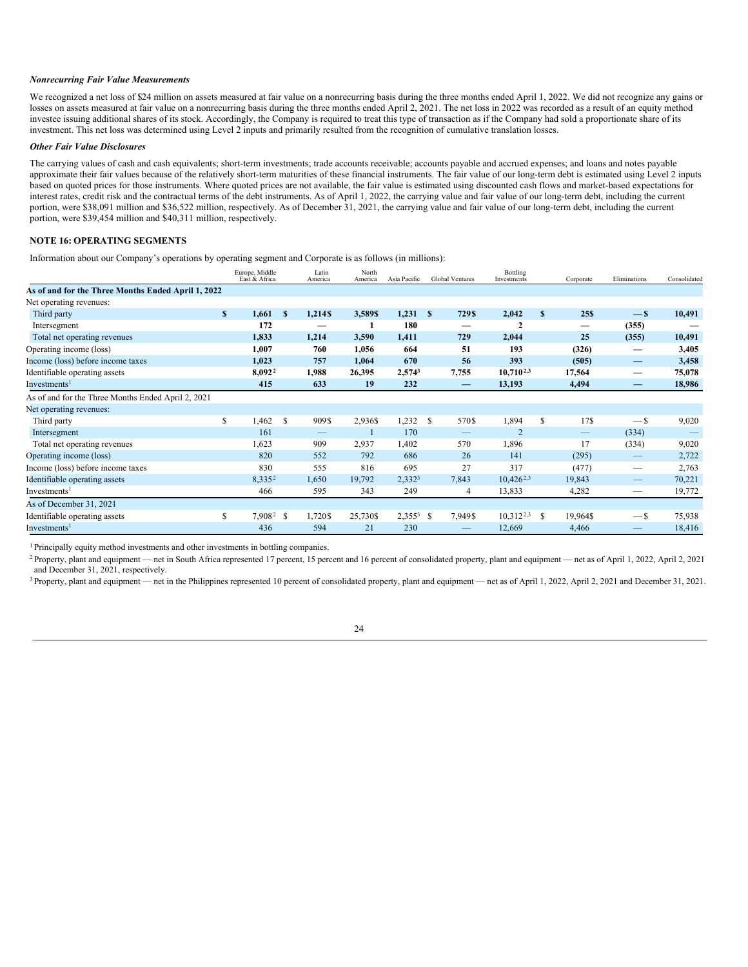#### *Nonrecurring Fair Value Measurements*

We recognized a net loss of \$24 million on assets measured at fair value on a nonrecurring basis during the three months ended April 1, 2022. We did not recognize any gains or losses on assets measured at fair value on a nonrecurring basis during the three months ended April 2, 2021. The net loss in 2022 was recorded as a result of an equity method investee issuing additional shares of its stock. Accordingly, the Company is required to treat this type of transaction as if the Company had sold a proportionate share of its investment. This net loss was determined using Level 2 inputs and primarily resulted from the recognition of cumulative translation losses.

### *Other Fair Value Disclosures*

The carrying values of cash and cash equivalents; short-term investments; trade accounts receivable; accounts payable and accrued expenses; and loans and notes payable approximate their fair values because of the relatively short-term maturities of these financial instruments. The fair value of our long-term debt is estimated using Level 2 inputs based on quoted prices for those instruments. Where quoted prices are not available, the fair value is estimated using discounted cash flows and market-based expectations for interest rates, credit risk and the contractual terms of the debt instruments. As of April 1, 2022, the carrying value and fair value of our long-term debt, including the current portion, were \$38,091 million and \$36,522 million, respectively. As of December 31, 2021, the carrying value and fair value of our long-term debt, including the current portion, were \$39,454 million and \$40,311 million, respectively.

#### **NOTE 16: OPERATING SEGMENTS**

Information about our Company's operations by operating segment and Corporate is as follows (in millions):

|                                                    |   | Europe, Middle<br>East & Africa |          | Latin<br>America | North<br>America | Asia Pacific |               | Global Ventures | Bottling<br>Investments |               | Corporate | Eliminations                      | Consolidated |
|----------------------------------------------------|---|---------------------------------|----------|------------------|------------------|--------------|---------------|-----------------|-------------------------|---------------|-----------|-----------------------------------|--------------|
| As of and for the Three Months Ended April 1, 2022 |   |                                 |          |                  |                  |              |               |                 |                         |               |           |                                   |              |
| Net operating revenues:                            |   |                                 |          |                  |                  |              |               |                 |                         |               |           |                                   |              |
| Third party                                        | S | 1,661                           | -S       | 1,214\$          | 3,589\$          | 1,231        | <sup>\$</sup> | 729\$           | 2,042                   | S             | 25\$      | $-\$$                             | 10,491       |
| Intersegment                                       |   | 172                             |          |                  |                  | 180          |               | –               | $\overline{2}$          |               |           | (355)                             |              |
| Total net operating revenues                       |   | 1,833                           |          | 1,214            | 3,590            | 1,411        |               | 729             | 2,044                   |               | 25        | (355)                             | 10,491       |
| Operating income (loss)                            |   | 1,007                           |          | 760              | 1,056            | 664          |               | 51              | 193                     |               | (326)     |                                   | 3,405        |
| Income (loss) before income taxes                  |   | 1,023                           |          | 757              | 1,064            | 670          |               | 56              | 393                     |               | (505)     | $\qquad \qquad \overbrace{ }^{ }$ | 3,458        |
| Identifiable operating assets                      |   | 8.0922                          |          | 1.988            | 26,395           | 2,5743       |               | 7,755           | $10,710^{2,3}$          |               | 17,564    | —                                 | 75,078       |
| Investments <sup>1</sup>                           |   | 415                             |          | 633              | 19               | 232          |               |                 | 13,193                  |               | 4,494     | $\hspace{0.05cm}$                 | 18,986       |
| As of and for the Three Months Ended April 2, 2021 |   |                                 |          |                  |                  |              |               |                 |                         |               |           |                                   |              |
| Net operating revenues:                            |   |                                 |          |                  |                  |              |               |                 |                         |               |           |                                   |              |
| Third party                                        | S | 1,462                           | <b>S</b> | 909 S            | 2,936\$          | 1,232        | S             | 570\$           | 1,894                   | \$            | 17\$      | $-s$                              | 9,020        |
| Intersegment                                       |   | 161                             |          |                  |                  | 170          |               |                 | $\overline{2}$          |               |           | (334)                             |              |
| Total net operating revenues                       |   | 1,623                           |          | 909              | 2,937            | 1,402        |               | 570             | 1,896                   |               | 17        | (334)                             | 9,020        |
| Operating income (loss)                            |   | 820                             |          | 552              | 792              | 686          |               | 26              | 141                     |               | (295)     | $\hspace{0.1mm}-\hspace{0.1mm}$   | 2,722        |
| Income (loss) before income taxes                  |   | 830                             |          | 555              | 816              | 695          |               | 27              | 317                     |               | (477)     | $\hspace{0.05cm}$                 | 2,763        |
| Identifiable operating assets                      |   | 8,3352                          |          | 1,650            | 19,792           | 2,3323       |               | 7,843           | $10,426^{2,3}$          |               | 19,843    |                                   | 70,221       |
| Investments <sup>1</sup>                           |   | 466                             |          | 595              | 343              | 249          |               | 4               | 13,833                  |               | 4,282     | $\hspace{0.05cm}$                 | 19,772       |
| As of December 31, 2021                            |   |                                 |          |                  |                  |              |               |                 |                         |               |           |                                   |              |
| Identifiable operating assets                      | S | $7,908^2$ \$                    |          | 1,720\$          | 25,730\$         | $2,355^3$    | - S           | 7,949\$         | $10,312^{2,3}$          | <sup>\$</sup> | 19,964\$  | $-s$                              | 75,938       |
| Investments <sup>1</sup>                           |   | 436                             |          | 594              | 21               | 230          |               |                 | 12,669                  |               | 4,466     | $\hspace{0.05cm}$                 | 18,416       |

<sup>1</sup> Principally equity method investments and other investments in bottling companies.

Property, plant and equipment — net in South Africa represented 17 percent, 15 percent and 16 percent of consolidated property, plant and equipment — net as of April 1, 2022, April 2, 2021 2 and December 31, 2021, respectively.

<sup>3</sup> Property, plant and equipment — net in the Philippines represented 10 percent of consolidated property, plant and equipment — net as of April 1, 2022, April 2, 2021 and December 31, 2021.

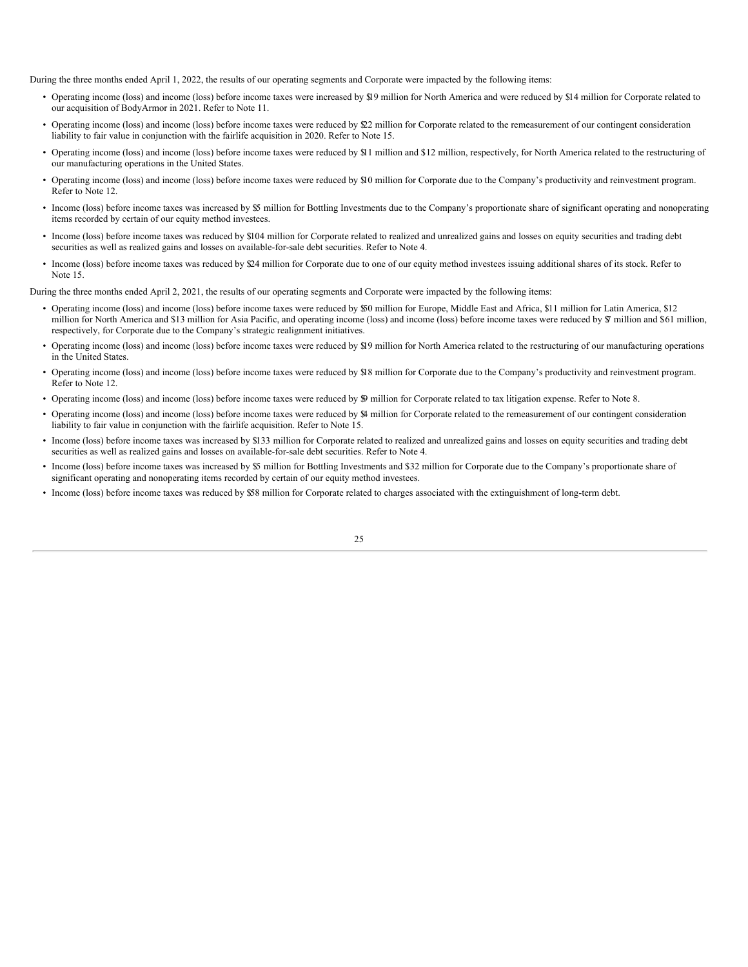During the three months ended April 1, 2022, the results of our operating segments and Corporate were impacted by the following items:

- Operating income (loss) and income (loss) before income taxes were increased by \$19 million for North America and were reduced by \$14 million for Corporate related to our acquisition of BodyArmor in 2021. Refer to Note 11.
- Operating income (loss) and income (loss) before income taxes were reduced by \$22 million for Corporate related to the remeasurement of our contingent consideration liability to fair value in conjunction with the fairlife acquisition in 2020. Refer to Note 15.
- Operating income (loss) and income (loss) before income taxes were reduced by \$11 million and \$12 million, respectively, for North America related to the restructuring of our manufacturing operations in the United States.
- Operating income (loss) and income (loss) before income taxes were reduced by \$10 million for Corporate due to the Company's productivity and reinvestment program. Refer to Note 12.
- Income (loss) before income taxes was increased by \$5 million for Bottling Investments due to the Company's proportionate share of significant operating and nonoperating items recorded by certain of our equity method investees.
- Income (loss) before income taxes was reduced by \$104 million for Corporate related to realized and unrealized gains and losses on equity securities and trading debt securities as well as realized gains and losses on available-for-sale debt securities. Refer to Note 4.
- Income (loss) before income taxes was reduced by \$24 million for Corporate due to one of our equity method investees issuing additional shares of its stock. Refer to Note 15.

During the three months ended April 2, 2021, the results of our operating segments and Corporate were impacted by the following items:

- Operating income (loss) and income (loss) before income taxes were reduced by \$50 million for Europe, Middle East and Africa, \$11 million for Latin America, \$12 million for North America and \$13 million for Asia Pacific, and operating income (loss) and income (loss) before income taxes were reduced by \$7 million and \$61 million, respectively, for Corporate due to the Company's strategic realignment initiatives.
- Operating income (loss) and income (loss) before income taxes were reduced by \$19 million for North America related to the restructuring of our manufacturing operations in the United States.
- Operating income (loss) and income (loss) before income taxes were reduced by \$18 million for Corporate due to the Company's productivity and reinvestment program. Refer to Note 12.
- Operating income (loss) and income (loss) before income taxes were reduced by  $\mathcal D$  million for Corporate related to tax litigation expense. Refer to Note 8.
- Operating income (loss) and income (loss) before income taxes were reduced by  $$$  million for Corporate related to the remeasurement of our contingent consideration liability to fair value in conjunction with the fairlife acquisition. Refer to Note 15.
- Income (loss) before income taxes was increased by \$133 million for Corporate related to realized and unrealized gains and losses on equity securities and trading debt securities as well as realized gains and losses on available-for-sale debt securities. Refer to Note 4.
- Income (loss) before income taxes was increased by \$5 million for Bottling Investments and \$32 million for Corporate due to the Company's proportionate share of significant operating and nonoperating items recorded by certain of our equity method investees.
- <span id="page-27-0"></span>• Income (loss) before income taxes was reduced by \$58 million for Corporate related to charges associated with the extinguishment of long-term debt.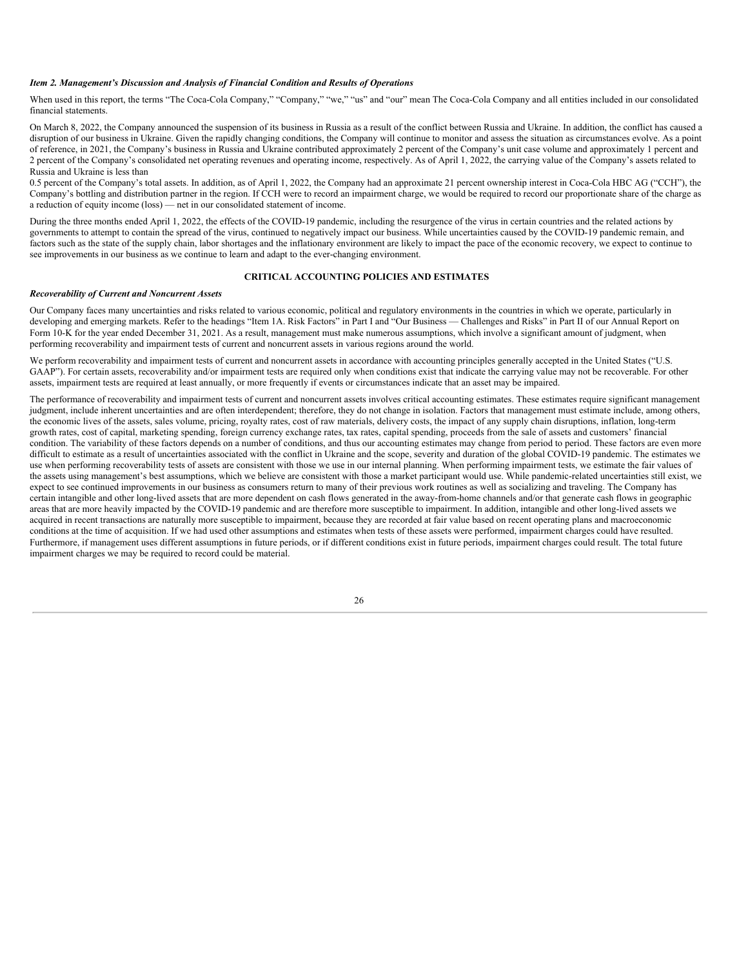#### *Item 2. Management's Discussion and Analysis of Financial Condition and Results of Operations*

When used in this report, the terms "The Coca-Cola Company," "Company," "we," "us" and "our" mean The Coca-Cola Company and all entities included in our consolidated financial statements.

On March 8, 2022, the Company announced the suspension of its business in Russia as a result of the conflict between Russia and Ukraine. In addition, the conflict has caused a disruption of our business in Ukraine. Given the rapidly changing conditions, the Company will continue to monitor and assess the situation as circumstances evolve. As a point of reference, in 2021, the Company's business in Russia and Ukraine contributed approximately 2 percent of the Company's unit case volume and approximately 1 percent and 2 percent of the Company's consolidated net operating revenues and operating income, respectively. As of April 1, 2022, the carrying value of the Company's assets related to Russia and Ukraine is less than

0.5 percent of the Company's total assets. In addition, as of April 1, 2022, the Company had an approximate 21 percent ownership interest in Coca-Cola HBC AG ("CCH"), the Company's bottling and distribution partner in the region. If CCH were to record an impairment charge, we would be required to record our proportionate share of the charge as a reduction of equity income (loss) — net in our consolidated statement of income.

During the three months ended April 1, 2022, the effects of the COVID-19 pandemic, including the resurgence of the virus in certain countries and the related actions by governments to attempt to contain the spread of the virus, continued to negatively impact our business. While uncertainties caused by the COVID-19 pandemic remain, and factors such as the state of the supply chain, labor shortages and the inflationary environment are likely to impact the pace of the economic recovery, we expect to continue to see improvements in our business as we continue to learn and adapt to the ever-changing environment.

### **CRITICAL ACCOUNTING POLICIES AND ESTIMATES**

#### *Recoverability of Current and Noncurrent Assets*

Our Company faces many uncertainties and risks related to various economic, political and regulatory environments in the countries in which we operate, particularly in developing and emerging markets. Refer to the headings "Item 1A. Risk Factors" in Part I and "Our Business - Challenges and Risks" in Part II of our Annual Report on Form 10-K for the year ended December 31, 2021. As a result, management must make numerous assumptions, which involve a significant amount of judgment, when performing recoverability and impairment tests of current and noncurrent assets in various regions around the world.

We perform recoverability and impairment tests of current and noncurrent assets in accordance with accounting principles generally accepted in the United States ("U.S. GAAP"). For certain assets, recoverability and/or impairment tests are required only when conditions exist that indicate the carrying value may not be recoverable. For other assets, impairment tests are required at least annually, or more frequently if events or circumstances indicate that an asset may be impaired.

The performance of recoverability and impairment tests of current and noncurrent assets involves critical accounting estimates. These estimates require significant management judgment, include inherent uncertainties and are often interdependent; therefore, they do not change in isolation. Factors that management must estimate include, among others, the economic lives of the assets, sales volume, pricing, royalty rates, cost of raw materials, delivery costs, the impact of any supply chain disruptions, inflation, long-term growth rates, cost of capital, marketing spending, foreign currency exchange rates, tax rates, capital spending, proceeds from the sale of assets and customers' financial condition. The variability of these factors depends on a number of conditions, and thus our accounting estimates may change from period to period. These factors are even more difficult to estimate as a result of uncertainties associated with the conflict in Ukraine and the scope, severity and duration of the global COVID-19 pandemic. The estimates we use when performing recoverability tests of assets are consistent with those we use in our internal planning. When performing impairment tests, we estimate the fair values of the assets using management's best assumptions, which we believe are consistent with those a market participant would use. While pandemic-related uncertainties still exist, we expect to see continued improvements in our business as consumers return to many of their previous work routines as well as socializing and traveling. The Company has certain intangible and other long-lived assets that are more dependent on cash flows generated in the away-from-home channels and/or that generate cash flows in geographic areas that are more heavily impacted by the COVID-19 pandemic and are therefore more susceptible to impairment. In addition, intangible and other long-lived assets we acquired in recent transactions are naturally more susceptible to impairment, because they are recorded at fair value based on recent operating plans and macroeconomic conditions at the time of acquisition. If we had used other assumptions and estimates when tests of these assets were performed, impairment charges could have resulted. Furthermore, if management uses different assumptions in future periods, or if different conditions exist in future periods, impairment charges could result. The total future impairment charges we may be required to record could be material.

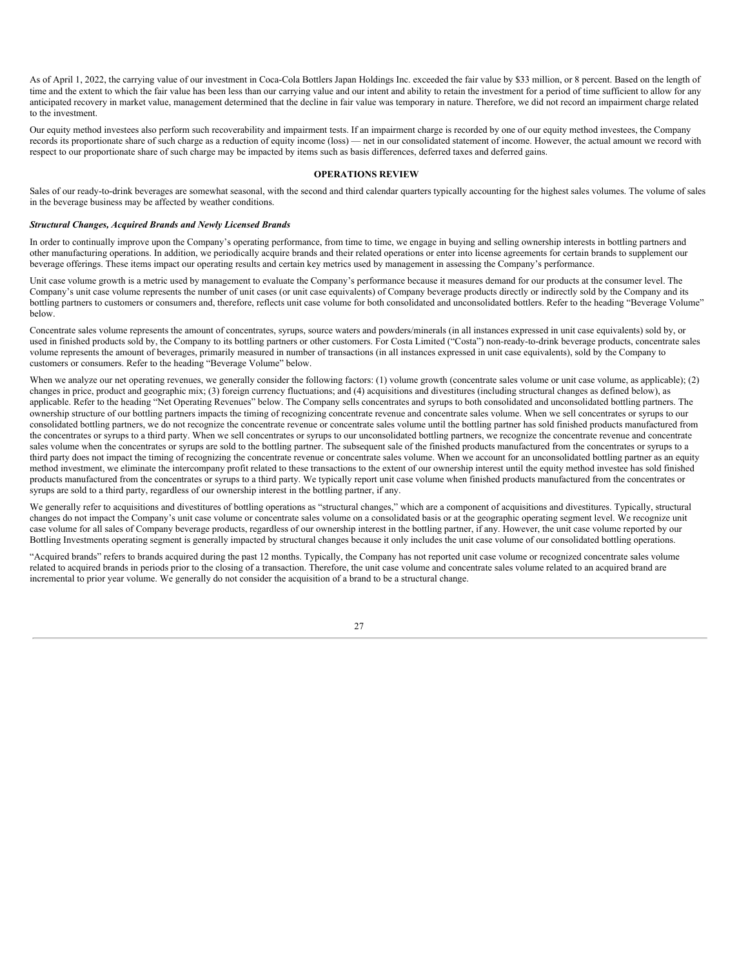As of April 1, 2022, the carrying value of our investment in Coca-Cola Bottlers Japan Holdings Inc. exceeded the fair value by \$33 million, or 8 percent. Based on the length of time and the extent to which the fair value has been less than our carrying value and our intent and ability to retain the investment for a period of time sufficient to allow for any anticipated recovery in market value, management determined that the decline in fair value was temporary in nature. Therefore, we did not record an impairment charge related to the investment.

Our equity method investees also perform such recoverability and impairment tests. If an impairment charge is recorded by one of our equity method investees, the Company records its proportionate share of such charge as a reduction of equity income (loss) — net in our consolidated statement of income. However, the actual amount we record with respect to our proportionate share of such charge may be impacted by items such as basis differences, deferred taxes and deferred gains.

## **OPERATIONS REVIEW**

Sales of our ready-to-drink beverages are somewhat seasonal, with the second and third calendar quarters typically accounting for the highest sales volumes. The volume of sales in the beverage business may be affected by weather conditions.

#### *Structural Changes, Acquired Brands and Newly Licensed Brands*

In order to continually improve upon the Company's operating performance, from time to time, we engage in buying and selling ownership interests in bottling partners and other manufacturing operations. In addition, we periodically acquire brands and their related operations or enter into license agreements for certain brands to supplement our beverage offerings. These items impact our operating results and certain key metrics used by management in assessing the Company's performance.

Unit case volume growth is a metric used by management to evaluate the Company's performance because it measures demand for our products at the consumer level. The Company's unit case volume represents the number of unit cases (or unit case equivalents) of Company beverage products directly or indirectly sold by the Company and its bottling partners to customers or consumers and, therefore, reflects unit case volume for both consolidated and unconsolidated bottlers. Refer to the heading "Beverage Volume" below.

Concentrate sales volume represents the amount of concentrates, syrups, source waters and powders/minerals (in all instances expressed in unit case equivalents) sold by, or used in finished products sold by, the Company to its bottling partners or other customers. For Costa Limited ("Costa") non-ready-to-drink beverage products, concentrate sales volume represents the amount of beverages, primarily measured in number of transactions (in all instances expressed in unit case equivalents), sold by the Company to customers or consumers. Refer to the heading "Beverage Volume" below.

When we analyze our net operating revenues, we generally consider the following factors: (1) volume growth (concentrate sales volume or unit case volume, as applicable); (2) changes in price, product and geographic mix; (3) foreign currency fluctuations; and (4) acquisitions and divestitures (including structural changes as defined below), as applicable. Refer to the heading "Net Operating Revenues" below. The Company sells concentrates and syrups to both consolidated and unconsolidated bottling partners. The ownership structure of our bottling partners impacts the timing of recognizing concentrate revenue and concentrate sales volume. When we sell concentrates or syrups to our consolidated bottling partners, we do not recognize the concentrate revenue or concentrate sales volume until the bottling partner has sold finished products manufactured from the concentrates or syrups to a third party. When we sell concentrates or syrups to our unconsolidated bottling partners, we recognize the concentrate revenue and concentrate sales volume when the concentrates or syrups are sold to the bottling partner. The subsequent sale of the finished products manufactured from the concentrates or syrups to a third party does not impact the timing of recognizing the concentrate revenue or concentrate sales volume. When we account for an unconsolidated bottling partner as an equity method investment, we eliminate the intercompany profit related to these transactions to the extent of our ownership interest until the equity method investee has sold finished products manufactured from the concentrates or syrups to a third party. We typically report unit case volume when finished products manufactured from the concentrates or syrups are sold to a third party, regardless of our ownership interest in the bottling partner, if any.

We generally refer to acquisitions and divestitures of bottling operations as "structural changes," which are a component of acquisitions and divestitures. Typically, structural changes do not impact the Company's unit case volume or concentrate sales volume on a consolidated basis or at the geographic operating segment level. We recognize unit case volume for all sales of Company beverage products, regardless of our ownership interest in the bottling partner, if any. However, the unit case volume reported by our Bottling Investments operating segment is generally impacted by structural changes because it only includes the unit case volume of our consolidated bottling operations.

"Acquired brands" refers to brands acquired during the past 12 months. Typically, the Company has not reported unit case volume or recognized concentrate sales volume related to acquired brands in periods prior to the closing of a transaction. Therefore, the unit case volume and concentrate sales volume related to an acquired brand are incremental to prior year volume. We generally do not consider the acquisition of a brand to be a structural change.

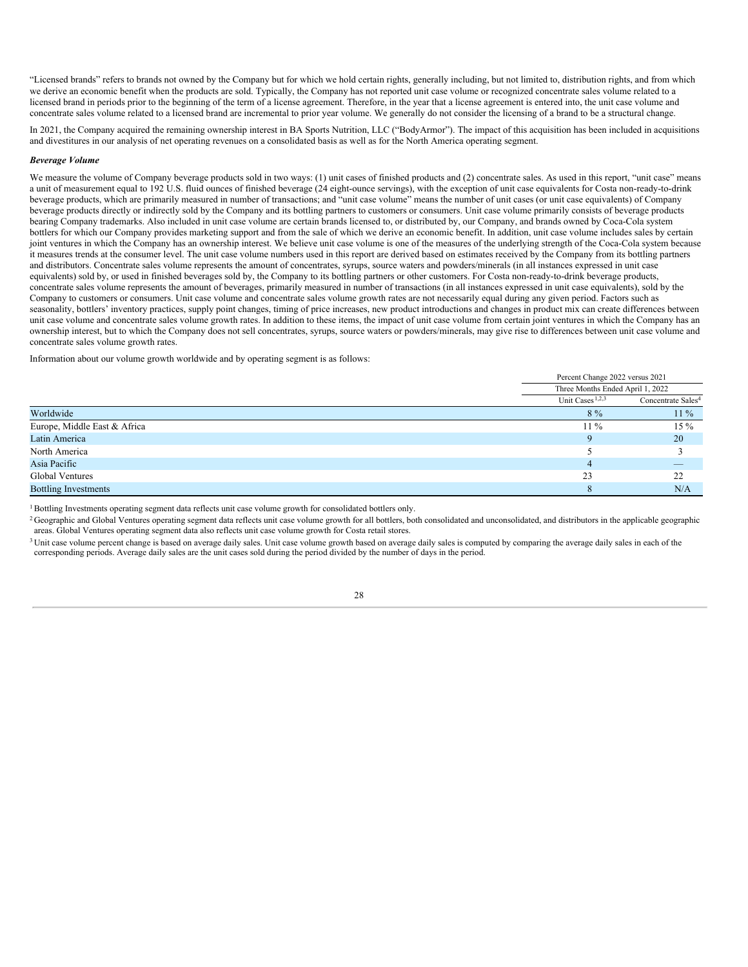"Licensed brands" refers to brands not owned by the Company but for which we hold certain rights, generally including, but not limited to, distribution rights, and from which we derive an economic benefit when the products are sold. Typically, the Company has not reported unit case volume or recognized concentrate sales volume related to a licensed brand in periods prior to the beginning of the term of a license agreement. Therefore, in the year that a license agreement is entered into, the unit case volume and concentrate sales volume related to a licensed brand are incremental to prior year volume. We generally do not consider the licensing of a brand to be a structural change.

In 2021, the Company acquired the remaining ownership interest in BA Sports Nutrition, LLC ("BodyArmor"). The impact of this acquisition has been included in acquisitions and divestitures in our analysis of net operating revenues on a consolidated basis as well as for the North America operating segment.

#### *Beverage Volume*

We measure the volume of Company beverage products sold in two ways: (1) unit cases of finished products and (2) concentrate sales. As used in this report, "unit case" means a unit of measurement equal to 192 U.S. fluid ounces of finished beverage (24 eight-ounce servings), with the exception of unit case equivalents for Costa non-ready-to-drink beverage products, which are primarily measured in number of transactions; and "unit case volume" means the number of unit cases (or unit case equivalents) of Company beverage products directly or indirectly sold by the Company and its bottling partners to customers or consumers. Unit case volume primarily consists of beverage products bearing Company trademarks. Also included in unit case volume are certain brands licensed to, or distributed by, our Company, and brands owned by Coca-Cola system bottlers for which our Company provides marketing support and from the sale of which we derive an economic benefit. In addition, unit case volume includes sales by certain joint ventures in which the Company has an ownership interest. We believe unit case volume is one of the measures of the underlying strength of the Coca-Cola system because it measures trends at the consumer level. The unit case volume numbers used in this report are derived based on estimates received by the Company from its bottling partners and distributors. Concentrate sales volume represents the amount of concentrates, syrups, source waters and powders/minerals (in all instances expressed in unit case equivalents) sold by, or used in finished beverages sold by, the Company to its bottling partners or other customers. For Costa non-ready-to-drink beverage products, concentrate sales volume represents the amount of beverages, primarily measured in number of transactions (in all instances expressed in unit case equivalents), sold by the Company to customers or consumers. Unit case volume and concentrate sales volume growth rates are not necessarily equal during any given period. Factors such as seasonality, bottlers' inventory practices, supply point changes, timing of price increases, new product introductions and changes in product mix can create differences between unit case volume and concentrate sales volume growth rates. In addition to these items, the impact of unit case volume from certain joint ventures in which the Company has an ownership interest, but to which the Company does not sell concentrates, syrups, source waters or powders/minerals, may give rise to differences between unit case volume and concentrate sales volume growth rates.

Information about our volume growth worldwide and by operating segment is as follows:

|                              | Percent Change 2022 versus 2021<br>Three Months Ended April 1, 2022 |                                |  |
|------------------------------|---------------------------------------------------------------------|--------------------------------|--|
|                              |                                                                     |                                |  |
|                              | Unit Cases $1,2,3$                                                  | Concentrate Sales <sup>4</sup> |  |
| Worldwide                    | $8\%$                                                               | $11\%$                         |  |
| Europe, Middle East & Africa | $11\%$                                                              | $15\%$                         |  |
| Latin America                | 9                                                                   | 20                             |  |
| North America                |                                                                     |                                |  |
| Asia Pacific                 |                                                                     |                                |  |
| Global Ventures              | 23                                                                  | 22                             |  |
| <b>Bottling Investments</b>  |                                                                     | N/A                            |  |

<sup>1</sup> Bottling Investments operating segment data reflects unit case volume growth for consolidated bottlers only.

<sup>2</sup> Geographic and Global Ventures operating segment data reflects unit case volume growth for all bottlers, both consolidated and unconsolidated, and distributors in the applicable geographic areas. Global Ventures operating segment data also reflects unit case volume growth for Costa retail stores.

<sup>3</sup> Unit case volume percent change is based on average daily sales. Unit case volume growth based on average daily sales is computed by comparing the average daily sales in each of the corresponding periods. Average daily sales are the unit cases sold during the period divided by the number of days in the period.

#### 28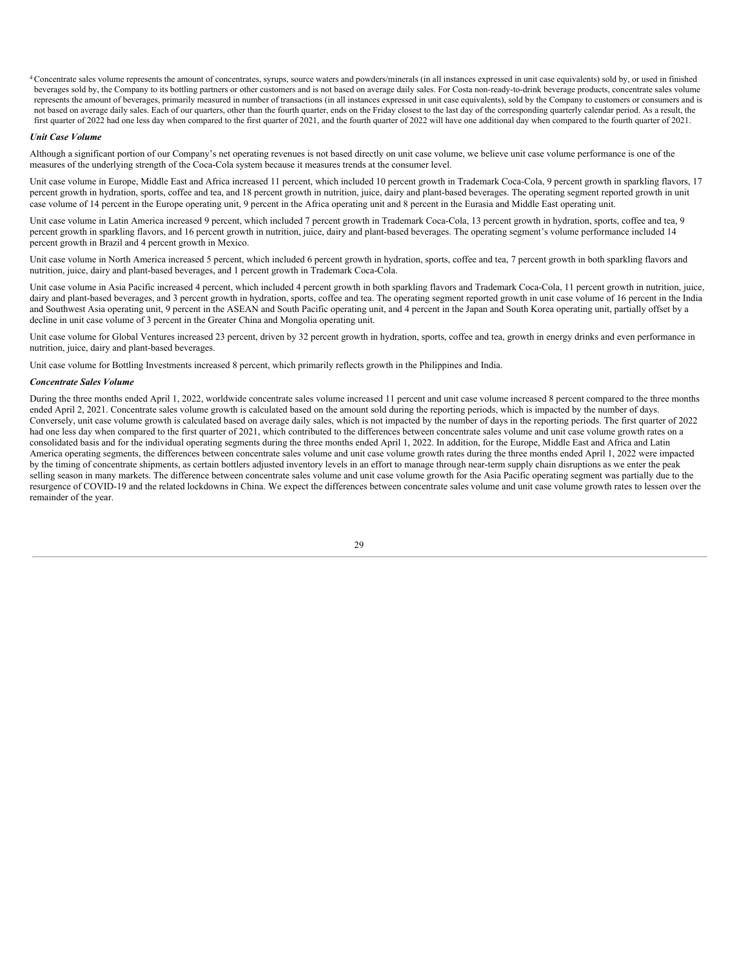Concentrate sales volume represents the amount of concentrates, syrups, source waters and powders/minerals (in all instances expressed in unit case equivalents) sold by, or used in finished 4 beverages sold by, the Company to its bottling partners or other customers and is not based on average daily sales. For Costa non-ready-to-drink beverage products, concentrate sales volume represents the amount of beverages, primarily measured in number of transactions (in all instances expressed in unit case equivalents), sold by the Company to customers or consumers and is not based on average daily sales. Each of our quarters, other than the fourth quarter, ends on the Friday closest to the last day of the corresponding quarterly calendar period. As a result, the first quarter of 2022 had one less day when compared to the first quarter of 2021, and the fourth quarter of 2022 will have one additional day when compared to the fourth quarter of 2021.

#### *Unit Case Volume*

Although a significant portion of our Company's net operating revenues is not based directly on unit case volume, we believe unit case volume performance is one of the measures of the underlying strength of the Coca-Cola system because it measures trends at the consumer level.

Unit case volume in Europe, Middle East and Africa increased 11 percent, which included 10 percent growth in Trademark Coca-Cola, 9 percent growth in sparkling flavors, 17 percent growth in hydration, sports, coffee and tea, and 18 percent growth in nutrition, juice, dairy and plant-based beverages. The operating segment reported growth in unit case volume of 14 percent in the Europe operating unit, 9 percent in the Africa operating unit and 8 percent in the Eurasia and Middle East operating unit.

Unit case volume in Latin America increased 9 percent, which included 7 percent growth in Trademark Coca-Cola, 13 percent growth in hydration, sports, coffee and tea, 9 percent growth in sparkling flavors, and 16 percent growth in nutrition, juice, dairy and plant-based beverages. The operating segment's volume performance included 14 percent growth in Brazil and 4 percent growth in Mexico.

Unit case volume in North America increased 5 percent, which included 6 percent growth in hydration, sports, coffee and tea, 7 percent growth in both sparkling flavors and nutrition, juice, dairy and plant-based beverages, and 1 percent growth in Trademark Coca-Cola.

Unit case volume in Asia Pacific increased 4 percent, which included 4 percent growth in both sparkling flavors and Trademark Coca-Cola, 11 percent growth in nutrition, juice, dairy and plant-based beverages, and 3 percent growth in hydration, sports, coffee and tea. The operating segment reported growth in unit case volume of 16 percent in the India and Southwest Asia operating unit, 9 percent in the ASEAN and South Pacific operating unit, and 4 percent in the Japan and South Korea operating unit, partially offset by a decline in unit case volume of 3 percent in the Greater China and Mongolia operating unit.

Unit case volume for Global Ventures increased 23 percent, driven by 32 percent growth in hydration, sports, coffee and tea, growth in energy drinks and even performance in nutrition, juice, dairy and plant-based beverages.

Unit case volume for Bottling Investments increased 8 percent, which primarily reflects growth in the Philippines and India.

### *Concentrate Sales Volume*

During the three months ended April 1, 2022, worldwide concentrate sales volume increased 11 percent and unit case volume increased 8 percent compared to the three months ended April 2, 2021. Concentrate sales volume growth is calculated based on the amount sold during the reporting periods, which is impacted by the number of days. Conversely, unit case volume growth is calculated based on average daily sales, which is not impacted by the number of days in the reporting periods. The first quarter of 2022 had one less day when compared to the first quarter of 2021, which contributed to the differences between concentrate sales volume and unit case volume growth rates on a consolidated basis and for the individual operating segments during the three months ended April 1, 2022. In addition, for the Europe, Middle East and Africa and Latin America operating segments, the differences between concentrate sales volume and unit case volume growth rates during the three months ended April 1, 2022 were impacted by the timing of concentrate shipments, as certain bottlers adjusted inventory levels in an effort to manage through near-term supply chain disruptions as we enter the peak selling season in many markets. The difference between concentrate sales volume and unit case volume growth for the Asia Pacific operating segment was partially due to the resurgence of COVID-19 and the related lockdowns in China. We expect the differences between concentrate sales volume and unit case volume growth rates to lessen over the remainder of the year.

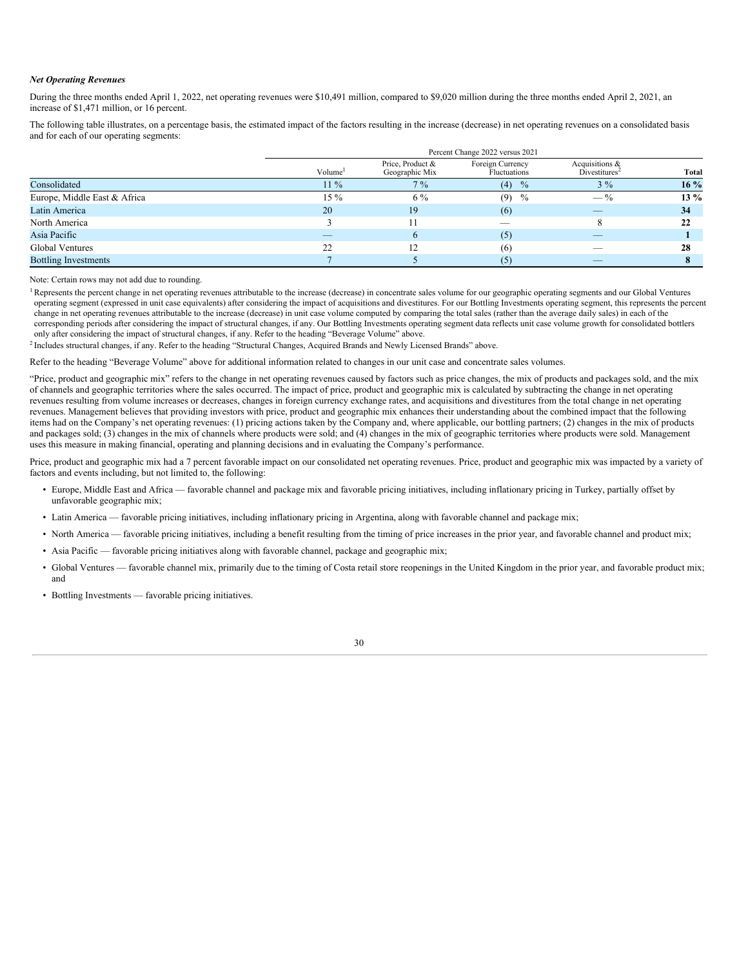#### *Net Operating Revenues*

During the three months ended April 1, 2022, net operating revenues were \$10,491 million, compared to \$9,020 million during the three months ended April 2, 2021, an increase of \$1,471 million, or 16 percent.

The following table illustrates, on a percentage basis, the estimated impact of the factors resulting in the increase (decrease) in net operating revenues on a consolidated basis and for each of our operating segments:

|                              | Percent Change 2022 versus 2021 |                                    |                                         |                                             |        |  |
|------------------------------|---------------------------------|------------------------------------|-----------------------------------------|---------------------------------------------|--------|--|
|                              | Volume <sup>1</sup>             | Price, Product &<br>Geographic Mix | Foreign Currency<br><b>Fluctuations</b> | Acquisitions &<br>Divestitures <sup>2</sup> | Total  |  |
| Consolidated                 | $11\%$                          | $7\%$                              | $\frac{0}{0}$<br>(4)                    | $3\%$                                       | $16\%$ |  |
| Europe, Middle East & Africa | $15\%$                          | $6\%$                              | (9)<br>$\%$                             | $-$ %                                       | $13\%$ |  |
| Latin America                | 20                              | 19                                 | (6)                                     | $\overline{\phantom{a}}$                    | 34     |  |
| North America                |                                 | 11                                 | $\overline{\phantom{a}}$                |                                             | 22     |  |
| Asia Pacific                 |                                 | $\sigma$                           | (5)                                     |                                             |        |  |
| Global Ventures              | 22                              | 12                                 | (6)                                     |                                             | 28     |  |
| <b>Bottling Investments</b>  |                                 |                                    | (5)                                     |                                             |        |  |

Note: Certain rows may not add due to rounding.

<sup>1</sup> Represents the percent change in net operating revenues attributable to the increase (decrease) in concentrate sales volume for our geographic operating segments and our Global Ventures operating segment (expressed in unit case equivalents) after considering the impact of acquisitions and divestitures. For our Bottling Investments operating segment, this represents the percent change in net operating revenues attributable to the increase (decrease) in unit case volume computed by comparing the total sales (rather than the average daily sales) in each of the corresponding periods after considering the impact of structural changes, if any. Our Bottling Investments operating segment data reflects unit case volume growth for consolidated bottlers only after considering the impact of structural changes, if any. Refer to the heading "Beverage Volume" above.

<sup>2</sup> Includes structural changes, if any. Refer to the heading "Structural Changes, Acquired Brands and Newly Licensed Brands" above.

Refer to the heading "Beverage Volume" above for additional information related to changes in our unit case and concentrate sales volumes.

"Price, product and geographic mix" refers to the change in net operating revenues caused by factors such as price changes, the mix of products and packages sold, and the mix of channels and geographic territories where the sales occurred. The impact of price, product and geographic mix is calculated by subtracting the change in net operating revenues resulting from volume increases or decreases, changes in foreign currency exchange rates, and acquisitions and divestitures from the total change in net operating revenues. Management believes that providing investors with price, product and geographic mix enhances their understanding about the combined impact that the following items had on the Company's net operating revenues: (1) pricing actions taken by the Company and, where applicable, our bottling partners; (2) changes in the mix of products and packages sold; (3) changes in the mix of channels where products were sold; and (4) changes in the mix of geographic territories where products were sold. Management uses this measure in making financial, operating and planning decisions and in evaluating the Company's performance.

Price, product and geographic mix had a 7 percent favorable impact on our consolidated net operating revenues. Price, product and geographic mix was impacted by a variety of factors and events including, but not limited to, the following:

- Europe, Middle East and Africa favorable channel and package mix and favorable pricing initiatives, including inflationary pricing in Turkey, partially offset by unfavorable geographic mix;
- Latin America favorable pricing initiatives, including inflationary pricing in Argentina, along with favorable channel and package mix;
- North America favorable pricing initiatives, including a benefit resulting from the timing of price increases in the prior year, and favorable channel and product mix;
- Asia Pacific favorable pricing initiatives along with favorable channel, package and geographic mix;
- Global Ventures favorable channel mix, primarily due to the timing of Costa retail store reopenings in the United Kingdom in the prior year, and favorable product mix; and
- Bottling Investments favorable pricing initiatives.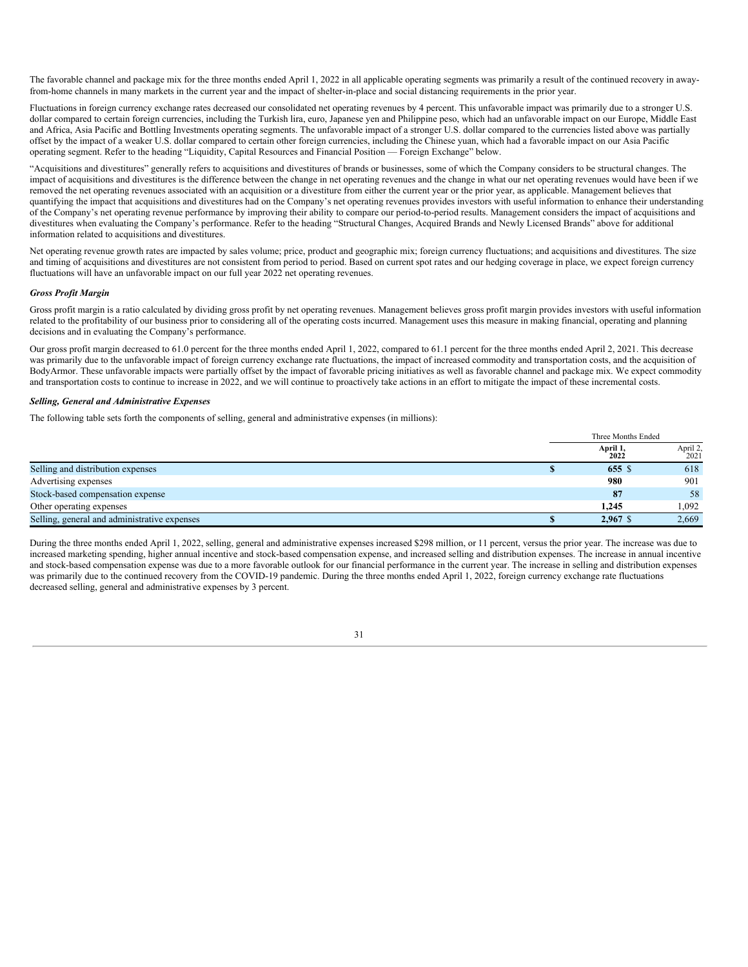The favorable channel and package mix for the three months ended April 1, 2022 in all applicable operating segments was primarily a result of the continued recovery in awayfrom-home channels in many markets in the current year and the impact of shelter-in-place and social distancing requirements in the prior year.

Fluctuations in foreign currency exchange rates decreased our consolidated net operating revenues by 4 percent. This unfavorable impact was primarily due to a stronger U.S. dollar compared to certain foreign currencies, including the Turkish lira, euro, Japanese yen and Philippine peso, which had an unfavorable impact on our Europe, Middle East and Africa, Asia Pacific and Bottling Investments operating segments. The unfavorable impact of a stronger U.S. dollar compared to the currencies listed above was partially offset by the impact of a weaker U.S. dollar compared to certain other foreign currencies, including the Chinese yuan, which had a favorable impact on our Asia Pacific operating segment. Refer to the heading "Liquidity, Capital Resources and Financial Position — Foreign Exchange" below.

"Acquisitions and divestitures" generally refers to acquisitions and divestitures of brands or businesses, some of which the Company considers to be structural changes. The impact of acquisitions and divestitures is the difference between the change in net operating revenues and the change in what our net operating revenues would have been if we removed the net operating revenues associated with an acquisition or a divestiture from either the current year or the prior year, as applicable. Management believes that quantifying the impact that acquisitions and divestitures had on the Company's net operating revenues provides investors with useful information to enhance their understanding of the Company's net operating revenue performance by improving their ability to compare our period-to-period results. Management considers the impact of acquisitions and divestitures when evaluating the Company's performance. Refer to the heading "Structural Changes, Acquired Brands and Newly Licensed Brands" above for additional information related to acquisitions and divestitures.

Net operating revenue growth rates are impacted by sales volume; price, product and geographic mix; foreign currency fluctuations; and acquisitions and divestitures. The size and timing of acquisitions and divestitures are not consistent from period to period. Based on current spot rates and our hedging coverage in place, we expect foreign currency fluctuations will have an unfavorable impact on our full year 2022 net operating revenues.

### *Gross Profit Margin*

Gross profit margin is a ratio calculated by dividing gross profit by net operating revenues. Management believes gross profit margin provides investors with useful information related to the profitability of our business prior to considering all of the operating costs incurred. Management uses this measure in making financial, operating and planning decisions and in evaluating the Company's performance.

Our gross profit margin decreased to 61.0 percent for the three months ended April 1, 2022, compared to 61.1 percent for the three months ended April 2, 2021. This decrease was primarily due to the unfavorable impact of foreign currency exchange rate fluctuations, the impact of increased commodity and transportation costs, and the acquisition of BodyArmor. These unfavorable impacts were partially offset by the impact of favorable pricing initiatives as well as favorable channel and package mix. We expect commodity and transportation costs to continue to increase in 2022, and we will continue to proactively take actions in an effort to mitigate the impact of these incremental costs.

## *Selling, General and Administrative Expenses*

The following table sets forth the components of selling, general and administrative expenses (in millions):

|                                              | Three Months Ended |                  |                  |
|----------------------------------------------|--------------------|------------------|------------------|
|                                              |                    | April 1,<br>2022 | April 2,<br>2021 |
| Selling and distribution expenses            |                    | 655 \$           | 618              |
| Advertising expenses                         |                    | 980              | 901              |
| Stock-based compensation expense             |                    | 87               | 58               |
| Other operating expenses                     |                    | 1.245            | 1.092            |
| Selling, general and administrative expenses |                    | $2,967$ \$       | 2,669            |

During the three months ended April 1, 2022, selling, general and administrative expenses increased \$298 million, or 11 percent, versus the prior year. The increase was due to increased marketing spending, higher annual incentive and stock-based compensation expense, and increased selling and distribution expenses. The increase in annual incentive and stock-based compensation expense was due to a more favorable outlook for our financial performance in the current year. The increase in selling and distribution expenses was primarily due to the continued recovery from the COVID-19 pandemic. During the three months ended April 1, 2022, foreign currency exchange rate fluctuations decreased selling, general and administrative expenses by 3 percent.

#### 31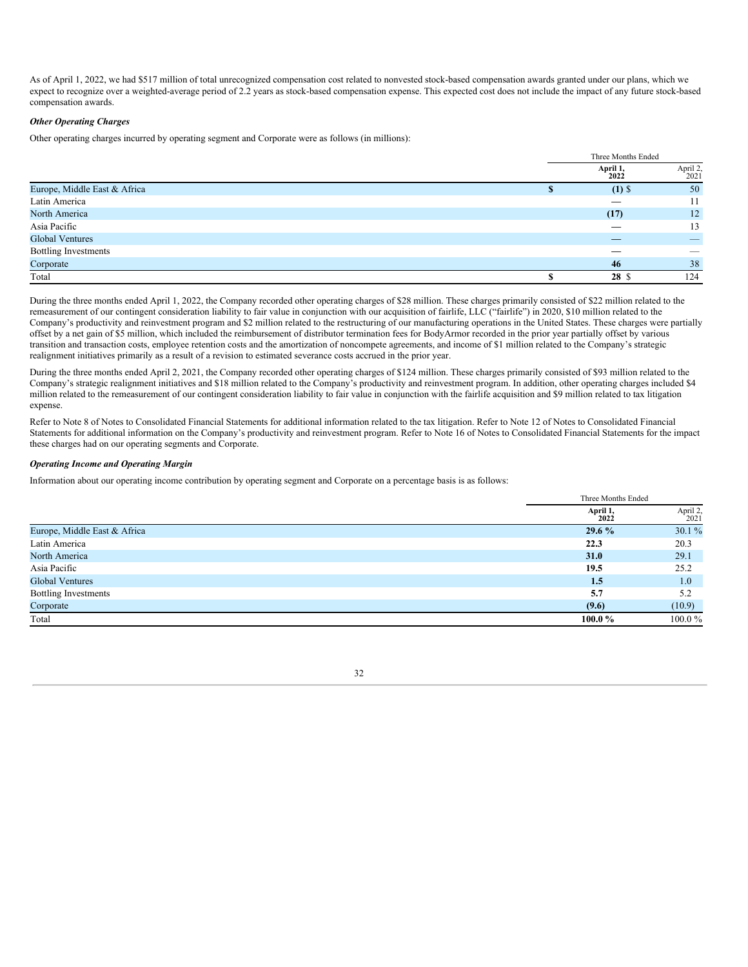As of April 1, 2022, we had \$517 million of total unrecognized compensation cost related to nonvested stock-based compensation awards granted under our plans, which we expect to recognize over a weighted-average period of 2.2 years as stock-based compensation expense. This expected cost does not include the impact of any future stock-based compensation awards.

#### *Other Operating Charges*

Other operating charges incurred by operating segment and Corporate were as follows (in millions):

|                              | Three Months Ended |                  |                  |
|------------------------------|--------------------|------------------|------------------|
|                              |                    | April 1,<br>2022 | April 2,<br>2021 |
| Europe, Middle East & Africa |                    | $(1)$ \$         | 50               |
| Latin America                |                    |                  | 11               |
| North America                |                    | (17)             | 12               |
| Asia Pacific                 |                    |                  | 13               |
| <b>Global Ventures</b>       |                    |                  |                  |
| <b>Bottling Investments</b>  |                    |                  | __               |
| Corporate                    |                    | 46               | 38               |
| Total                        |                    | 28 \$            | 124              |

During the three months ended April 1, 2022, the Company recorded other operating charges of \$28 million. These charges primarily consisted of \$22 million related to the remeasurement of our contingent consideration liability to fair value in conjunction with our acquisition of fairlife, LLC ("fairlife") in 2020, \$10 million related to the Company's productivity and reinvestment program and \$2 million related to the restructuring of our manufacturing operations in the United States. These charges were partially offset by a net gain of \$5 million, which included the reimbursement of distributor termination fees for BodyArmor recorded in the prior year partially offset by various transition and transaction costs, employee retention costs and the amortization of noncompete agreements, and income of \$1 million related to the Company's strategic realignment initiatives primarily as a result of a revision to estimated severance costs accrued in the prior year.

During the three months ended April 2, 2021, the Company recorded other operating charges of \$124 million. These charges primarily consisted of \$93 million related to the Company's strategic realignment initiatives and \$18 million related to the Company's productivity and reinvestment program. In addition, other operating charges included \$4 million related to the remeasurement of our contingent consideration liability to fair value in conjunction with the fairlife acquisition and \$9 million related to tax litigation expense.

Refer to Note 8 of Notes to Consolidated Financial Statements for additional information related to the tax litigation. Refer to Note 12 of Notes to Consolidated Financial Statements for additional information on the Company's productivity and reinvestment program. Refer to Note 16 of Notes to Consolidated Financial Statements for the impact these charges had on our operating segments and Corporate.

### *Operating Income and Operating Margin*

Information about our operating income contribution by operating segment and Corporate on a percentage basis is as follows:

|                              | Three Months Ended |                  |
|------------------------------|--------------------|------------------|
|                              | April 1,<br>2022   | April 2,<br>2021 |
| Europe, Middle East & Africa | $29.6\%$           | 30.1 %           |
| Latin America                | 22.3               | 20.3             |
| North America                | 31.0               | 29.1             |
| Asia Pacific                 | 19.5               | 25.2             |
| <b>Global Ventures</b>       | 1.5                | 1.0              |
| Bottling Investments         | 5.7                | 5.2              |
| Corporate                    | (9.6)              | (10.9)           |
| Total                        | 100.0%             | 100.0%           |

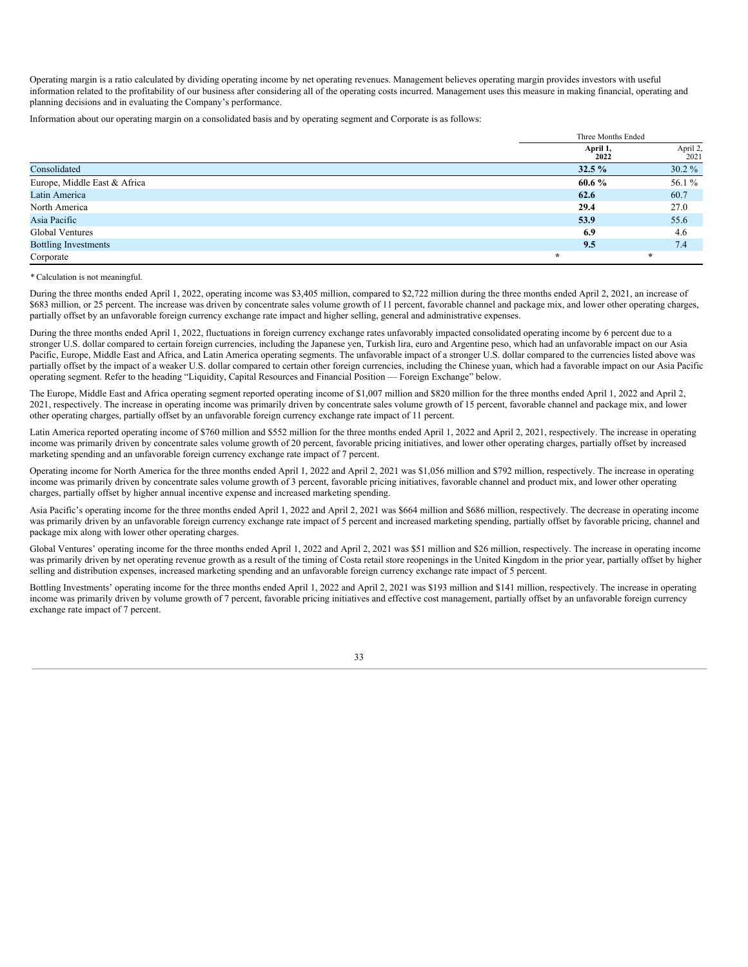Operating margin is a ratio calculated by dividing operating income by net operating revenues. Management believes operating margin provides investors with useful information related to the profitability of our business after considering all of the operating costs incurred. Management uses this measure in making financial, operating and planning decisions and in evaluating the Company's performance.

Information about our operating margin on a consolidated basis and by operating segment and Corporate is as follows:

|                              | Three Months Ended |                    |
|------------------------------|--------------------|--------------------|
|                              | April 1,<br>2022   | April 2,<br>$2021$ |
| Consolidated                 | $32.5\%$           | $30.2\%$           |
| Europe, Middle East & Africa | $60.6\%$           | 56.1 %             |
| Latin America                | 62.6               | 60.7               |
| North America                | 29.4               | 27.0               |
| Asia Pacific                 | 53.9               | 55.6               |
| Global Ventures              | 6.9                | 4.6                |
| <b>Bottling Investments</b>  | 9.5                | 7.4                |
| Corporate                    | $\star$            | *                  |

*\** Calculation is not meaningful.

During the three months ended April 1, 2022, operating income was \$3,405 million, compared to \$2,722 million during the three months ended April 2, 2021, an increase of \$683 million, or 25 percent. The increase was driven by concentrate sales volume growth of 11 percent, favorable channel and package mix, and lower other operating charges, partially offset by an unfavorable foreign currency exchange rate impact and higher selling, general and administrative expenses.

During the three months ended April 1, 2022, fluctuations in foreign currency exchange rates unfavorably impacted consolidated operating income by 6 percent due to a stronger U.S. dollar compared to certain foreign currencies, including the Japanese yen, Turkish lira, euro and Argentine peso, which had an unfavorable impact on our Asia Pacific, Europe, Middle East and Africa, and Latin America operating segments. The unfavorable impact of a stronger U.S. dollar compared to the currencies listed above was partially offset by the impact of a weaker U.S. dollar compared to certain other foreign currencies, including the Chinese yuan, which had a favorable impact on our Asia Pacific operating segment. Refer to the heading "Liquidity, Capital Resources and Financial Position — Foreign Exchange" below.

The Europe, Middle East and Africa operating segment reported operating income of \$1,007 million and \$820 million for the three months ended April 1, 2022 and April 2, 2021, respectively. The increase in operating income was primarily driven by concentrate sales volume growth of 15 percent, favorable channel and package mix, and lower other operating charges, partially offset by an unfavorable foreign currency exchange rate impact of 11 percent.

Latin America reported operating income of \$760 million and \$552 million for the three months ended April 1, 2022 and April 2, 2021, respectively. The increase in operating income was primarily driven by concentrate sales volume growth of 20 percent, favorable pricing initiatives, and lower other operating charges, partially offset by increased marketing spending and an unfavorable foreign currency exchange rate impact of 7 percent.

Operating income for North America for the three months ended April 1, 2022 and April 2, 2021 was \$1,056 million and \$792 million, respectively. The increase in operating income was primarily driven by concentrate sales volume growth of 3 percent, favorable pricing initiatives, favorable channel and product mix, and lower other operating charges, partially offset by higher annual incentive expense and increased marketing spending.

Asia Pacific's operating income for the three months ended April 1, 2022 and April 2, 2021 was \$664 million and \$686 million, respectively. The decrease in operating income was primarily driven by an unfavorable foreign currency exchange rate impact of 5 percent and increased marketing spending, partially offset by favorable pricing, channel and package mix along with lower other operating charges.

Global Ventures' operating income for the three months ended April 1, 2022 and April 2, 2021 was \$51 million and \$26 million, respectively. The increase in operating income was primarily driven by net operating revenue growth as a result of the timing of Costa retail store reopenings in the United Kingdom in the prior year, partially offset by higher selling and distribution expenses, increased marketing spending and an unfavorable foreign currency exchange rate impact of 5 percent.

Bottling Investments' operating income for the three months ended April 1, 2022 and April 2, 2021 was \$193 million and \$141 million, respectively. The increase in operating income was primarily driven by volume growth of 7 percent, favorable pricing initiatives and effective cost management, partially offset by an unfavorable foreign currency exchange rate impact of 7 percent.

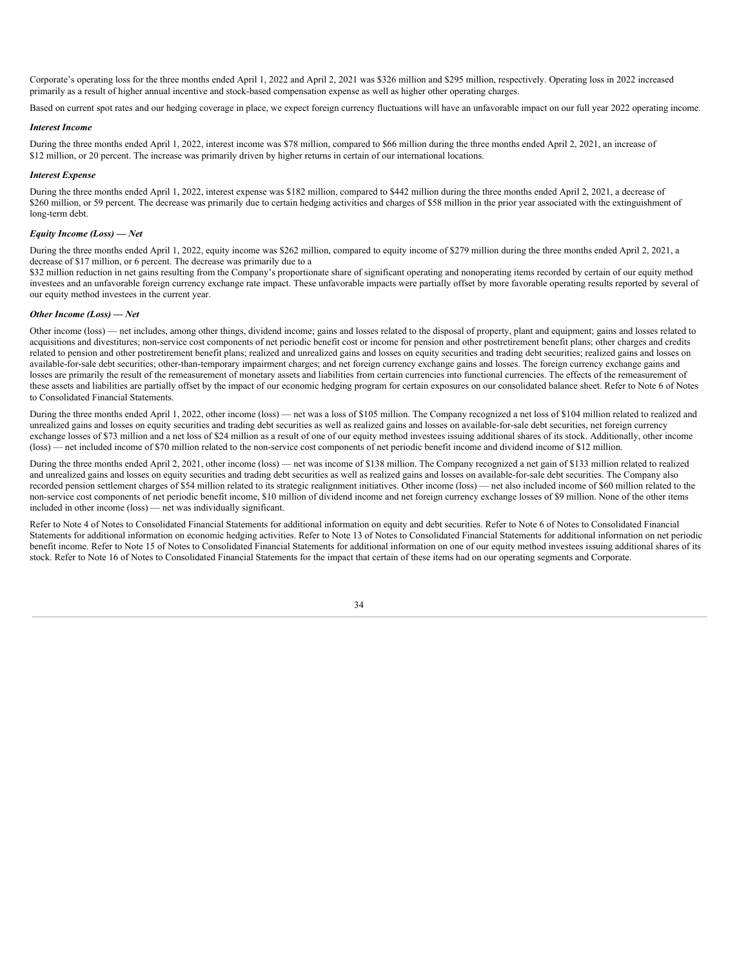Corporate's operating loss for the three months ended April 1, 2022 and April 2, 2021 was \$326 million and \$295 million, respectively. Operating loss in 2022 increased primarily as a result of higher annual incentive and stock-based compensation expense as well as higher other operating charges.

Based on current spot rates and our hedging coverage in place, we expect foreign currency fluctuations will have an unfavorable impact on our full year 2022 operating income.

### *Interest Income*

During the three months ended April 1, 2022, interest income was \$78 million, compared to \$66 million during the three months ended April 2, 2021, an increase of \$12 million, or 20 percent. The increase was primarily driven by higher returns in certain of our international locations.

### *Interest Expense*

During the three months ended April 1, 2022, interest expense was \$182 million, compared to \$442 million during the three months ended April 2, 2021, a decrease of \$260 million, or 59 percent. The decrease was primarily due to certain hedging activities and charges of \$58 million in the prior year associated with the extinguishment of long-term debt.

## *Equity Income (Loss) — Net*

During the three months ended April 1, 2022, equity income was \$262 million, compared to equity income of \$279 million during the three months ended April 2, 2021, a decrease of \$17 million, or 6 percent. The decrease was primarily due to a

\$32 million reduction in net gains resulting from the Company's proportionate share of significant operating and nonoperating items recorded by certain of our equity method investees and an unfavorable foreign currency exchange rate impact. These unfavorable impacts were partially offset by more favorable operating results reported by several of our equity method investees in the current year.

### *Other Income (Loss) — Net*

Other income (loss) — net includes, among other things, dividend income; gains and losses related to the disposal of property, plant and equipment; gains and losses related to acquisitions and divestitures; non-service cost components of net periodic benefit cost or income for pension and other postretirement benefit plans; other charges and credits related to pension and other postretirement benefit plans; realized and unrealized gains and losses on equity securities and trading debt securities; realized gains and losses on available-for-sale debt securities; other-than-temporary impairment charges; and net foreign currency exchange gains and losses. The foreign currency exchange gains and losses are primarily the result of the remeasurement of monetary assets and liabilities from certain currencies into functional currencies. The effects of the remeasurement of these assets and liabilities are partially offset by the impact of our economic hedging program for certain exposures on our consolidated balance sheet. Refer to Note 6 of Notes to Consolidated Financial Statements.

During the three months ended April 1, 2022, other income (loss) — net was a loss of \$105 million. The Company recognized a net loss of \$104 million related to realized and unrealized gains and losses on equity securities and trading debt securities as well as realized gains and losses on available-for-sale debt securities, net foreign currency exchange losses of \$73 million and a net loss of \$24 million as a result of one of our equity method investees issuing additional shares of its stock. Additionally, other income (loss) — net included income of \$70 million related to the non-service cost components of net periodic benefit income and dividend income of \$12 million.

During the three months ended April 2, 2021, other income (loss) — net was income of \$138 million. The Company recognized a net gain of \$133 million related to realized and unrealized gains and losses on equity securities and trading debt securities as well as realized gains and losses on available-for-sale debt securities. The Company also recorded pension settlement charges of \$54 million related to its strategic realignment initiatives. Other income (loss) — net also included income of \$60 million related to the non-service cost components of net periodic benefit income, \$10 million of dividend income and net foreign currency exchange losses of \$9 million. None of the other items included in other income (loss) — net was individually significant.

Refer to Note 4 of Notes to Consolidated Financial Statements for additional information on equity and debt securities. Refer to Note 6 of Notes to Consolidated Financial Statements for additional information on economic hedging activities. Refer to Note 13 of Notes to Consolidated Financial Statements for additional information on net periodic benefit income. Refer to Note 15 of Notes to Consolidated Financial Statements for additional information on one of our equity method investees issuing additional shares of its stock. Refer to Note 16 of Notes to Consolidated Financial Statements for the impact that certain of these items had on our operating segments and Corporate.

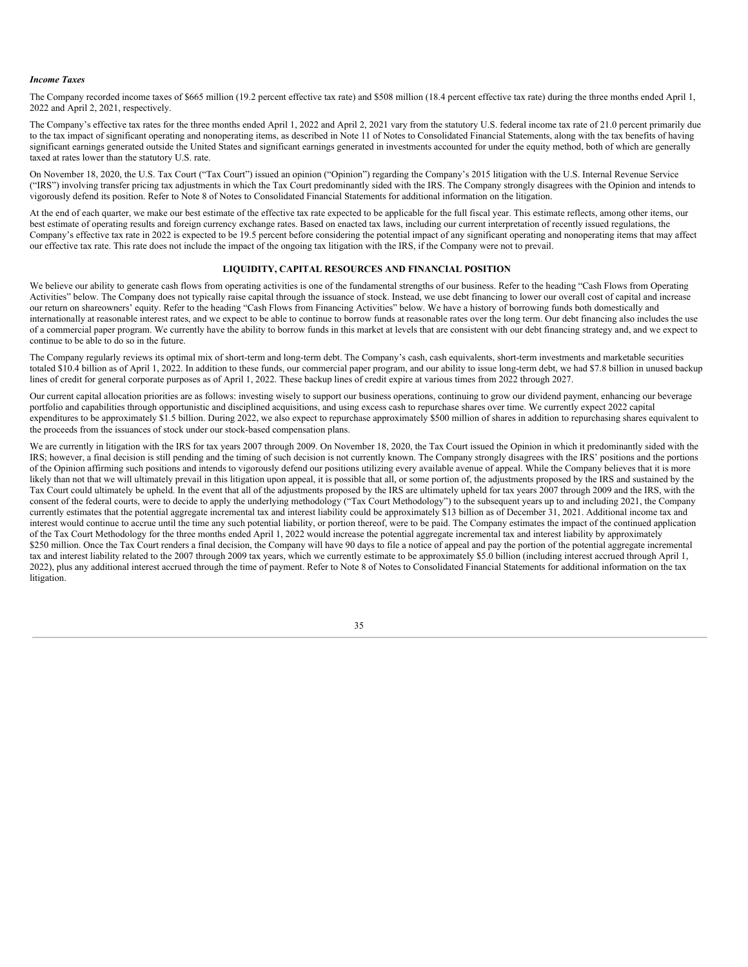### *Income Taxes*

The Company recorded income taxes of \$665 million (19.2 percent effective tax rate) and \$508 million (18.4 percent effective tax rate) during the three months ended April 1, 2022 and April 2, 2021, respectively.

The Company's effective tax rates for the three months ended April 1, 2022 and April 2, 2021 vary from the statutory U.S. federal income tax rate of 21.0 percent primarily due to the tax impact of significant operating and nonoperating items, as described in Note 11 of Notes to Consolidated Financial Statements, along with the tax benefits of having significant earnings generated outside the United States and significant earnings generated in investments accounted for under the equity method, both of which are generally taxed at rates lower than the statutory U.S. rate.

On November 18, 2020, the U.S. Tax Court ("Tax Court") issued an opinion ("Opinion") regarding the Company's 2015 litigation with the U.S. Internal Revenue Service ("IRS") involving transfer pricing tax adjustments in which the Tax Court predominantly sided with the IRS. The Company strongly disagrees with the Opinion and intends to vigorously defend its position. Refer to Note 8 of Notes to Consolidated Financial Statements for additional information on the litigation.

At the end of each quarter, we make our best estimate of the effective tax rate expected to be applicable for the full fiscal year. This estimate reflects, among other items, our best estimate of operating results and foreign currency exchange rates. Based on enacted tax laws, including our current interpretation of recently issued regulations, the Company's effective tax rate in 2022 is expected to be 19.5 percent before considering the potential impact of any significant operating and nonoperating items that may affect our effective tax rate. This rate does not include the impact of the ongoing tax litigation with the IRS, if the Company were not to prevail.

## **LIQUIDITY, CAPITAL RESOURCES AND FINANCIAL POSITION**

We believe our ability to generate cash flows from operating activities is one of the fundamental strengths of our business. Refer to the heading "Cash Flows from Operating Activities" below. The Company does not typically raise capital through the issuance of stock. Instead, we use debt financing to lower our overall cost of capital and increase our return on shareowners' equity. Refer to the heading "Cash Flows from Financing Activities" below. We have a history of borrowing funds both domestically and internationally at reasonable interest rates, and we expect to be able to continue to borrow funds at reasonable rates over the long term. Our debt financing also includes the use of a commercial paper program. We currently have the ability to borrow funds in this market at levels that are consistent with our debt financing strategy and, and we expect to continue to be able to do so in the future.

The Company regularly reviews its optimal mix of short-term and long-term debt. The Company's cash, cash equivalents, short-term investments and marketable securities totaled \$10.4 billion as of April 1, 2022. In addition to these funds, our commercial paper program, and our ability to issue long-term debt, we had \$7.8 billion in unused backup lines of credit for general corporate purposes as of April 1, 2022. These backup lines of credit expire at various times from 2022 through 2027.

Our current capital allocation priorities are as follows: investing wisely to support our business operations, continuing to grow our dividend payment, enhancing our beverage portfolio and capabilities through opportunistic and disciplined acquisitions, and using excess cash to repurchase shares over time. We currently expect 2022 capital expenditures to be approximately \$1.5 billion. During 2022, we also expect to repurchase approximately \$500 million of shares in addition to repurchasing shares equivalent to the proceeds from the issuances of stock under our stock-based compensation plans.

We are currently in litigation with the IRS for tax years 2007 through 2009. On November 18, 2020, the Tax Court issued the Opinion in which it predominantly sided with the IRS; however, a final decision is still pending and the timing of such decision is not currently known. The Company strongly disagrees with the IRS' positions and the portions of the Opinion affirming such positions and intends to vigorously defend our positions utilizing every available avenue of appeal. While the Company believes that it is more likely than not that we will ultimately prevail in this litigation upon appeal, it is possible that all, or some portion of, the adjustments proposed by the IRS and sustained by the Tax Court could ultimately be upheld. In the event that all of the adjustments proposed by the IRS are ultimately upheld for tax years 2007 through 2009 and the IRS, with the consent of the federal courts, were to decide to apply the underlying methodology ("Tax Court Methodology") to the subsequent years up to and including 2021, the Company currently estimates that the potential aggregate incremental tax and interest liability could be approximately \$13 billion as of December 31, 2021. Additional income tax and interest would continue to accrue until the time any such potential liability, or portion thereof, were to be paid. The Company estimates the impact of the continued application of the Tax Court Methodology for the three months ended April 1, 2022 would increase the potential aggregate incremental tax and interest liability by approximately \$250 million. Once the Tax Court renders a final decision, the Company will have 90 days to file a notice of appeal and pay the portion of the potential aggregate incremental tax and interest liability related to the 2007 through 2009 tax years, which we currently estimate to be approximately \$5.0 billion (including interest accrued through April 1, 2022), plus any additional interest accrued through the time of payment. Refer to Note 8 of Notes to Consolidated Financial Statements for additional information on the tax litigation

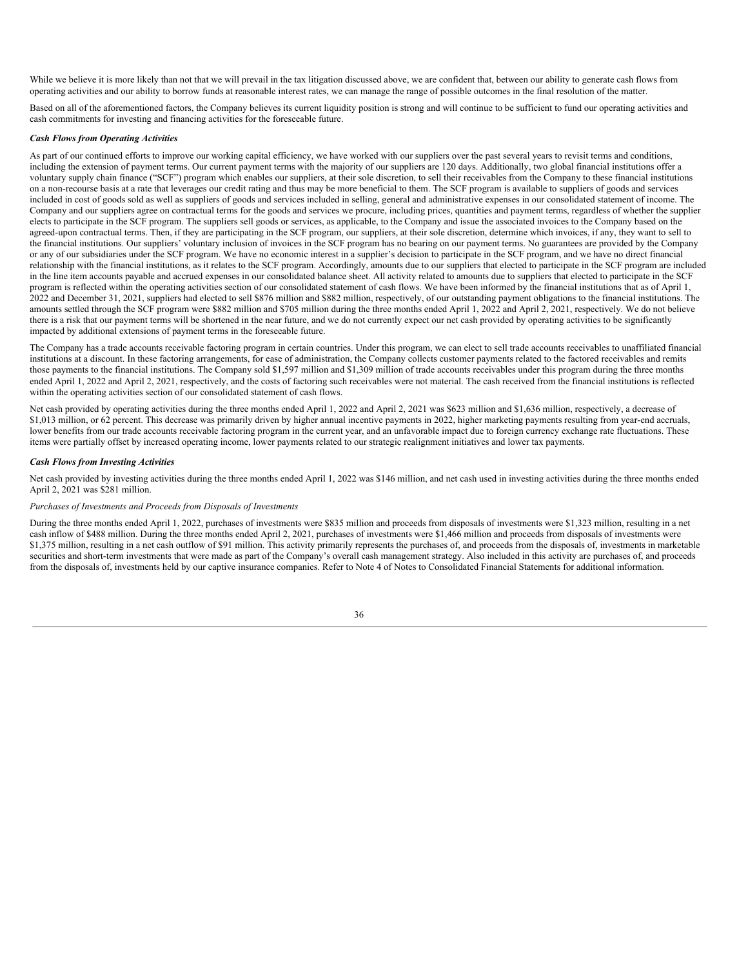While we believe it is more likely than not that we will prevail in the tax litigation discussed above, we are confident that, between our ability to generate cash flows from operating activities and our ability to borrow funds at reasonable interest rates, we can manage the range of possible outcomes in the final resolution of the matter.

Based on all of the aforementioned factors, the Company believes its current liquidity position is strong and will continue to be sufficient to fund our operating activities and cash commitments for investing and financing activities for the foreseeable future.

## *Cash Flows from Operating Activities*

As part of our continued efforts to improve our working capital efficiency, we have worked with our suppliers over the past several years to revisit terms and conditions, including the extension of payment terms. Our current payment terms with the majority of our suppliers are 120 days. Additionally, two global financial institutions offer a voluntary supply chain finance ("SCF") program which enables our suppliers, at their sole discretion, to sell their receivables from the Company to these financial institutions on a non-recourse basis at a rate that leverages our credit rating and thus may be more beneficial to them. The SCF program is available to suppliers of goods and services included in cost of goods sold as well as suppliers of goods and services included in selling, general and administrative expenses in our consolidated statement of income. The Company and our suppliers agree on contractual terms for the goods and services we procure, including prices, quantities and payment terms, regardless of whether the supplier elects to participate in the SCF program. The suppliers sell goods or services, as applicable, to the Company and issue the associated invoices to the Company based on the agreed-upon contractual terms. Then, if they are participating in the SCF program, our suppliers, at their sole discretion, determine which invoices, if any, they want to sell to the financial institutions. Our suppliers' voluntary inclusion of invoices in the SCF program has no bearing on our payment terms. No guarantees are provided by the Company or any of our subsidiaries under the SCF program. We have no economic interest in a supplier's decision to participate in the SCF program, and we have no direct financial relationship with the financial institutions, as it relates to the SCF program. Accordingly, amounts due to our suppliers that elected to participate in the SCF program are included in the line item accounts payable and accrued expenses in our consolidated balance sheet. All activity related to amounts due to suppliers that elected to participate in the SCF program is reflected within the operating activities section of our consolidated statement of cash flows. We have been informed by the financial institutions that as of April 1, 2022 and December 31, 2021, suppliers had elected to sell \$876 million and \$882 million, respectively, of our outstanding payment obligations to the financial institutions. The amounts settled through the SCF program were \$882 million and \$705 million during the three months ended April 1, 2022 and April 2, 2021, respectively. We do not believe there is a risk that our payment terms will be shortened in the near future, and we do not currently expect our net cash provided by operating activities to be significantly impacted by additional extensions of payment terms in the foreseeable future.

The Company has a trade accounts receivable factoring program in certain countries. Under this program, we can elect to sell trade accounts receivables to unaffiliated financial institutions at a discount. In these factoring arrangements, for ease of administration, the Company collects customer payments related to the factored receivables and remits those payments to the financial institutions. The Company sold \$1,597 million and \$1,309 million of trade accounts receivables under this program during the three months ended April 1, 2022 and April 2, 2021, respectively, and the costs of factoring such receivables were not material. The cash received from the financial institutions is reflected within the operating activities section of our consolidated statement of cash flows.

Net cash provided by operating activities during the three months ended April 1, 2022 and April 2, 2021 was \$623 million and \$1,636 million, respectively, a decrease of \$1,013 million, or 62 percent. This decrease was primarily driven by higher annual incentive payments in 2022, higher marketing payments resulting from year-end accruals, lower benefits from our trade accounts receivable factoring program in the current year, and an unfavorable impact due to foreign currency exchange rate fluctuations. These items were partially offset by increased operating income, lower payments related to our strategic realignment initiatives and lower tax payments.

## *Cash Flows from Investing Activities*

Net cash provided by investing activities during the three months ended April 1, 2022 was \$146 million, and net cash used in investing activities during the three months ended April 2, 2021 was \$281 million.

## *Purchases of Investments and Proceeds from Disposals of Investments*

During the three months ended April 1, 2022, purchases of investments were \$835 million and proceeds from disposals of investments were \$1,323 million, resulting in a net cash inflow of \$488 million. During the three months ended April 2, 2021, purchases of investments were \$1,466 million and proceeds from disposals of investments were \$1,375 million, resulting in a net cash outflow of \$91 million. This activity primarily represents the purchases of, and proceeds from the disposals of, investments in marketable securities and short-term investments that were made as part of the Company's overall cash management strategy. Also included in this activity are purchases of, and proceeds from the disposals of, investments held by our captive insurance companies. Refer to Note 4 of Notes to Consolidated Financial Statements for additional information.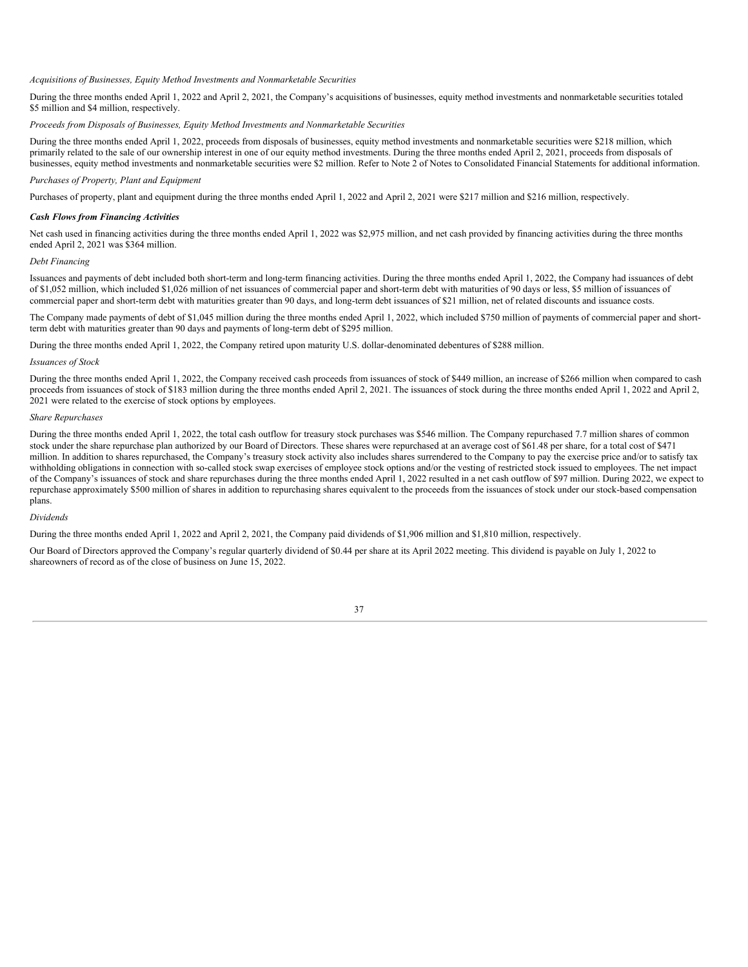### *Acquisitions of Businesses, Equity Method Investments and Nonmarketable Securities*

During the three months ended April 1, 2022 and April 2, 2021, the Company's acquisitions of businesses, equity method investments and nonmarketable securities totaled \$5 million and \$4 million, respectively.

### *Proceeds from Disposals of Businesses, Equity Method Investments and Nonmarketable Securities*

During the three months ended April 1, 2022, proceeds from disposals of businesses, equity method investments and nonmarketable securities were \$218 million, which primarily related to the sale of our ownership interest in one of our equity method investments. During the three months ended April 2, 2021, proceeds from disposals of businesses, equity method investments and nonmarketable securities were \$2 million. Refer to Note 2 of Notes to Consolidated Financial Statements for additional information.

### *Purchases of Property, Plant and Equipment*

Purchases of property, plant and equipment during the three months ended April 1, 2022 and April 2, 2021 were \$217 million and \$216 million, respectively.

### *Cash Flows from Financing Activities*

Net cash used in financing activities during the three months ended April 1, 2022 was \$2,975 million, and net cash provided by financing activities during the three months ended April 2, 2021 was \$364 million.

### *Debt Financing*

Issuances and payments of debt included both short-term and long-term financing activities. During the three months ended April 1, 2022, the Company had issuances of debt of \$1,052 million, which included \$1,026 million of net issuances of commercial paper and short-term debt with maturities of 90 days or less, \$5 million of issuances of commercial paper and short-term debt with maturities greater than 90 days, and long-term debt issuances of \$21 million, net of related discounts and issuance costs.

The Company made payments of debt of \$1,045 million during the three months ended April 1, 2022, which included \$750 million of payments of commercial paper and shortterm debt with maturities greater than 90 days and payments of long-term debt of \$295 million.

During the three months ended April 1, 2022, the Company retired upon maturity U.S. dollar-denominated debentures of \$288 million.

### *Issuances of Stock*

During the three months ended April 1, 2022, the Company received cash proceeds from issuances of stock of \$449 million, an increase of \$266 million when compared to cash proceeds from issuances of stock of \$183 million during the three months ended April 2, 2021. The issuances of stock during the three months ended April 1, 2022 and April 2, 2021 were related to the exercise of stock options by employees.

### *Share Repurchases*

During the three months ended April 1, 2022, the total cash outflow for treasury stock purchases was \$546 million. The Company repurchased 7.7 million shares of common stock under the share repurchase plan authorized by our Board of Directors. These shares were repurchased at an average cost of \$61.48 per share, for a total cost of \$471 million. In addition to shares repurchased, the Company's treasury stock activity also includes shares surrendered to the Company to pay the exercise price and/or to satisfy tax withholding obligations in connection with so-called stock swap exercises of employee stock options and/or the vesting of restricted stock issued to employees. The net impact of the Company's issuances of stock and share repurchases during the three months ended April 1, 2022 resulted in a net cash outflow of \$97 million. During 2022, we expect to repurchase approximately \$500 million of shares in addition to repurchasing shares equivalent to the proceeds from the issuances of stock under our stock-based compensation plans.

### *Dividends*

During the three months ended April 1, 2022 and April 2, 2021, the Company paid dividends of \$1,906 million and \$1,810 million, respectively.

Our Board of Directors approved the Company's regular quarterly dividend of \$0.44 per share at its April 2022 meeting. This dividend is payable on July 1, 2022 to shareowners of record as of the close of business on June 15, 2022.

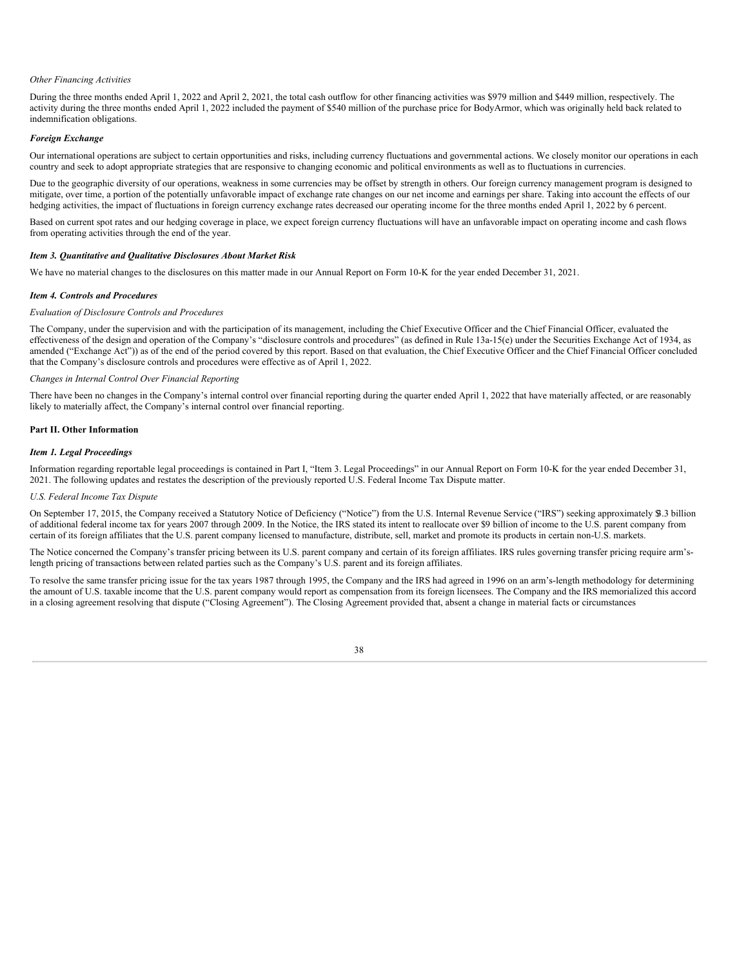### *Other Financing Activities*

During the three months ended April 1, 2022 and April 2, 2021, the total cash outflow for other financing activities was \$979 million and \$449 million, respectively. The activity during the three months ended April 1, 2022 included the payment of \$540 million of the purchase price for BodyArmor, which was originally held back related to indemnification obligations.

## *Foreign Exchange*

Our international operations are subject to certain opportunities and risks, including currency fluctuations and governmental actions. We closely monitor our operations in each country and seek to adopt appropriate strategies that are responsive to changing economic and political environments as well as to fluctuations in currencies.

Due to the geographic diversity of our operations, weakness in some currencies may be offset by strength in others. Our foreign currency management program is designed to mitigate, over time, a portion of the potentially unfavorable impact of exchange rate changes on our net income and earnings per share. Taking into account the effects of our hedging activities, the impact of fluctuations in foreign currency exchange rates decreased our operating income for the three months ended April 1, 2022 by 6 percent.

Based on current spot rates and our hedging coverage in place, we expect foreign currency fluctuations will have an unfavorable impact on operating income and cash flows from operating activities through the end of the year.

### *Item 3. Quantitative and Qualitative Disclosures About Market Risk*

We have no material changes to the disclosures on this matter made in our Annual Report on Form 10-K for the year ended December 31, 2021.

### *Item 4. Controls and Procedures*

### *Evaluation of Disclosure Controls and Procedures*

The Company, under the supervision and with the participation of its management, including the Chief Executive Officer and the Chief Financial Officer, evaluated the effectiveness of the design and operation of the Company's "disclosure controls and procedures" (as defined in Rule 13a-15(e) under the Securities Exchange Act of 1934, as amended ("Exchange Act")) as of the end of the period covered by this report. Based on that evaluation, the Chief Executive Officer and the Chief Financial Officer concluded that the Company's disclosure controls and procedures were effective as of April 1, 2022.

### *Changes in Internal Control Over Financial Reporting*

There have been no changes in the Company's internal control over financial reporting during the quarter ended April 1, 2022 that have materially affected, or are reasonably likely to materially affect, the Company's internal control over financial reporting.

### **Part II. Other Information**

### *Item 1. Legal Proceedings*

Information regarding reportable legal proceedings is contained in Part I, "Item 3. Legal Proceedings" in our Annual Report on Form 10-K for the year ended December 31, 2021. The following updates and restates the description of the previously reported U.S. Federal Income Tax Dispute matter.

### *U.S. Federal Income Tax Dispute*

On September 17, 2015, the Company received a Statutory Notice of Deficiency ("Notice") from the U.S. Internal Revenue Service ("IRS") seeking approximately \$3.3 billion of additional federal income tax for years 2007 through 2009. In the Notice, the IRS stated its intent to reallocate over \$9 billion of income to the U.S. parent company from certain of its foreign affiliates that the U.S. parent company licensed to manufacture, distribute, sell, market and promote its products in certain non-U.S. markets.

The Notice concerned the Company's transfer pricing between its U.S. parent company and certain of its foreign affiliates. IRS rules governing transfer pricing require arm'slength pricing of transactions between related parties such as the Company's U.S. parent and its foreign affiliates.

To resolve the same transfer pricing issue for the tax years 1987 through 1995, the Company and the IRS had agreed in 1996 on an arm's-length methodology for determining the amount of U.S. taxable income that the U.S. parent company would report as compensation from its foreign licensees. The Company and the IRS memorialized this accord in a closing agreement resolving that dispute ("Closing Agreement"). The Closing Agreement provided that, absent a change in material facts or circumstances

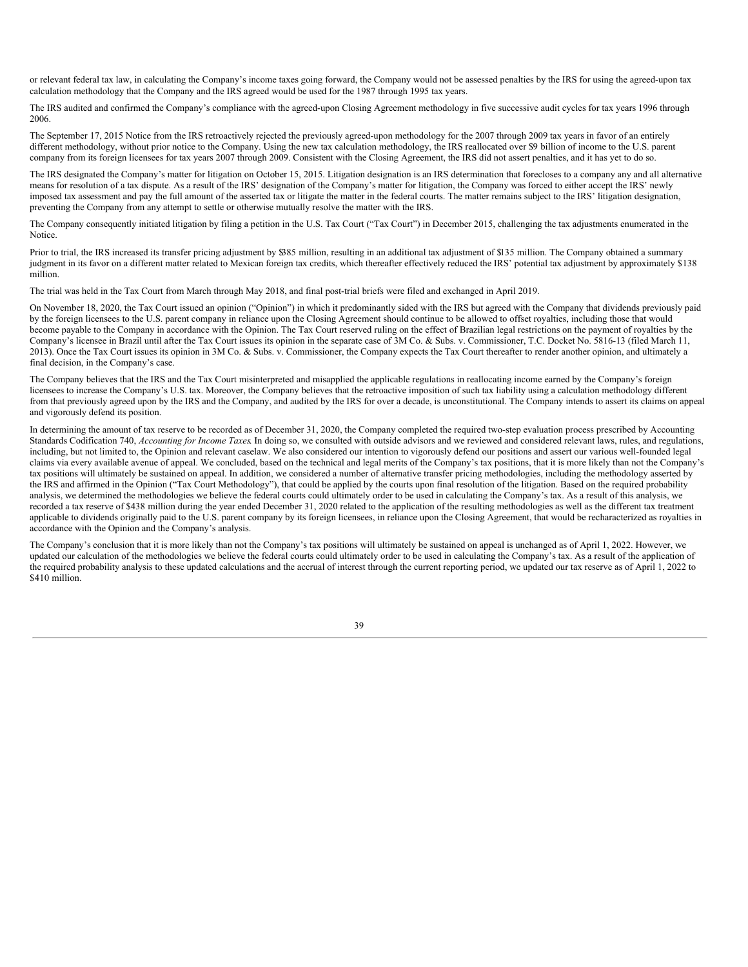or relevant federal tax law, in calculating the Company's income taxes going forward, the Company would not be assessed penalties by the IRS for using the agreed-upon tax calculation methodology that the Company and the IRS agreed would be used for the 1987 through 1995 tax years.

The IRS audited and confirmed the Company's compliance with the agreed-upon Closing Agreement methodology in five successive audit cycles for tax years 1996 through 2006.

The September 17, 2015 Notice from the IRS retroactively rejected the previously agreed-upon methodology for the 2007 through 2009 tax years in favor of an entirely different methodology, without prior notice to the Company. Using the new tax calculation methodology, the IRS reallocated over \$9 billion of income to the U.S. parent company from its foreign licensees for tax years 2007 through 2009. Consistent with the Closing Agreement, the IRS did not assert penalties, and it has yet to do so.

The IRS designated the Company's matter for litigation on October 15, 2015. Litigation designation is an IRS determination that forecloses to a company any and all alternative means for resolution of a tax dispute. As a result of the IRS' designation of the Company's matter for litigation, the Company was forced to either accept the IRS' newly imposed tax assessment and pay the full amount of the asserted tax or litigate the matter in the federal courts. The matter remains subject to the IRS' litigation designation, preventing the Company from any attempt to settle or otherwise mutually resolve the matter with the IRS.

The Company consequently initiated litigation by filing a petition in the U.S. Tax Court ("Tax Court") in December 2015, challenging the tax adjustments enumerated in the Notice.

Prior to trial, the IRS increased its transfer pricing adjustment by \$385 million, resulting in an additional tax adjustment of \$135 million. The Company obtained a summary judgment in its favor on a different matter related to Mexican foreign tax credits, which thereafter effectively reduced the IRS' potential tax adjustment by approximately \$138 million.

The trial was held in the Tax Court from March through May 2018, and final post-trial briefs were filed and exchanged in April 2019.

On November 18, 2020, the Tax Court issued an opinion ("Opinion") in which it predominantly sided with the IRS but agreed with the Company that dividends previously paid by the foreign licensees to the U.S. parent company in reliance upon the Closing Agreement should continue to be allowed to offset royalties, including those that would become payable to the Company in accordance with the Opinion. The Tax Court reserved ruling on the effect of Brazilian legal restrictions on the payment of royalties by the Company's licensee in Brazil until after the Tax Court issues its opinion in the separate case of 3M Co. & Subs. v. Commissioner, T.C. Docket No. 5816-13 (filed March 11, 2013). Once the Tax Court issues its opinion in 3M Co. & Subs. v. Commissioner, the Company expects the Tax Court thereafter to render another opinion, and ultimately a final decision, in the Company's case.

The Company believes that the IRS and the Tax Court misinterpreted and misapplied the applicable regulations in reallocating income earned by the Company's foreign licensees to increase the Company's U.S. tax. Moreover, the Company believes that the retroactive imposition of such tax liability using a calculation methodology different from that previously agreed upon by the IRS and the Company, and audited by the IRS for over a decade, is unconstitutional. The Company intends to assert its claims on appeal and vigorously defend its position.

In determining the amount of tax reserve to be recorded as of December 31, 2020, the Company completed the required two-step evaluation process prescribed by Accounting Standards Codification 740, *Accounting for Income Taxes*. In doing so, we consulted with outside advisors and we reviewed and considered relevant laws, rules, and regulations, including, but not limited to, the Opinion and relevant caselaw. We also considered our intention to vigorously defend our positions and assert our various well-founded legal claims via every available avenue of appeal. We concluded, based on the technical and legal merits of the Company's tax positions, that it is more likely than not the Company's tax positions will ultimately be sustained on appeal. In addition, we considered a number of alternative transfer pricing methodologies, including the methodology asserted by the IRS and affirmed in the Opinion ("Tax Court Methodology"), that could be applied by the courts upon final resolution of the litigation. Based on the required probability analysis, we determined the methodologies we believe the federal courts could ultimately order to be used in calculating the Company's tax. As a result of this analysis, we recorded a tax reserve of \$438 million during the year ended December 31, 2020 related to the application of the resulting methodologies as well as the different tax treatment applicable to dividends originally paid to the U.S. parent company by its foreign licensees, in reliance upon the Closing Agreement, that would be recharacterized as royalties in accordance with the Opinion and the Company's analysis.

The Company's conclusion that it is more likely than not the Company's tax positions will ultimately be sustained on appeal is unchanged as of April 1, 2022. However, we updated our calculation of the methodologies we believe the federal courts could ultimately order to be used in calculating the Company's tax. As a result of the application of the required probability analysis to these updated calculations and the accrual of interest through the current reporting period, we updated our tax reserve as of April 1, 2022 to \$410 million

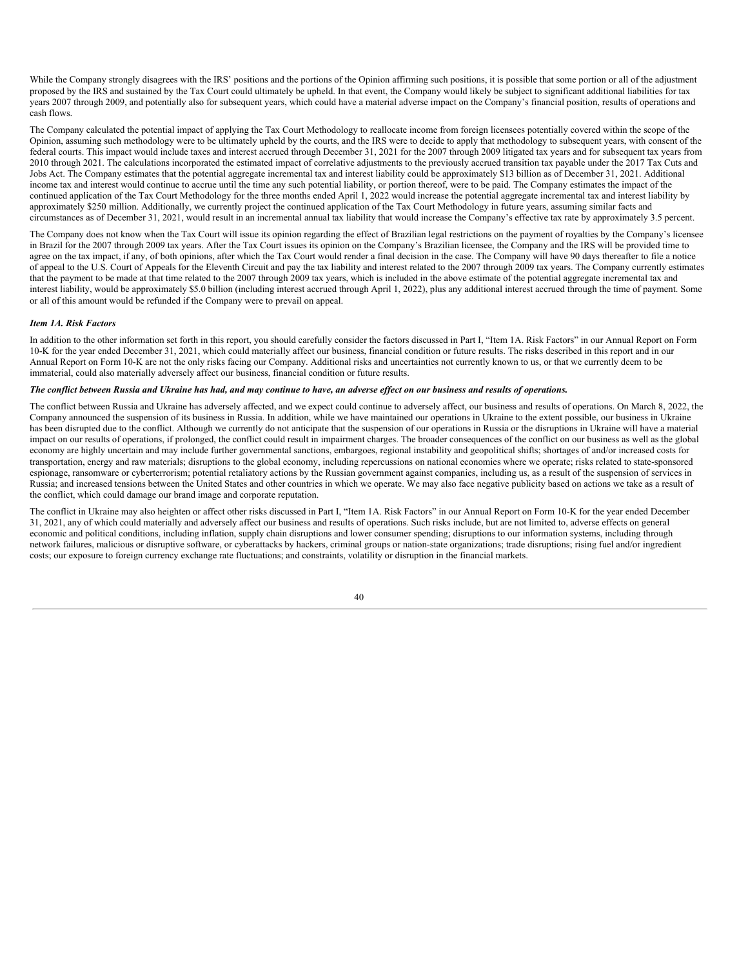While the Company strongly disagrees with the IRS' positions and the portions of the Opinion affirming such positions, it is possible that some portion or all of the adjustment proposed by the IRS and sustained by the Tax Court could ultimately be upheld. In that event, the Company would likely be subject to significant additional liabilities for tax years 2007 through 2009, and potentially also for subsequent years, which could have a material adverse impact on the Company's financial position, results of operations and cash flows.

The Company calculated the potential impact of applying the Tax Court Methodology to reallocate income from foreign licensees potentially covered within the scope of the Opinion, assuming such methodology were to be ultimately upheld by the courts, and the IRS were to decide to apply that methodology to subsequent years, with consent of the federal courts. This impact would include taxes and interest accrued through December 31, 2021 for the 2007 through 2009 litigated tax years and for subsequent tax years from 2010 through 2021. The calculations incorporated the estimated impact of correlative adjustments to the previously accrued transition tax payable under the 2017 Tax Cuts and Jobs Act. The Company estimates that the potential aggregate incremental tax and interest liability could be approximately \$13 billion as of December 31, 2021. Additional income tax and interest would continue to accrue until the time any such potential liability, or portion thereof, were to be paid. The Company estimates the impact of the continued application of the Tax Court Methodology for the three months ended April 1, 2022 would increase the potential aggregate incremental tax and interest liability by approximately \$250 million. Additionally, we currently project the continued application of the Tax Court Methodology in future years, assuming similar facts and circumstances as of December 31, 2021, would result in an incremental annual tax liability that would increase the Company's effective tax rate by approximately 3.5 percent.

The Company does not know when the Tax Court will issue its opinion regarding the effect of Brazilian legal restrictions on the payment of royalties by the Company's licensee in Brazil for the 2007 through 2009 tax years. After the Tax Court issues its opinion on the Company's Brazilian licensee, the Company and the IRS will be provided time to agree on the tax impact, if any, of both opinions, after which the Tax Court would render a final decision in the case. The Company will have 90 days thereafter to file a notice of appeal to the U.S. Court of Appeals for the Eleventh Circuit and pay the tax liability and interest related to the 2007 through 2009 tax years. The Company currently estimates that the payment to be made at that time related to the 2007 through 2009 tax years, which is included in the above estimate of the potential aggregate incremental tax and interest liability, would be approximately \$5.0 billion (including interest accrued through April 1, 2022), plus any additional interest accrued through the time of payment. Some or all of this amount would be refunded if the Company were to prevail on appeal.

### *Item 1A. Risk Factors*

In addition to the other information set forth in this report, you should carefully consider the factors discussed in Part I, "Item 1A. Risk Factors" in our Annual Report on Form 10-K for the year ended December 31, 2021, which could materially affect our business, financial condition or future results. The risks described in this report and in our Annual Report on Form 10-K are not the only risks facing our Company. Additional risks and uncertainties not currently known to us, or that we currently deem to be immaterial, could also materially adversely affect our business, financial condition or future results.

### The conflict between Russia and Ukraine has had, and may continue to have, an adverse effect on our business and results of operations.

The conflict between Russia and Ukraine has adversely affected, and we expect could continue to adversely affect, our business and results of operations. On March 8, 2022, the Company announced the suspension of its business in Russia. In addition, while we have maintained our operations in Ukraine to the extent possible, our business in Ukraine has been disrupted due to the conflict. Although we currently do not anticipate that the suspension of our operations in Russia or the disruptions in Ukraine will have a material impact on our results of operations, if prolonged, the conflict could result in impairment charges. The broader consequences of the conflict on our business as well as the global economy are highly uncertain and may include further governmental sanctions, embargoes, regional instability and geopolitical shifts; shortages of and/or increased costs for transportation, energy and raw materials; disruptions to the global economy, including repercussions on national economies where we operate; risks related to state-sponsored espionage, ransomware or cyberterrorism; potential retaliatory actions by the Russian government against companies, including us, as a result of the suspension of services in Russia; and increased tensions between the United States and other countries in which we operate. We may also face negative publicity based on actions we take as a result of the conflict, which could damage our brand image and corporate reputation.

The conflict in Ukraine may also heighten or affect other risks discussed in Part I, "Item 1A. Risk Factors" in our Annual Report on Form 10-K for the year ended December 31, 2021, any of which could materially and adversely affect our business and results of operations. Such risks include, but are not limited to, adverse effects on general economic and political conditions, including inflation, supply chain disruptions and lower consumer spending; disruptions to our information systems, including through network failures, malicious or disruptive software, or cyberattacks by hackers, criminal groups or nation-state organizations; trade disruptions; rising fuel and/or ingredient costs; our exposure to foreign currency exchange rate fluctuations; and constraints, volatility or disruption in the financial markets.

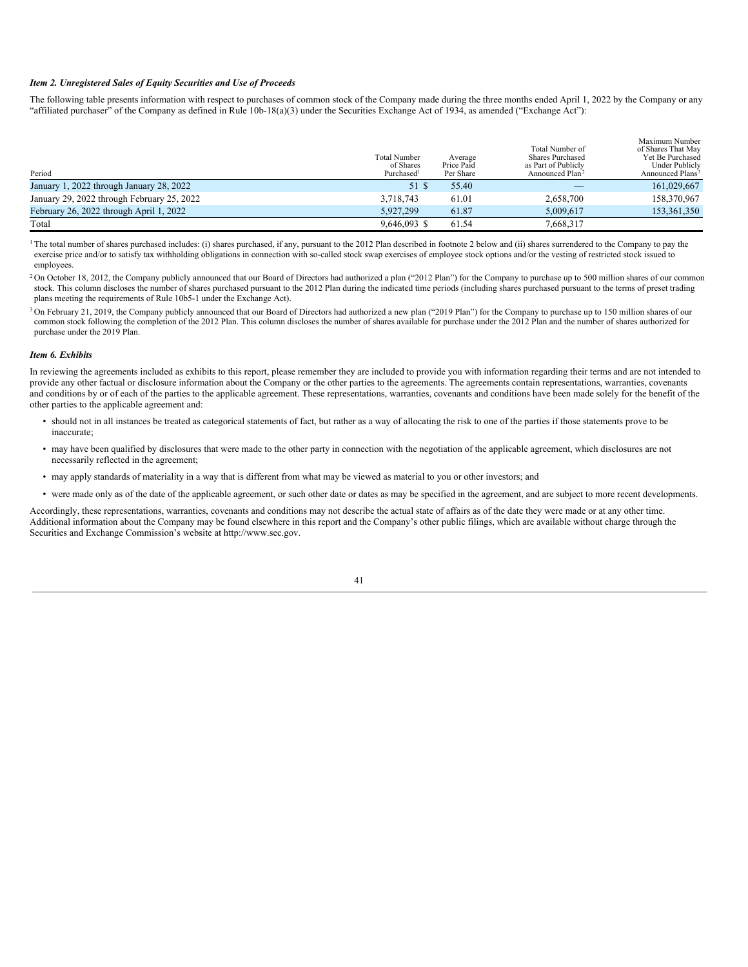### *Item 2. Unregistered Sales of Equity Securities and Use of Proceeds*

The following table presents information with respect to purchases of common stock of the Company made during the three months ended April 1, 2022 by the Company or any "affiliated purchaser" of the Company as defined in Rule 10b-18(a)(3) under the Securities Exchange Act of 1934, as amended ("Exchange Act"):

|                                            |                        |            |                             | Maximum Number               |
|--------------------------------------------|------------------------|------------|-----------------------------|------------------------------|
|                                            |                        |            | Total Number of             | of Shares That May           |
|                                            | <b>Total Number</b>    | Average    | <b>Shares Purchased</b>     | Yet Be Purchased             |
|                                            | of Shares              | Price Paid | as Part of Publicly         | Under Publicly               |
| Period                                     | Purchased <sup>1</sup> | Per Share  | Announced Plan <sup>2</sup> | Announced Plans <sup>3</sup> |
| January 1, 2022 through January 28, 2022   | 51 \$                  | 55.40      |                             | 161,029,667                  |
| January 29, 2022 through February 25, 2022 | 3,718,743              | 61.01      | 2,658,700                   | 158,370,967                  |
| February 26, 2022 through April 1, 2022    | 5.927.299              | 61.87      | 5.009.617                   | 153,361,350                  |
| Total                                      | 9.646.093 \$           | 61.54      | 7.668.317                   |                              |

<sup>1</sup> The total number of shares purchased includes: (i) shares purchased, if any, pursuant to the 2012 Plan described in footnote 2 below and (ii) shares surrendered to the Company to pay the exercise price and/or to satisfy tax withholding obligations in connection with so-called stock swap exercises of employee stock options and/or the vesting of restricted stock issued to employees.

<sup>2</sup> On October 18, 2012, the Company publicly announced that our Board of Directors had authorized a plan ("2012 Plan") for the Company to purchase up to 500 million shares of our common stock. This column discloses the number of shares purchased pursuant to the 2012 Plan during the indicated time periods (including shares purchased pursuant to the terms of preset trading plans meeting the requirements of Rule 10b5-1 under the Exchange Act).

<sup>3</sup> On February 21, 2019, the Company publicly announced that our Board of Directors had authorized a new plan ("2019 Plan") for the Company to purchase up to 150 million shares of our common stock following the completion of the 2012 Plan. This column discloses the number of shares available for purchase under the 2012 Plan and the number of shares authorized for purchase under the 2019 Plan.

### *Item 6. Exhibits*

In reviewing the agreements included as exhibits to this report, please remember they are included to provide you with information regarding their terms and are not intended to provide any other factual or disclosure information about the Company or the other parties to the agreements. The agreements contain representations, warranties, covenants and conditions by or of each of the parties to the applicable agreement. These representations, warranties, covenants and conditions have been made solely for the benefit of the other parties to the applicable agreement and:

- should not in all instances be treated as categorical statements of fact, but rather as a way of allocating the risk to one of the parties if those statements prove to be inaccurate;
- may have been qualified by disclosures that were made to the other party in connection with the negotiation of the applicable agreement, which disclosures are not necessarily reflected in the agreement;
- may apply standards of materiality in a way that is different from what may be viewed as material to you or other investors; and
- were made only as of the date of the applicable agreement, or such other date or dates as may be specified in the agreement, and are subject to more recent developments.

Accordingly, these representations, warranties, covenants and conditions may not describe the actual state of affairs as of the date they were made or at any other time. Additional information about the Company may be found elsewhere in this report and the Company's other public filings, which are available without charge through the Securities and Exchange Commission's website at http://www.sec.gov.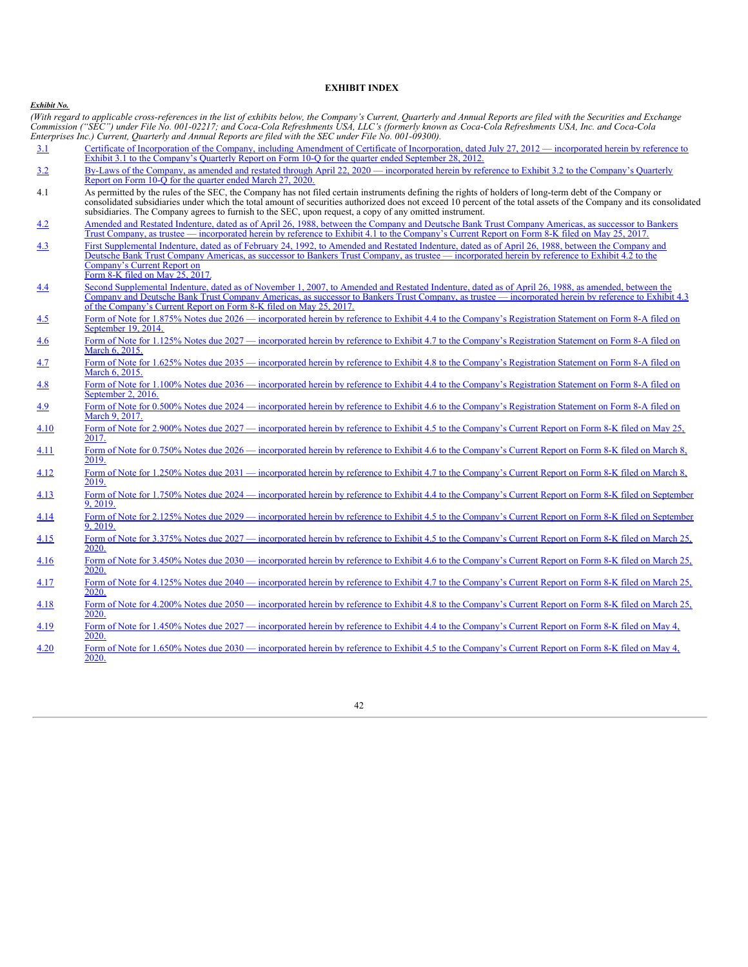# **EXHIBIT INDEX**

*Exhibit No.*

|             | (With regard to applicable cross-references in the list of exhibits below, the Company's Current, Quarterly and Annual Reports are filed with the Securities and Exchange<br>Commission ("SEC") under File No. 001-02217; and Coca-Cola Refreshments USA, LLC's (formerly known as Coca-Cola Refreshments USA, Inc. and Coca-Cola<br>Enterprises Inc.) Current, Quarterly and Annual Reports are filed with the SEC under File No. 001-09300). |
|-------------|------------------------------------------------------------------------------------------------------------------------------------------------------------------------------------------------------------------------------------------------------------------------------------------------------------------------------------------------------------------------------------------------------------------------------------------------|
| 3.1         | Certificate of Incorporation of the Company, including Amendment of Certificate of Incorporation, dated July 27, 2012 — incorporated herein by reference to<br>Exhibit 3.1 to the Company's Quarterly Report on Form 10-Q for the quarter ended September 28, 2012.                                                                                                                                                                            |
| 3.2         | By-Laws of the Company, as amended and restated through April 22, 2020 — incorporated herein by reference to Exhibit 3.2 to the Company's Quarterly<br>Report on Form 10-O for the quarter ended March 27, 2020.                                                                                                                                                                                                                               |
| 4.1         | As permitted by the rules of the SEC, the Company has not filed certain instruments defining the rights of holders of long-term debt of the Company or<br>consolidated subsidiaries under which the total amount of securities authorized does not exceed 10 percent of the total assets of the Company and its consolidated<br>subsidiaries. The Company agrees to furnish to the SEC, upon request, a copy of any omitted instrument.        |
| <u>4.2</u>  | Amended and Restated Indenture, dated as of April 26, 1988, between the Company and Deutsche Bank Trust Company Americas, as successor to Bankers<br>Trust Company, as trustee — incorporated herein by reference to Exhibit 4.1 to the Company's Current Report on Form 8-K filed on May 25, 2017.                                                                                                                                            |
| 4.3         | First Supplemental Indenture, dated as of February 24, 1992, to Amended and Restated Indenture, dated as of April 26, 1988, between the Company and<br>Deutsche Bank Trust Company Americas, as successor to Bankers Trust Company, as trustee — incorporated herein by reference to Exhibit 4.2 to the<br>Company's Current Report on<br>Form 8-K filed on May 25, 2017.                                                                      |
| 4.4         | Second Supplemental Indenture, dated as of November 1, 2007, to Amended and Restated Indenture, dated as of April 26, 1988, as amended, between the<br>Company and Deutsche Bank Trust Company Americas, as successor to Bankers Trust Company, as trustee — incorporated herein by reference to Exhibit 4.3<br>of the Company's Current Report on Form 8-K filed on May 25, 2017.                                                             |
| <u>4.5</u>  | Form of Note for 1.875% Notes due 2026 — incorporated herein by reference to Exhibit 4.4 to the Company's Registration Statement on Form 8-A filed on<br>September 19, 2014.                                                                                                                                                                                                                                                                   |
| 4.6         | Form of Note for 1.125% Notes due 2027 — incorporated herein by reference to Exhibit 4.7 to the Company's Registration Statement on Form 8-A filed on<br>March 6, 2015.                                                                                                                                                                                                                                                                        |
| 4.7         | Form of Note for 1.625% Notes due 2035 — incorporated herein by reference to Exhibit 4.8 to the Company's Registration Statement on Form 8-A filed on<br>March 6, 2015.                                                                                                                                                                                                                                                                        |
| <u>4.8</u>  | Form of Note for 1.100% Notes due 2036 — incorporated herein by reference to Exhibit 4.4 to the Company's Registration Statement on Form 8-A filed on<br>September 2, 2016.                                                                                                                                                                                                                                                                    |
| <u>4.9</u>  | Form of Note for 0.500% Notes due 2024 — incorporated herein by reference to Exhibit 4.6 to the Company's Registration Statement on Form 8-A filed on<br>March 9, 2017.                                                                                                                                                                                                                                                                        |
| <u>4.10</u> | Form of Note for 2.900% Notes due 2027 — incorporated herein by reference to Exhibit 4.5 to the Company's Current Report on Form 8-K filed on May 25,<br>2017.                                                                                                                                                                                                                                                                                 |
| 4.11        | Form of Note for 0.750% Notes due 2026 — incorporated herein by reference to Exhibit 4.6 to the Company's Current Report on Form 8-K filed on March 8.<br>2019                                                                                                                                                                                                                                                                                 |
| 4.12        | Form of Note for 1.250% Notes due 2031 — incorporated herein by reference to Exhibit 4.7 to the Company's Current Report on Form 8-K filed on March 8,<br>2019.                                                                                                                                                                                                                                                                                |
| 4.13        | Form of Note for 1.750% Notes due 2024 — incorporated herein by reference to Exhibit 4.4 to the Company's Current Report on Form 8-K filed on September<br>9.2019.                                                                                                                                                                                                                                                                             |
| 4.14        | Form of Note for 2.125% Notes due 2029 — incorporated herein by reference to Exhibit 4.5 to the Company's Current Report on Form 8-K filed on September<br>9.2019.                                                                                                                                                                                                                                                                             |
| 4.15        | Form of Note for 3.375% Notes due 2027 — incorporated herein by reference to Exhibit 4.5 to the Company's Current Report on Form 8-K filed on March 25.<br>2020.                                                                                                                                                                                                                                                                               |
| 4.16        | Form of Note for 3.450% Notes due 2030 — incorporated herein by reference to Exhibit 4.6 to the Company's Current Report on Form 8-K filed on March 25.<br>2020.                                                                                                                                                                                                                                                                               |
| 4.17        | Form of Note for 4.125% Notes due 2040 — incorporated herein by reference to Exhibit 4.7 to the Company's Current Report on Form 8-K filed on March 25.<br>2020.                                                                                                                                                                                                                                                                               |
| 4.18        | Form of Note for 4.200% Notes due 2050 — incorporated herein by reference to Exhibit 4.8 to the Company's Current Report on Form 8-K filed on March 25.<br>2020                                                                                                                                                                                                                                                                                |
| 4.19        | Form of Note for 1.450% Notes due 2027 — incorporated herein by reference to Exhibit 4.4 to the Company's Current Report on Form 8-K filed on May 4.<br>2020                                                                                                                                                                                                                                                                                   |
| 4.20        | Form of Note for 1.650% Notes due 2030 — incorporated herein by reference to Exhibit 4.5 to the Company's Current Report on Form 8-K filed on May 4.<br>2020.                                                                                                                                                                                                                                                                                  |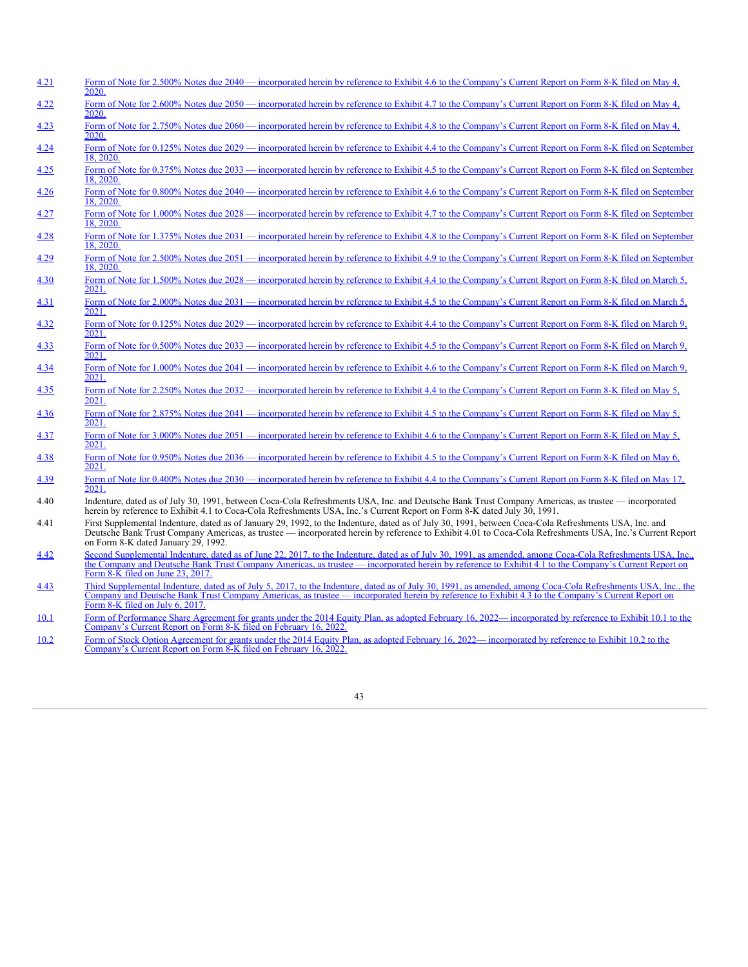| 4.21        | Form of Note for 2.500% Notes due 2040 — incorporated herein by reference to Exhibit 4.6 to the Company's Current Report on Form 8-K filed on May 4,<br>2020                                                                                                                                                                                             |
|-------------|----------------------------------------------------------------------------------------------------------------------------------------------------------------------------------------------------------------------------------------------------------------------------------------------------------------------------------------------------------|
| 4.22        | Form of Note for 2.600% Notes due 2050 — incorporated herein by reference to Exhibit 4.7 to the Company's Current Report on Form 8-K filed on May 4,<br>2020                                                                                                                                                                                             |
| 4.23        | Form of Note for 2.750% Notes due 2060 — incorporated herein by reference to Exhibit 4.8 to the Company's Current Report on Form 8-K filed on May 4,<br>2020.                                                                                                                                                                                            |
| 4.24        | Form of Note for 0.125% Notes due 2029 — incorporated herein by reference to Exhibit 4.4 to the Company's Current Report on Form 8-K filed on September<br>18.2020.                                                                                                                                                                                      |
| 4.25        | Form of Note for 0.375% Notes due 2033 — incorporated herein by reference to Exhibit 4.5 to the Company's Current Report on Form 8-K filed on September<br>18 2020                                                                                                                                                                                       |
| 4.26        | Form of Note for 0.800% Notes due 2040 — incorporated herein by reference to Exhibit 4.6 to the Company's Current Report on Form 8-K filed on September<br>18, 2020.                                                                                                                                                                                     |
| 4.27        | Form of Note for 1.000% Notes due 2028 — incorporated herein by reference to Exhibit 4.7 to the Company's Current Report on Form 8-K filed on September<br>18.2020.                                                                                                                                                                                      |
| 4.28        | Form of Note for 1.375% Notes due 2031 — incorporated herein by reference to Exhibit 4.8 to the Company's Current Report on Form 8-K filed on September<br>18.2020.                                                                                                                                                                                      |
| 4.29        | Form of Note for 2.500% Notes due 2051 — incorporated herein by reference to Exhibit 4.9 to the Company's Current Report on Form 8-K filed on September<br>18, 2020.                                                                                                                                                                                     |
| 4.30        | Form of Note for 1.500% Notes due 2028 — incorporated herein by reference to Exhibit 4.4 to the Company's Current Report on Form 8-K filed on March 5.<br>2021.                                                                                                                                                                                          |
| <u>4.31</u> | Form of Note for 2.000% Notes due 2031 — incorporated herein by reference to Exhibit 4.5 to the Company's Current Report on Form 8-K filed on March 5.<br>2021                                                                                                                                                                                           |
| 4.32        | Form of Note for 0.125% Notes due 2029 — incorporated herein by reference to Exhibit 4.4 to the Company's Current Report on Form 8-K filed on March 9,<br>2021                                                                                                                                                                                           |
| 4.33        | Form of Note for 0.500% Notes due 2033 — incorporated herein by reference to Exhibit 4.5 to the Company's Current Report on Form 8-K filed on March 9,<br>2021.                                                                                                                                                                                          |
| 4.34        | Form of Note for 1.000% Notes due 2041 — incorporated herein by reference to Exhibit 4.6 to the Company's Current Report on Form 8-K filed on March 9.<br>2021                                                                                                                                                                                           |
| 4.35        | Form of Note for 2.250% Notes due 2032 — incorporated herein by reference to Exhibit 4.4 to the Company's Current Report on Form 8-K filed on May 5.<br>2021.                                                                                                                                                                                            |
| 4.36        | Form of Note for 2.875% Notes due 2041 — incorporated herein by reference to Exhibit 4.5 to the Company's Current Report on Form 8-K filed on May 5,<br>2021.                                                                                                                                                                                            |
| 4.37        | Form of Note for 3.000% Notes due 2051 — incorporated herein by reference to Exhibit 4.6 to the Company's Current Report on Form 8-K filed on May 5.<br>2021.                                                                                                                                                                                            |
| 4.38        | Form of Note for 0.950% Notes due 2036 — incorporated herein by reference to Exhibit 4.5 to the Company's Current Report on Form 8-K filed on May 6.<br>2021.                                                                                                                                                                                            |
| 4.39        | Form of Note for 0.400% Notes due 2030 — incorporated herein by reference to Exhibit 4.4 to the Company's Current Report on Form 8-K filed on May 17.<br>2021.                                                                                                                                                                                           |
| 4.40        | Indenture, dated as of July 30, 1991, between Coca-Cola Refreshments USA, Inc. and Deutsche Bank Trust Company Americas, as trustee — incorporated<br>herein by reference to Exhibit 4.1 to Coca-Cola Refreshments USA, Inc.'s Current Report on Form 8-K dated July 30, 1991.                                                                           |
| 4.41        | First Supplemental Indenture, dated as of January 29, 1992, to the Indenture, dated as of July 30, 1991, between Coca-Cola Refreshments USA, Inc. and<br>Deutsche Bank Trust Company Americas, as trustee — incorporated herein by reference to Exhibit 4.01 to Coca-Cola Refreshments USA, Inc.'s Current Report<br>on Form 8-K dated January 29, 1992. |
| 4.42        | Second Supplemental Indenture, dated as of June 22, 2017, to the Indenture, dated as of July 30, 1991, as amended, among Coca-Cola Refreshments USA, Inc.,<br>the Company and Deutsche Bank Trust Company Americas, as trustee — incorporated herein by reference to Exhibit 4.1 to the Company's Current Report on<br>Form 8-K filed on June 23, 2017.  |
| 4.43        | Third Supplemental Indenture, dated as of July 5, 2017, to the Indenture, dated as of July 30, 1991, as amended, among Coca-Cola Refreshments USA, Inc., the<br>Company and Deutsche Bank Trust Company Americas, as trustee — incorporated herein by reference to Exhibit 4.3 to the Company's Current Report on<br>Form 8-K filed on July 6, 2017.     |
| 10.1        | Form of Performance Share Agreement for grants under the 2014 Equity Plan, as adopted February 16, 2022—incorporated by reference to Exhibit 10.1 to the<br>Company's Current Report on Form 8-K filed on February 16, 2022.                                                                                                                             |
| 10.2        | Form of Stock Option Agreement for grants under the 2014 Equity Plan, as adopted February 16, 2022—incorporated by reference to Exhibit 10.2 to the<br>Company's Current Report on Form 8-K filed on February 16, 2022.                                                                                                                                  |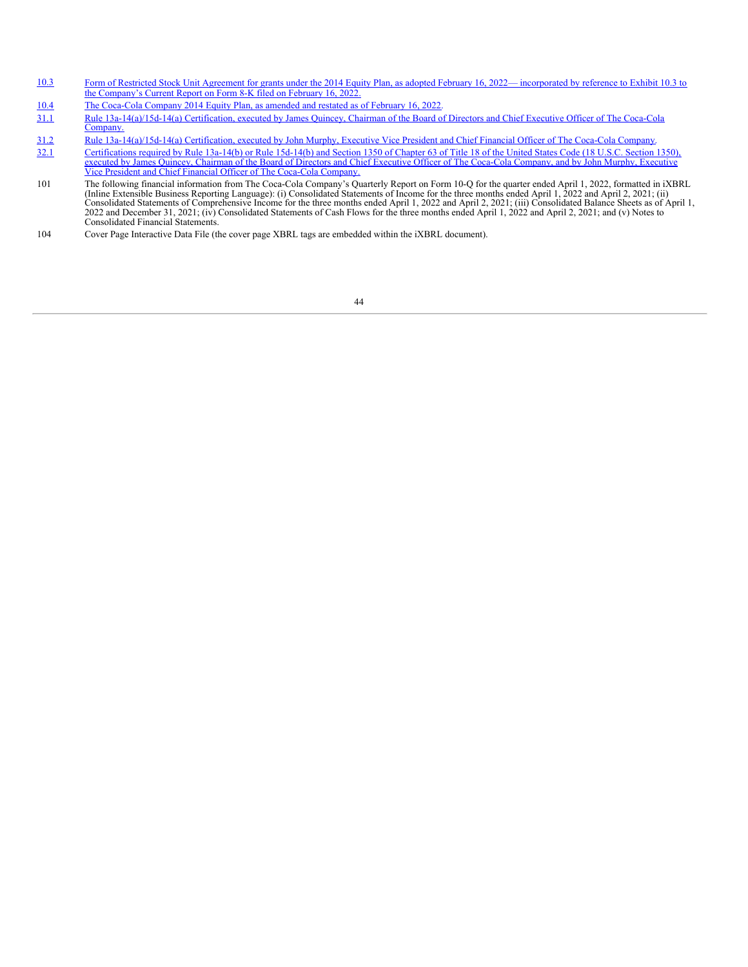- [10.3](https://www.sec.gov/Archives/edgar/data/21344/000155278122000167/e22073_ex10-3.htm) Form of Restricted Stock Unit [Agreement](https://www.sec.gov/Archives/edgar/data/21344/000155278122000167/e22073_ex10-3.htm) for grants under the 2014 Equity Plan, as adopted February 16, 2022[—](https://www.sec.gov/Archives/edgar/data/21344/000155278122000167/e22073_ex10-3.htm) [incorporated](https://www.sec.gov/Archives/edgar/data/21344/000155278122000167/e22073_ex10-3.htm) by reference to Exhibit 10.3 to the Company's Current Report on Form 8-K filed on February 16, 202[2.](https://www.sec.gov/Archives/edgar/data/21344/000155278122000167/e22073_ex10-3.htm)
- [10.4](#page-59-0) The [Coca-Cola](#page-59-0) Company 2014 Equity Plan, as amended and restated as of February 16, 2022.
- [31.1](#page-71-0) Rule [13a-14\(a\)/15d-14\(a\)](#page-71-0) Certification, executed by James Quincey, Chairman of the Board of Directors and Chief Executive Officer of The Coca-Cola Company.

[31.2](#page-72-0) Rule [13a-14\(a\)/15d-14\(a\)](#page-72-0) Certification, executed by John Murphy, Executive Vice President and Chief Financial Officer of The Coca-Cola Company.

- [32.1](#page-73-0) [Certifications](#page-73-0) required by Rule 13a-14(b) or Rule 15d-14(b) and Section 1350 of Chapter 63 of Title 18 of the United States Code (18 U.S.C. Section 1350), executed by James Quincey, Chairman of the Board of Directors
- 101 The following financial information from The Coca-Cola Company's Quarterly Report on Form 10-Q for the quarter ended April 1, 2022, formatted in iXBRL (Inline Extensible Business Reporting Language): (i) Consolidated Statements of Income for the three months ended April 1, 2022 and April 2, 2021; (ii) Consolidated Statements of Comprehensive Income for the three months ended April 1, 2022 and April 2, 2021; (iii) Consolidated Balance Sheets as of April 1, 2022 and December 31, 2021; (iv) Consolidated Statements of Cash Flows for the three months ended April 1, 2022 and April 2, 2021; and (v) Notes to Consolidated Financial Statements.
- 104 Cover Page Interactive Data File (the cover page XBRL tags are embedded within the iXBRL document).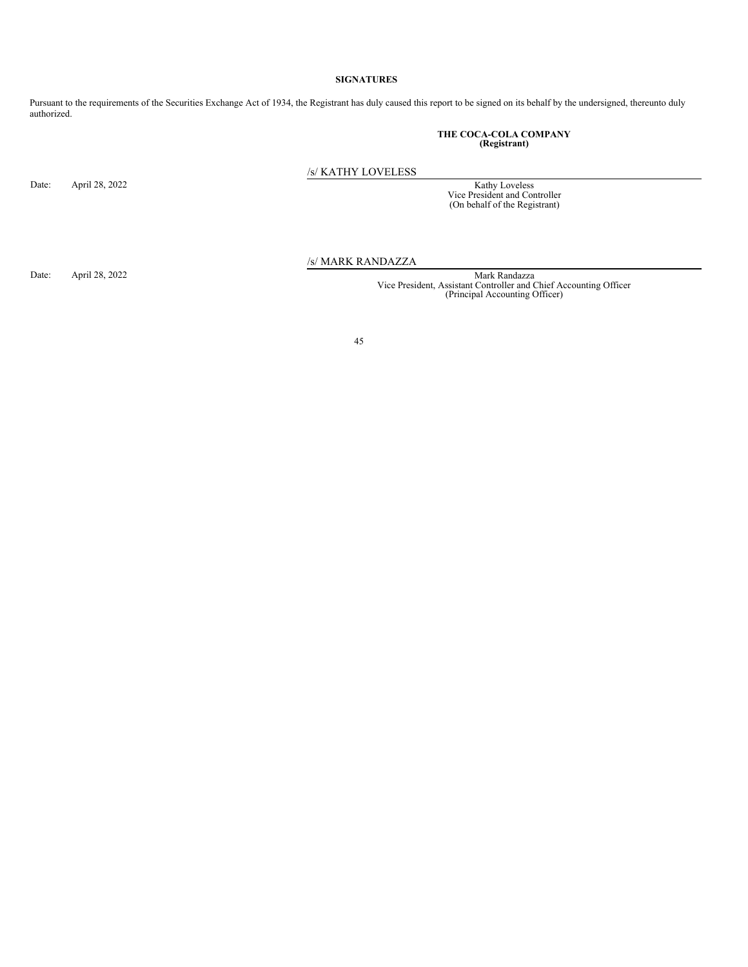## **SIGNATURES**

Pursuant to the requirements of the Securities Exchange Act of 1934, the Registrant has duly caused this report to be signed on its behalf by the undersigned, thereunto duly authorized.

# **THE COCA-COLA COMPANY (Registrant)**

/s/ KATHY LOVELESS

Date: April 28, 2022<br>
Vice President and Controller<br>
(On behalf of the Registrant)

/s/ MARK RANDAZZA

Date: April 28, 2022<br>
Vice President, Assistant Controller and Chief Accounting Officer<br>
(Principal Accounting Officer)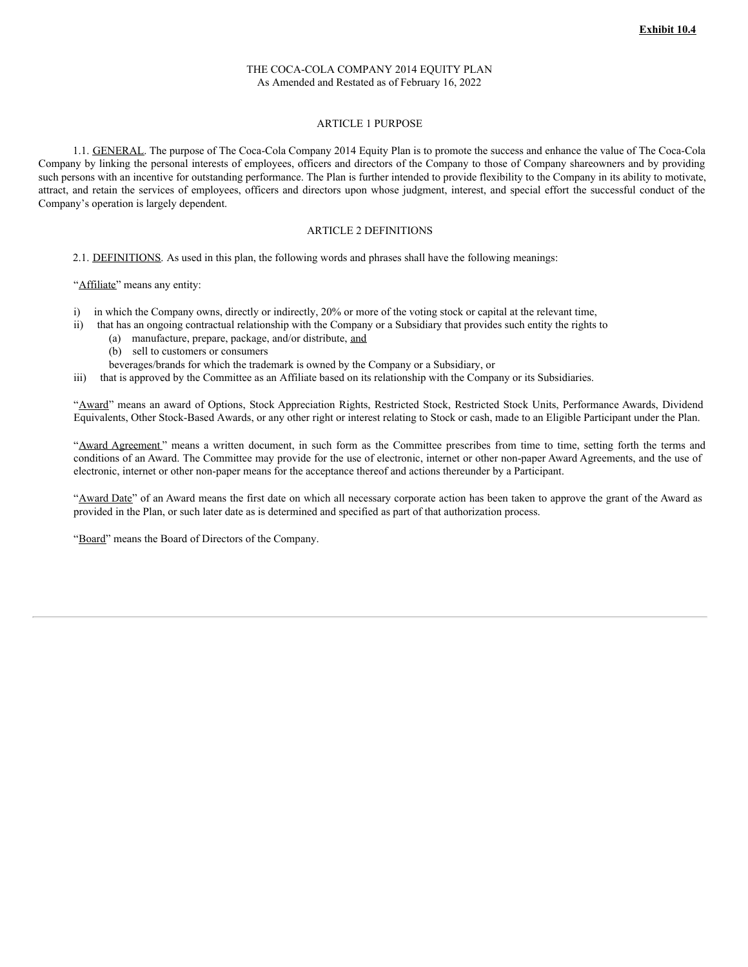## THE COCA-COLA COMPANY 2014 EQUITY PLAN As Amended and Restated as of February 16, 2022

## ARTICLE 1 PURPOSE

1.1. GENERAL. The purpose of The Coca-Cola Company 2014 Equity Plan is to promote the success and enhance the value of The Coca-Cola Company by linking the personal interests of employees, officers and directors of the Company to those of Company shareowners and by providing such persons with an incentive for outstanding performance. The Plan is further intended to provide flexibility to the Company in its ability to motivate, attract, and retain the services of employees, officers and directors upon whose judgment, interest, and special effort the successful conduct of the Company's operation is largely dependent.

## ARTICLE 2 DEFINITIONS

2.1. DEFINITIONS. As used in this plan, the following words and phrases shall have the following meanings:

"Affiliate" means any entity:

- i) in which the Company owns, directly or indirectly, 20% or more of the voting stock or capital at the relevant time,
- ii) that has an ongoing contractual relationship with the Company or a Subsidiary that provides such entity the rights to
	- (a) manufacture, prepare, package, and/or distribute, and
	- (b) sell to customers or consumers
	- beverages/brands for which the trademark is owned by the Company or a Subsidiary, or
- iii) that is approved by the Committee as an Affiliate based on its relationship with the Company or its Subsidiaries.

"Award" means an award of Options, Stock Appreciation Rights, Restricted Stock, Restricted Stock Units, Performance Awards, Dividend Equivalents, Other Stock-Based Awards, or any other right or interest relating to Stock or cash, made to an Eligible Participant under the Plan.

"Award Agreement " means a written document, in such form as the Committee prescribes from time to time, setting forth the terms and conditions of an Award. The Committee may provide for the use of electronic, internet or other non-paper Award Agreements, and the use of electronic, internet or other non-paper means for the acceptance thereof and actions thereunder by a Participant.

"Award Date" of an Award means the first date on which all necessary corporate action has been taken to approve the grant of the Award as provided in the Plan, or such later date as is determined and specified as part of that authorization process.

"Board" means the Board of Directors of the Company.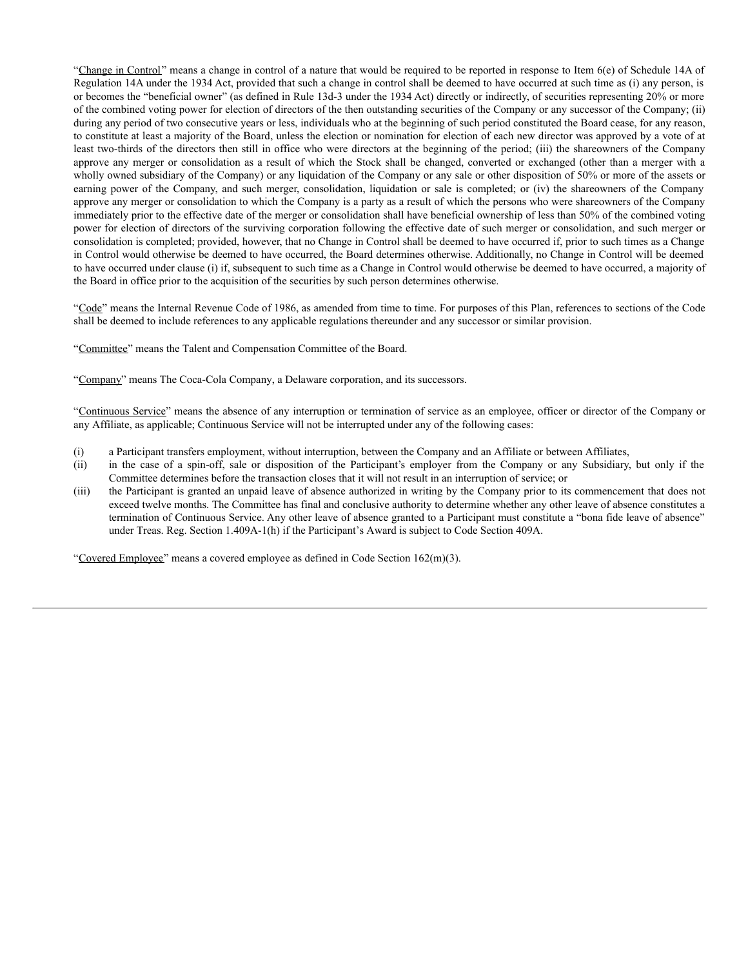"Change in Control" means a change in control of a nature that would be required to be reported in response to Item 6(e) of Schedule 14A of Regulation 14A under the 1934 Act, provided that such a change in control shall be deemed to have occurred at such time as (i) any person, is or becomes the "beneficial owner" (as defined in Rule 13d-3 under the 1934 Act) directly or indirectly, of securities representing 20% or more of the combined voting power for election of directors of the then outstanding securities of the Company or any successor of the Company; (ii) during any period of two consecutive years or less, individuals who at the beginning of such period constituted the Board cease, for any reason, to constitute at least a majority of the Board, unless the election or nomination for election of each new director was approved by a vote of at least two-thirds of the directors then still in office who were directors at the beginning of the period; (iii) the shareowners of the Company approve any merger or consolidation as a result of which the Stock shall be changed, converted or exchanged (other than a merger with a wholly owned subsidiary of the Company) or any liquidation of the Company or any sale or other disposition of 50% or more of the assets or earning power of the Company, and such merger, consolidation, liquidation or sale is completed; or (iv) the shareowners of the Company approve any merger or consolidation to which the Company is a party as a result of which the persons who were shareowners of the Company immediately prior to the effective date of the merger or consolidation shall have beneficial ownership of less than 50% of the combined voting power for election of directors of the surviving corporation following the effective date of such merger or consolidation, and such merger or consolidation is completed; provided, however, that no Change in Control shall be deemed to have occurred if, prior to such times as a Change in Control would otherwise be deemed to have occurred, the Board determines otherwise. Additionally, no Change in Control will be deemed to have occurred under clause (i) if, subsequent to such time as a Change in Control would otherwise be deemed to have occurred, a majority of the Board in office prior to the acquisition of the securities by such person determines otherwise.

"Code" means the Internal Revenue Code of 1986, as amended from time to time. For purposes of this Plan, references to sections of the Code shall be deemed to include references to any applicable regulations thereunder and any successor or similar provision.

"Committee" means the Talent and Compensation Committee of the Board.

"Company" means The Coca-Cola Company, a Delaware corporation, and its successors.

"Continuous Service" means the absence of any interruption or termination of service as an employee, officer or director of the Company or any Affiliate, as applicable; Continuous Service will not be interrupted under any of the following cases:

- (i) a Participant transfers employment, without interruption, between the Company and an Affiliate or between Affiliates,
- (ii) in the case of a spin-off, sale or disposition of the Participant's employer from the Company or any Subsidiary, but only if the Committee determines before the transaction closes that it will not result in an interruption of service; or
- (iii) the Participant is granted an unpaid leave of absence authorized in writing by the Company prior to its commencement that does not exceed twelve months. The Committee has final and conclusive authority to determine whether any other leave of absence constitutes a termination of Continuous Service. Any other leave of absence granted to a Participant must constitute a "bona fide leave of absence" under Treas. Reg. Section 1.409A-1(h) if the Participant's Award is subject to Code Section 409A.

"Covered Employee" means a covered employee as defined in Code Section 162(m)(3).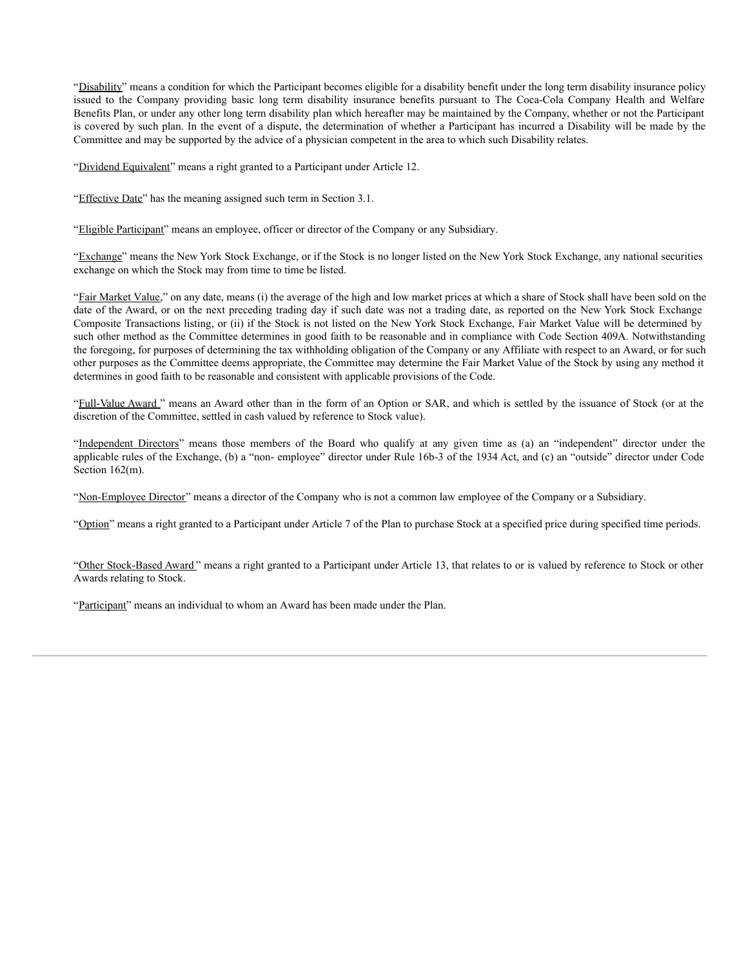"Disability" means a condition for which the Participant becomes eligible for a disability benefit under the long term disability insurance policy issued to the Company providing basic long term disability insurance benefits pursuant to The Coca-Cola Company Health and Welfare Benefits Plan, or under any other long term disability plan which hereafter may be maintained by the Company, whether or not the Participant is covered by such plan. In the event of a dispute, the determination of whether a Participant has incurred a Disability will be made by the Committee and may be supported by the advice of a physician competent in the area to which such Disability relates.

"Dividend Equivalent" means a right granted to a Participant under Article 12.

"Effective Date" has the meaning assigned such term in Section 3.1.

"Eligible Participant" means an employee, officer or director of the Company or any Subsidiary.

"Exchange" means the New York Stock Exchange, or if the Stock is no longer listed on the New York Stock Exchange, any national securities exchange on which the Stock may from time to time be listed.

"Fair Market Value," on any date, means (i) the average of the high and low market prices at which a share of Stock shall have been sold on the date of the Award, or on the next preceding trading day if such date was not a trading date, as reported on the New York Stock Exchange Composite Transactions listing, or (ii) if the Stock is not listed on the New York Stock Exchange, Fair Market Value will be determined by such other method as the Committee determines in good faith to be reasonable and in compliance with Code Section 409A. Notwithstanding the foregoing, for purposes of determining the tax withholding obligation of the Company or any Affiliate with respect to an Award, or for such other purposes as the Committee deems appropriate, the Committee may determine the Fair Market Value of the Stock by using any method it determines in good faith to be reasonable and consistent with applicable provisions of the Code.

"Full-Value Award " means an Award other than in the form of an Option or SAR, and which is settled by the issuance of Stock (or at the discretion of the Committee, settled in cash valued by reference to Stock value).

"Independent Directors" means those members of the Board who qualify at any given time as (a) an "independent" director under the applicable rules of the Exchange, (b) a "non- employee" director under Rule 16b-3 of the 1934 Act, and (c) an "outside" director under Code Section 162(m).

"Non-Employee Director" means a director of the Company who is not a common law employee of the Company or a Subsidiary.

"Option" means a right granted to a Participant under Article 7 of the Plan to purchase Stock at a specified price during specified time periods.

"Other Stock-Based Award" means a right granted to a Participant under Article 13, that relates to or is valued by reference to Stock or other Awards relating to Stock.

"Participant" means an individual to whom an Award has been made under the Plan.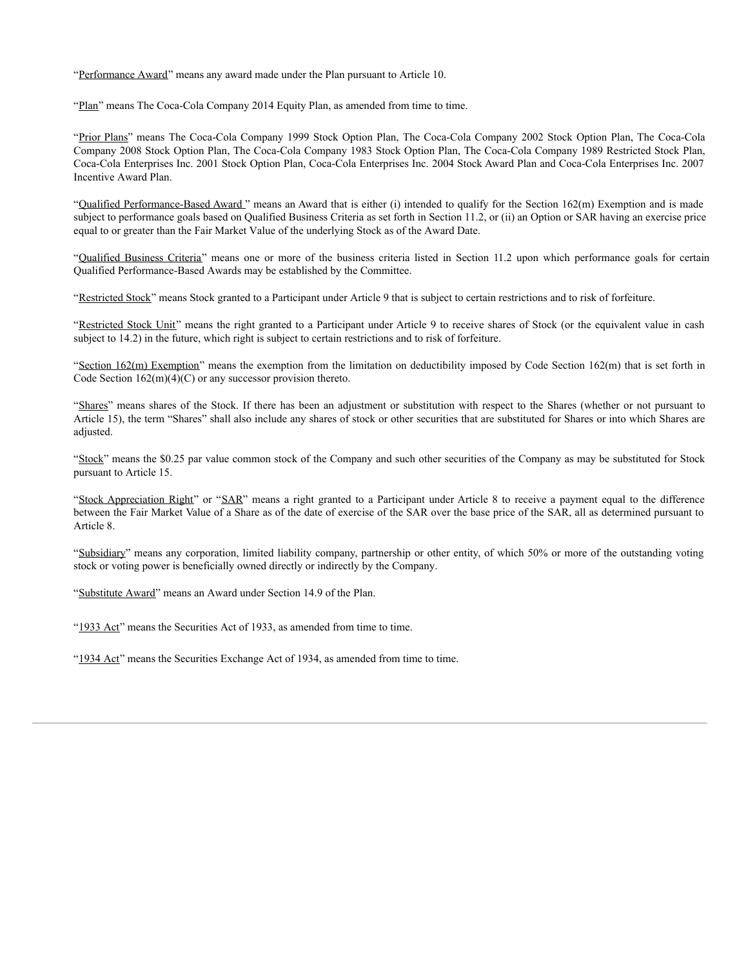"Performance Award" means any award made under the Plan pursuant to Article 10.

"Plan" means The Coca-Cola Company 2014 Equity Plan, as amended from time to time.

"Prior Plans" means The Coca-Cola Company 1999 Stock Option Plan, The Coca-Cola Company 2002 Stock Option Plan, The Coca-Cola Company 2008 Stock Option Plan, The Coca-Cola Company 1983 Stock Option Plan, The Coca-Cola Company 1989 Restricted Stock Plan, Coca-Cola Enterprises Inc. 2001 Stock Option Plan, Coca-Cola Enterprises Inc. 2004 Stock Award Plan and Coca-Cola Enterprises Inc. 2007 Incentive Award Plan.

"Qualified Performance-Based Award" means an Award that is either (i) intended to qualify for the Section 162(m) Exemption and is made subject to performance goals based on Qualified Business Criteria as set forth in Section 11.2, or (ii) an Option or SAR having an exercise price equal to or greater than the Fair Market Value of the underlying Stock as of the Award Date.

"Qualified Business Criteria" means one or more of the business criteria listed in Section 11.2 upon which performance goals for certain Qualified Performance-Based Awards may be established by the Committee.

"Restricted Stock" means Stock granted to a Participant under Article 9 that is subject to certain restrictions and to risk of forfeiture.

"Restricted Stock Unit" means the right granted to a Participant under Article 9 to receive shares of Stock (or the equivalent value in cash subject to 14.2) in the future, which right is subject to certain restrictions and to risk of forfeiture.

"Section 162(m) Exemption" means the exemption from the limitation on deductibility imposed by Code Section 162(m) that is set forth in Code Section 162(m)(4)(C) or any successor provision thereto.

"Shares" means shares of the Stock. If there has been an adjustment or substitution with respect to the Shares (whether or not pursuant to Article 15), the term "Shares" shall also include any shares of stock or other securities that are substituted for Shares or into which Shares are adjusted.

"Stock" means the \$0.25 par value common stock of the Company and such other securities of the Company as may be substituted for Stock pursuant to Article 15.

"Stock Appreciation Right" or "SAR" means a right granted to a Participant under Article 8 to receive a payment equal to the difference between the Fair Market Value of a Share as of the date of exercise of the SAR over the base price of the SAR, all as determined pursuant to Article 8.

"Subsidiary" means any corporation, limited liability company, partnership or other entity, of which 50% or more of the outstanding voting stock or voting power is beneficially owned directly or indirectly by the Company.

"Substitute Award" means an Award under Section 14.9 of the Plan.

"1933 Act" means the Securities Act of 1933, as amended from time to time.

"1934 Act" means the Securities Exchange Act of 1934, as amended from time to time.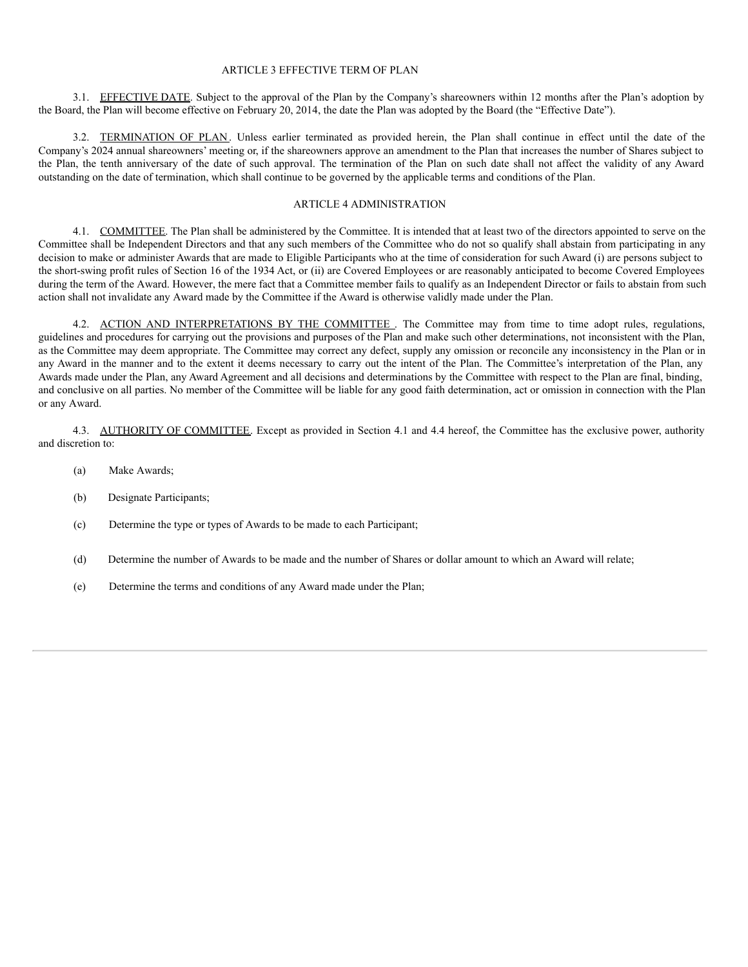## ARTICLE 3 EFFECTIVE TERM OF PLAN

3.1. EFFECTIVE DATE. Subject to the approval of the Plan by the Company's shareowners within 12 months after the Plan's adoption by the Board, the Plan will become effective on February 20, 2014, the date the Plan was adopted by the Board (the "Effective Date").

3.2. TERMINATION OF PLAN. Unless earlier terminated as provided herein, the Plan shall continue in effect until the date of the Company's 2024 annual shareowners' meeting or, if the shareowners approve an amendment to the Plan that increases the number of Shares subject to the Plan, the tenth anniversary of the date of such approval. The termination of the Plan on such date shall not affect the validity of any Award outstanding on the date of termination, which shall continue to be governed by the applicable terms and conditions of the Plan.

## ARTICLE 4 ADMINISTRATION

4.1. COMMITTEE. The Plan shall be administered by the Committee. It is intended that at least two of the directors appointed to serve on the Committee shall be Independent Directors and that any such members of the Committee who do not so qualify shall abstain from participating in any decision to make or administer Awards that are made to Eligible Participants who at the time of consideration for such Award (i) are persons subject to the short-swing profit rules of Section 16 of the 1934 Act, or (ii) are Covered Employees or are reasonably anticipated to become Covered Employees during the term of the Award. However, the mere fact that a Committee member fails to qualify as an Independent Director or fails to abstain from such action shall not invalidate any Award made by the Committee if the Award is otherwise validly made under the Plan.

4.2. ACTION AND INTERPRETATIONS BY THE COMMITTEE. The Committee may from time to time adopt rules, regulations, guidelines and procedures for carrying out the provisions and purposes of the Plan and make such other determinations, not inconsistent with the Plan, as the Committee may deem appropriate. The Committee may correct any defect, supply any omission or reconcile any inconsistency in the Plan or in any Award in the manner and to the extent it deems necessary to carry out the intent of the Plan. The Committee's interpretation of the Plan, any Awards made under the Plan, any Award Agreement and all decisions and determinations by the Committee with respect to the Plan are final, binding, and conclusive on all parties. No member of the Committee will be liable for any good faith determination, act or omission in connection with the Plan or any Award.

4.3. AUTHORITY OF COMMITTEE. Except as provided in Section 4.1 and 4.4 hereof, the Committee has the exclusive power, authority and discretion to:

- (a) Make Awards;
- (b) Designate Participants;
- (c) Determine the type or types of Awards to be made to each Participant;
- (d) Determine the number of Awards to be made and the number of Shares or dollar amount to which an Award will relate;
- (e) Determine the terms and conditions of any Award made under the Plan;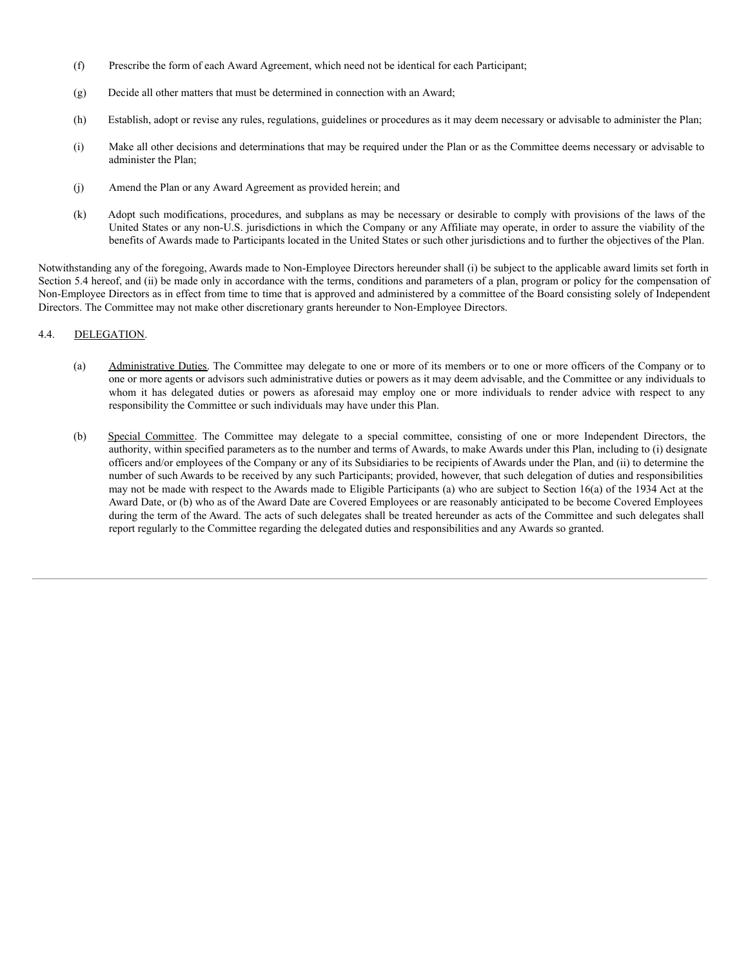- (f) Prescribe the form of each Award Agreement, which need not be identical for each Participant;
- (g) Decide all other matters that must be determined in connection with an Award;
- (h) Establish, adopt or revise any rules, regulations, guidelines or procedures as it may deem necessary or advisable to administer the Plan;
- (i) Make all other decisions and determinations that may be required under the Plan or as the Committee deems necessary or advisable to administer the Plan;
- (j) Amend the Plan or any Award Agreement as provided herein; and
- (k) Adopt such modifications, procedures, and subplans as may be necessary or desirable to comply with provisions of the laws of the United States or any non-U.S. jurisdictions in which the Company or any Affiliate may operate, in order to assure the viability of the benefits of Awards made to Participants located in the United States or such other jurisdictions and to further the objectives of the Plan.

Notwithstanding any of the foregoing, Awards made to Non-Employee Directors hereunder shall (i) be subject to the applicable award limits set forth in Section 5.4 hereof, and (ii) be made only in accordance with the terms, conditions and parameters of a plan, program or policy for the compensation of Non-Employee Directors as in effect from time to time that is approved and administered by a committee of the Board consisting solely of Independent Directors. The Committee may not make other discretionary grants hereunder to Non-Employee Directors.

# 4.4. DELEGATION.

- (a) Administrative Duties. The Committee may delegate to one or more of its members or to one or more officers of the Company or to one or more agents or advisors such administrative duties or powers as it may deem advisable, and the Committee or any individuals to whom it has delegated duties or powers as aforesaid may employ one or more individuals to render advice with respect to any responsibility the Committee or such individuals may have under this Plan.
- (b) Special Committee. The Committee may delegate to a special committee, consisting of one or more Independent Directors, the authority, within specified parameters as to the number and terms of Awards, to make Awards under this Plan, including to (i) designate officers and/or employees of the Company or any of its Subsidiaries to be recipients of Awards under the Plan, and (ii) to determine the number of such Awards to be received by any such Participants; provided, however, that such delegation of duties and responsibilities may not be made with respect to the Awards made to Eligible Participants (a) who are subject to Section 16(a) of the 1934 Act at the Award Date, or (b) who as of the Award Date are Covered Employees or are reasonably anticipated to be become Covered Employees during the term of the Award. The acts of such delegates shall be treated hereunder as acts of the Committee and such delegates shall report regularly to the Committee regarding the delegated duties and responsibilities and any Awards so granted.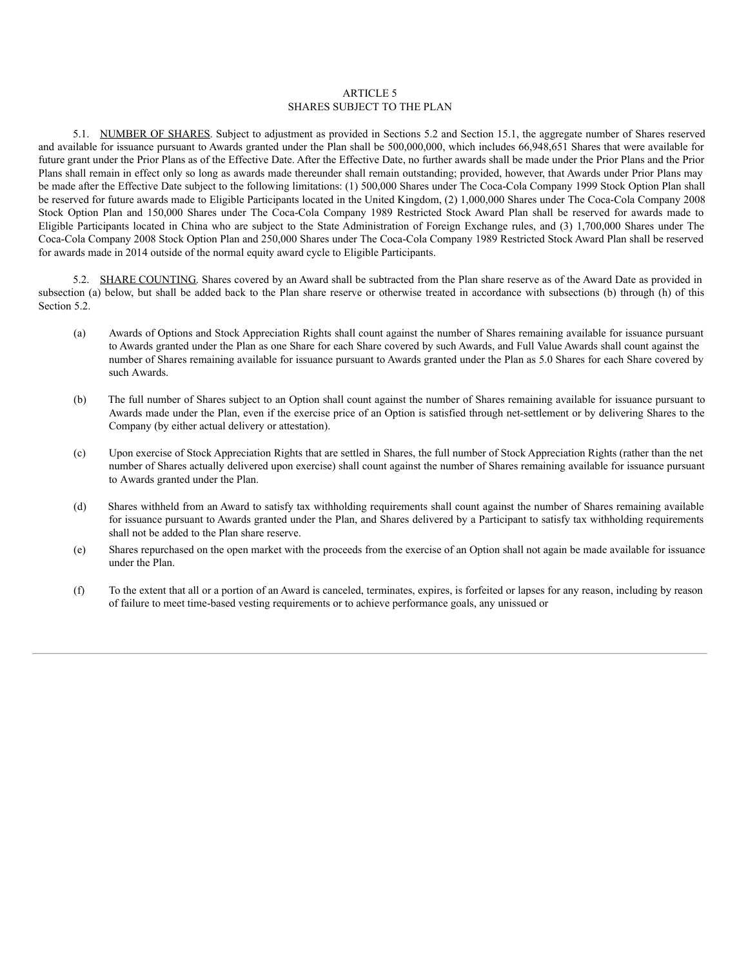## ARTICLE 5 SHARES SUBJECT TO THE PLAN

5.1. NUMBER OF SHARES. Subject to adjustment as provided in Sections 5.2 and Section 15.1, the aggregate number of Shares reserved and available for issuance pursuant to Awards granted under the Plan shall be 500,000,000, which includes 66,948,651 Shares that were available for future grant under the Prior Plans as of the Effective Date. After the Effective Date, no further awards shall be made under the Prior Plans and the Prior Plans shall remain in effect only so long as awards made thereunder shall remain outstanding; provided, however, that Awards under Prior Plans may be made after the Effective Date subject to the following limitations: (1) 500,000 Shares under The Coca-Cola Company 1999 Stock Option Plan shall be reserved for future awards made to Eligible Participants located in the United Kingdom, (2) 1,000,000 Shares under The Coca-Cola Company 2008 Stock Option Plan and 150,000 Shares under The Coca-Cola Company 1989 Restricted Stock Award Plan shall be reserved for awards made to Eligible Participants located in China who are subject to the State Administration of Foreign Exchange rules, and (3) 1,700,000 Shares under The Coca-Cola Company 2008 Stock Option Plan and 250,000 Shares under The Coca-Cola Company 1989 Restricted Stock Award Plan shall be reserved for awards made in 2014 outside of the normal equity award cycle to Eligible Participants.

5.2. SHARE COUNTING. Shares covered by an Award shall be subtracted from the Plan share reserve as of the Award Date as provided in subsection (a) below, but shall be added back to the Plan share reserve or otherwise treated in accordance with subsections (b) through (h) of this Section 5.2.

- (a) Awards of Options and Stock Appreciation Rights shall count against the number of Shares remaining available for issuance pursuant to Awards granted under the Plan as one Share for each Share covered by such Awards, and Full Value Awards shall count against the number of Shares remaining available for issuance pursuant to Awards granted under the Plan as 5.0 Shares for each Share covered by such Awards.
- (b) The full number of Shares subject to an Option shall count against the number of Shares remaining available for issuance pursuant to Awards made under the Plan, even if the exercise price of an Option is satisfied through net-settlement or by delivering Shares to the Company (by either actual delivery or attestation).
- (c) Upon exercise of Stock Appreciation Rights that are settled in Shares, the full number of Stock Appreciation Rights (rather than the net number of Shares actually delivered upon exercise) shall count against the number of Shares remaining available for issuance pursuant to Awards granted under the Plan.
- (d) Shares withheld from an Award to satisfy tax withholding requirements shall count against the number of Shares remaining available for issuance pursuant to Awards granted under the Plan, and Shares delivered by a Participant to satisfy tax withholding requirements shall not be added to the Plan share reserve.
- (e) Shares repurchased on the open market with the proceeds from the exercise of an Option shall not again be made available for issuance under the Plan.
- (f) To the extent that all or a portion of an Award is canceled, terminates, expires, is forfeited or lapses for any reason, including by reason of failure to meet time-based vesting requirements or to achieve performance goals, any unissued or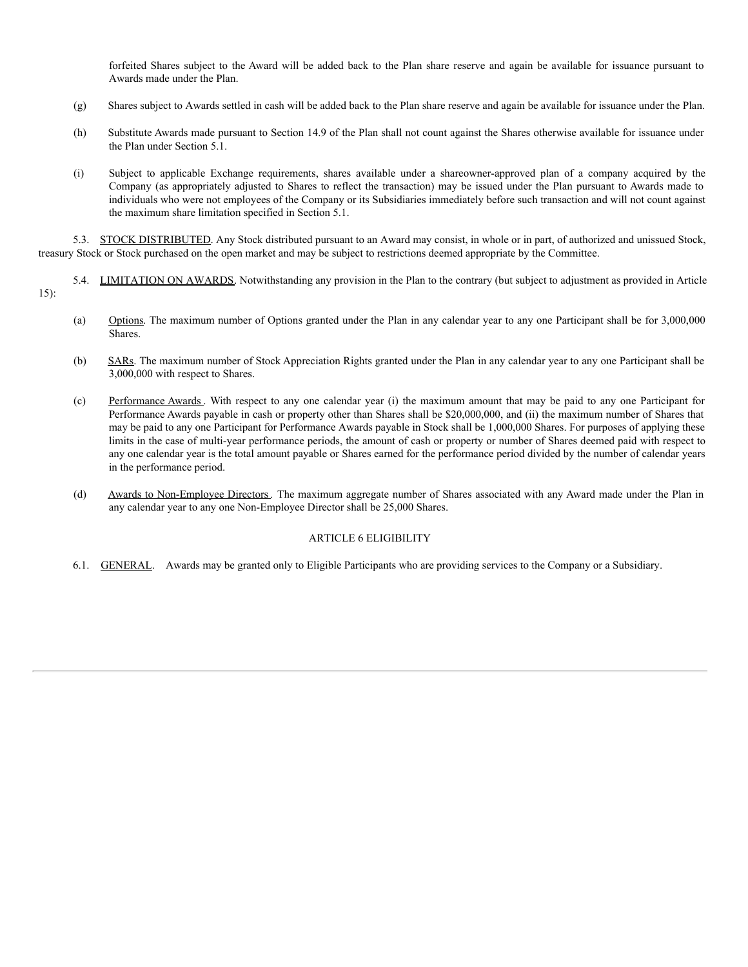forfeited Shares subject to the Award will be added back to the Plan share reserve and again be available for issuance pursuant to Awards made under the Plan.

- (g) Shares subject to Awards settled in cash will be added back to the Plan share reserve and again be available for issuance under the Plan.
- (h) Substitute Awards made pursuant to Section 14.9 of the Plan shall not count against the Shares otherwise available for issuance under the Plan under Section 5.1.
- (i) Subject to applicable Exchange requirements, shares available under a shareowner-approved plan of a company acquired by the Company (as appropriately adjusted to Shares to reflect the transaction) may be issued under the Plan pursuant to Awards made to individuals who were not employees of the Company or its Subsidiaries immediately before such transaction and will not count against the maximum share limitation specified in Section 5.1.

5.3. STOCK DISTRIBUTED. Any Stock distributed pursuant to an Award may consist, in whole or in part, of authorized and unissued Stock, treasury Stock or Stock purchased on the open market and may be subject to restrictions deemed appropriate by the Committee.

- 5.4. LIMITATION ON AWARDS. Notwithstanding any provision in the Plan to the contrary (but subject to adjustment as provided in Article 15):
	- (a) Options. The maximum number of Options granted under the Plan in any calendar year to any one Participant shall be for 3,000,000 Shares.
	- (b) SARs. The maximum number of Stock Appreciation Rights granted under the Plan in any calendar year to any one Participant shall be 3,000,000 with respect to Shares.
	- (c) Performance Awards . With respect to any one calendar year (i) the maximum amount that may be paid to any one Participant for Performance Awards payable in cash or property other than Shares shall be \$20,000,000, and (ii) the maximum number of Shares that may be paid to any one Participant for Performance Awards payable in Stock shall be 1,000,000 Shares. For purposes of applying these limits in the case of multi-year performance periods, the amount of cash or property or number of Shares deemed paid with respect to any one calendar year is the total amount payable or Shares earned for the performance period divided by the number of calendar years in the performance period.
	- (d) Awards to Non-Employee Directors *.* The maximum aggregate number of Shares associated with any Award made under the Plan in any calendar year to any one Non-Employee Director shall be 25,000 Shares.

## ARTICLE 6 ELIGIBILITY

6.1. GENERAL. Awards may be granted only to Eligible Participants who are providing services to the Company or a Subsidiary.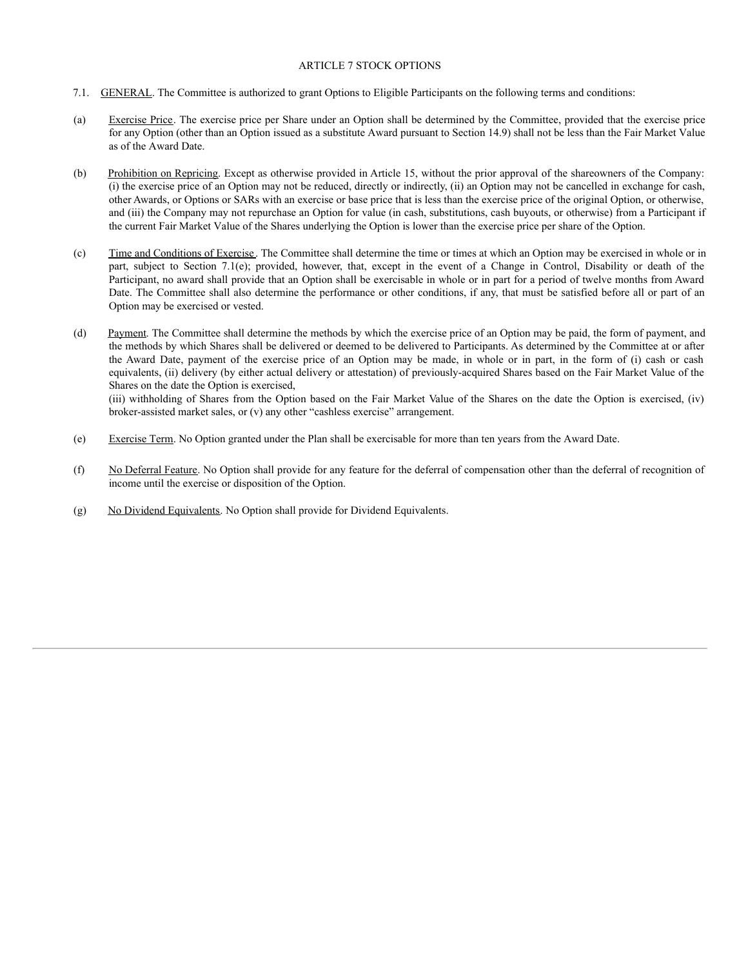## ARTICLE 7 STOCK OPTIONS

- 7.1. GENERAL. The Committee is authorized to grant Options to Eligible Participants on the following terms and conditions:
- (a) Exercise Price. The exercise price per Share under an Option shall be determined by the Committee, provided that the exercise price for any Option (other than an Option issued as a substitute Award pursuant to Section 14.9) shall not be less than the Fair Market Value as of the Award Date.
- (b) Prohibition on Repricing. Except as otherwise provided in Article 15, without the prior approval of the shareowners of the Company: (i) the exercise price of an Option may not be reduced, directly or indirectly, (ii) an Option may not be cancelled in exchange for cash, other Awards, or Options or SARs with an exercise or base price that is less than the exercise price of the original Option, or otherwise, and (iii) the Company may not repurchase an Option for value (in cash, substitutions, cash buyouts, or otherwise) from a Participant if the current Fair Market Value of the Shares underlying the Option is lower than the exercise price per share of the Option.
- (c) Time and Conditions of Exercise . The Committee shall determine the time or times at which an Option may be exercised in whole or in part, subject to Section 7.1(e); provided, however, that, except in the event of a Change in Control, Disability or death of the Participant, no award shall provide that an Option shall be exercisable in whole or in part for a period of twelve months from Award Date. The Committee shall also determine the performance or other conditions, if any, that must be satisfied before all or part of an Option may be exercised or vested.
- (d) Payment. The Committee shall determine the methods by which the exercise price of an Option may be paid, the form of payment, and the methods by which Shares shall be delivered or deemed to be delivered to Participants. As determined by the Committee at or after the Award Date, payment of the exercise price of an Option may be made, in whole or in part, in the form of (i) cash or cash equivalents, (ii) delivery (by either actual delivery or attestation) of previously-acquired Shares based on the Fair Market Value of the Shares on the date the Option is exercised, (iii) withholding of Shares from the Option based on the Fair Market Value of the Shares on the date the Option is exercised, (iv)

broker-assisted market sales, or (v) any other "cashless exercise" arrangement.

- (e) Exercise Term. No Option granted under the Plan shall be exercisable for more than ten years from the Award Date.
- (f) No Deferral Feature. No Option shall provide for any feature for the deferral of compensation other than the deferral of recognition of income until the exercise or disposition of the Option.
- (g) No Dividend Equivalents. No Option shall provide for Dividend Equivalents.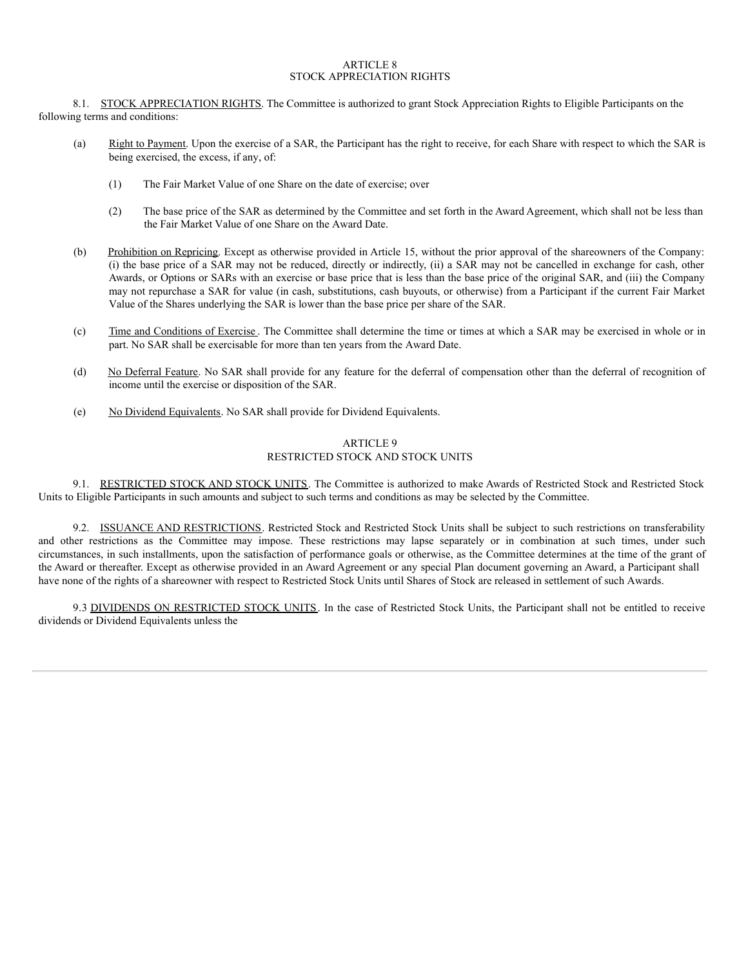## ARTICLE 8 STOCK APPRECIATION RIGHTS

8.1. STOCK APPRECIATION RIGHTS. The Committee is authorized to grant Stock Appreciation Rights to Eligible Participants on the following terms and conditions:

- (a) Right to Payment. Upon the exercise of a SAR, the Participant has the right to receive, for each Share with respect to which the SAR is being exercised, the excess, if any, of:
	- (1) The Fair Market Value of one Share on the date of exercise; over
	- (2) The base price of the SAR as determined by the Committee and set forth in the Award Agreement, which shall not be less than the Fair Market Value of one Share on the Award Date.
- (b) Prohibition on Repricing. Except as otherwise provided in Article 15, without the prior approval of the shareowners of the Company: (i) the base price of a SAR may not be reduced, directly or indirectly, (ii) a SAR may not be cancelled in exchange for cash, other Awards, or Options or SARs with an exercise or base price that is less than the base price of the original SAR, and (iii) the Company may not repurchase a SAR for value (in cash, substitutions, cash buyouts, or otherwise) from a Participant if the current Fair Market Value of the Shares underlying the SAR is lower than the base price per share of the SAR.
- (c) Time and Conditions of Exercise . The Committee shall determine the time or times at which a SAR may be exercised in whole or in part. No SAR shall be exercisable for more than ten years from the Award Date.
- (d) No Deferral Feature. No SAR shall provide for any feature for the deferral of compensation other than the deferral of recognition of income until the exercise or disposition of the SAR.
- (e) No Dividend Equivalents. No SAR shall provide for Dividend Equivalents.

# ARTICLE 9 RESTRICTED STOCK AND STOCK UNITS

9.1. RESTRICTED STOCK AND STOCK UNITS. The Committee is authorized to make Awards of Restricted Stock and Restricted Stock Units to Eligible Participants in such amounts and subject to such terms and conditions as may be selected by the Committee.

9.2. ISSUANCE AND RESTRICTIONS. Restricted Stock and Restricted Stock Units shall be subject to such restrictions on transferability and other restrictions as the Committee may impose. These restrictions may lapse separately or in combination at such times, under such circumstances, in such installments, upon the satisfaction of performance goals or otherwise, as the Committee determines at the time of the grant of the Award or thereafter. Except as otherwise provided in an Award Agreement or any special Plan document governing an Award, a Participant shall have none of the rights of a shareowner with respect to Restricted Stock Units until Shares of Stock are released in settlement of such Awards.

9.3 DIVIDENDS ON RESTRICTED STOCK UNITS. In the case of Restricted Stock Units, the Participant shall not be entitled to receive dividends or Dividend Equivalents unless the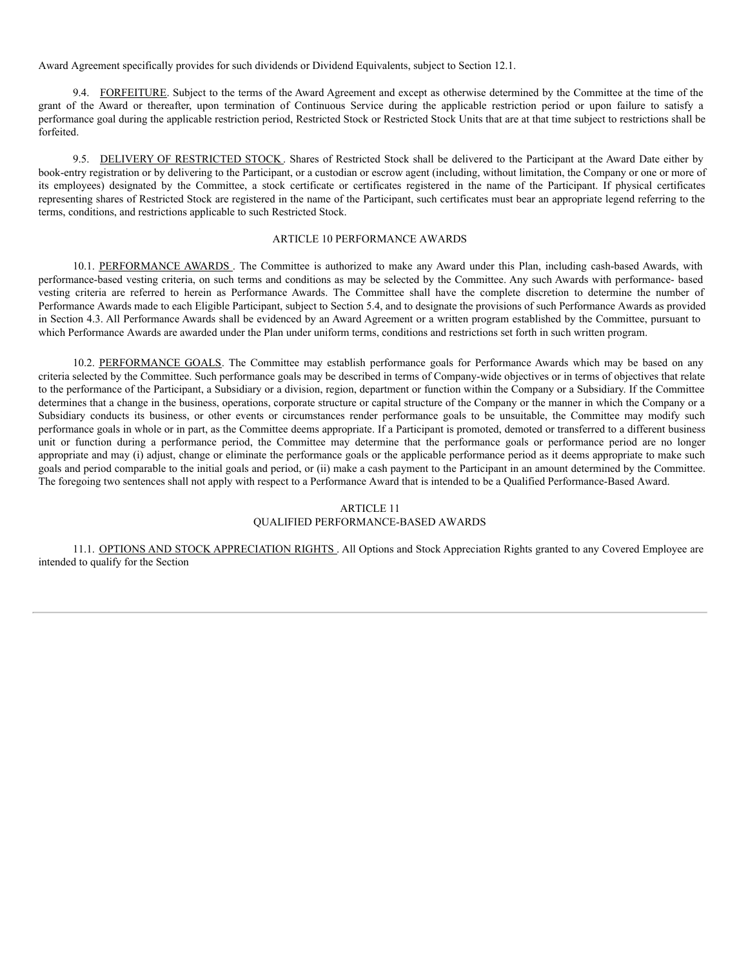Award Agreement specifically provides for such dividends or Dividend Equivalents, subject to Section 12.1.

9.4. FORFEITURE. Subject to the terms of the Award Agreement and except as otherwise determined by the Committee at the time of the grant of the Award or thereafter, upon termination of Continuous Service during the applicable restriction period or upon failure to satisfy a performance goal during the applicable restriction period, Restricted Stock or Restricted Stock Units that are at that time subject to restrictions shall be forfeited.

9.5. DELIVERY OF RESTRICTED STOCK . Shares of Restricted Stock shall be delivered to the Participant at the Award Date either by book-entry registration or by delivering to the Participant, or a custodian or escrow agent (including, without limitation, the Company or one or more of its employees) designated by the Committee, a stock certificate or certificates registered in the name of the Participant. If physical certificates representing shares of Restricted Stock are registered in the name of the Participant, such certificates must bear an appropriate legend referring to the terms, conditions, and restrictions applicable to such Restricted Stock.

## ARTICLE 10 PERFORMANCE AWARDS

10.1. PERFORMANCE AWARDS . The Committee is authorized to make any Award under this Plan, including cash-based Awards, with performance-based vesting criteria, on such terms and conditions as may be selected by the Committee. Any such Awards with performance- based vesting criteria are referred to herein as Performance Awards. The Committee shall have the complete discretion to determine the number of Performance Awards made to each Eligible Participant, subject to Section 5.4, and to designate the provisions of such Performance Awards as provided in Section 4.3. All Performance Awards shall be evidenced by an Award Agreement or a written program established by the Committee, pursuant to which Performance Awards are awarded under the Plan under uniform terms, conditions and restrictions set forth in such written program.

10.2. PERFORMANCE GOALS. The Committee may establish performance goals for Performance Awards which may be based on any criteria selected by the Committee. Such performance goals may be described in terms of Company-wide objectives or in terms of objectives that relate to the performance of the Participant, a Subsidiary or a division, region, department or function within the Company or a Subsidiary. If the Committee determines that a change in the business, operations, corporate structure or capital structure of the Company or the manner in which the Company or a Subsidiary conducts its business, or other events or circumstances render performance goals to be unsuitable, the Committee may modify such performance goals in whole or in part, as the Committee deems appropriate. If a Participant is promoted, demoted or transferred to a different business unit or function during a performance period, the Committee may determine that the performance goals or performance period are no longer appropriate and may (i) adjust, change or eliminate the performance goals or the applicable performance period as it deems appropriate to make such goals and period comparable to the initial goals and period, or (ii) make a cash payment to the Participant in an amount determined by the Committee. The foregoing two sentences shall not apply with respect to a Performance Award that is intended to be a Qualified Performance-Based Award.

# ARTICLE 11

# QUALIFIED PERFORMANCE-BASED AWARDS

11.1. OPTIONS AND STOCK APPRECIATION RIGHTS . All Options and Stock Appreciation Rights granted to any Covered Employee are intended to qualify for the Section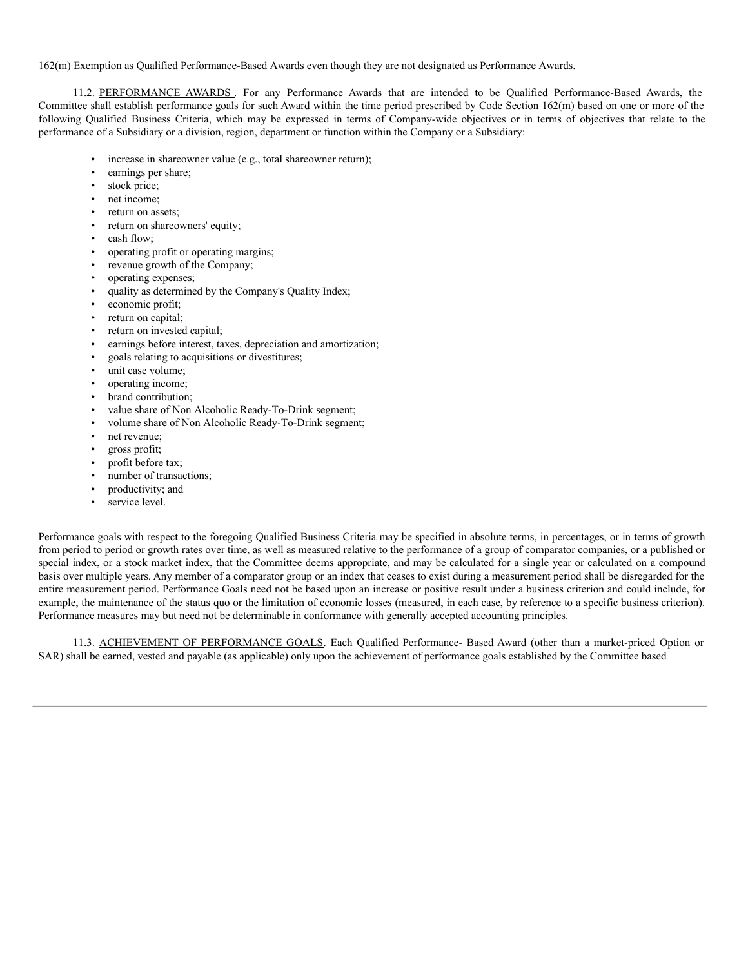<span id="page-59-0"></span>162(m) Exemption as Qualified Performance-Based Awards even though they are not designated as Performance Awards.

11.2. PERFORMANCE AWARDS . For any Performance Awards that are intended to be Qualified Performance-Based Awards, the Committee shall establish performance goals for such Award within the time period prescribed by Code Section 162(m) based on one or more of the following Qualified Business Criteria, which may be expressed in terms of Company-wide objectives or in terms of objectives that relate to the performance of a Subsidiary or a division, region, department or function within the Company or a Subsidiary:

- increase in shareowner value (e.g., total shareowner return);
- earnings per share;
- stock price;
- net income;
- return on assets;
- return on shareowners' equity;
- cash flow:
- operating profit or operating margins;
- revenue growth of the Company;
- operating expenses;
- quality as determined by the Company's Quality Index;
- economic profit;
- return on capital;
- return on invested capital;
- earnings before interest, taxes, depreciation and amortization;
- goals relating to acquisitions or divestitures;
- unit case volume;
- operating income;
- brand contribution;
- value share of Non Alcoholic Ready-To-Drink segment;
- volume share of Non Alcoholic Ready-To-Drink segment;
- net revenue;
- gross profit;
- profit before tax;
- number of transactions;
- productivity; and
- service level.

Performance goals with respect to the foregoing Qualified Business Criteria may be specified in absolute terms, in percentages, or in terms of growth from period to period or growth rates over time, as well as measured relative to the performance of a group of comparator companies, or a published or special index, or a stock market index, that the Committee deems appropriate, and may be calculated for a single year or calculated on a compound basis over multiple years. Any member of a comparator group or an index that ceases to exist during a measurement period shall be disregarded for the entire measurement period. Performance Goals need not be based upon an increase or positive result under a business criterion and could include, for example, the maintenance of the status quo or the limitation of economic losses (measured, in each case, by reference to a specific business criterion). Performance measures may but need not be determinable in conformance with generally accepted accounting principles.

11.3. ACHIEVEMENT OF PERFORMANCE GOALS. Each Qualified Performance- Based Award (other than a market-priced Option or SAR) shall be earned, vested and payable (as applicable) only upon the achievement of performance goals established by the Committee based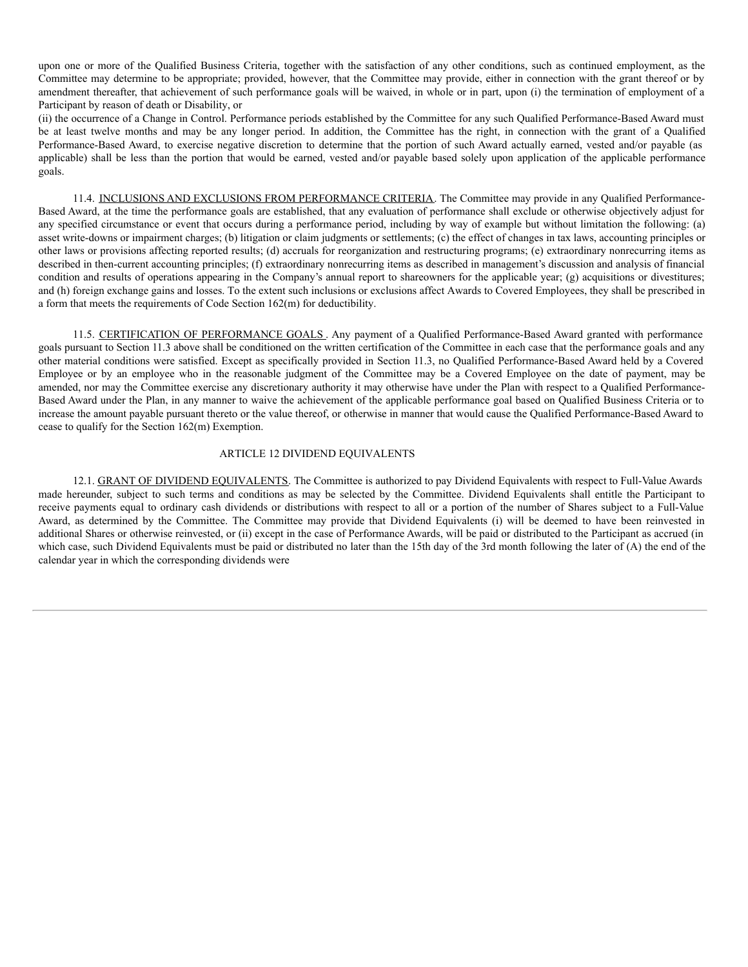upon one or more of the Qualified Business Criteria, together with the satisfaction of any other conditions, such as continued employment, as the Committee may determine to be appropriate; provided, however, that the Committee may provide, either in connection with the grant thereof or by amendment thereafter, that achievement of such performance goals will be waived, in whole or in part, upon (i) the termination of employment of a Participant by reason of death or Disability, or

(ii) the occurrence of a Change in Control. Performance periods established by the Committee for any such Qualified Performance-Based Award must be at least twelve months and may be any longer period. In addition, the Committee has the right, in connection with the grant of a Qualified Performance-Based Award, to exercise negative discretion to determine that the portion of such Award actually earned, vested and/or payable (as applicable) shall be less than the portion that would be earned, vested and/or payable based solely upon application of the applicable performance goals.

11.4. INCLUSIONS AND EXCLUSIONS FROM PERFORMANCE CRITERIA. The Committee may provide in any Qualified Performance-Based Award, at the time the performance goals are established, that any evaluation of performance shall exclude or otherwise objectively adjust for any specified circumstance or event that occurs during a performance period, including by way of example but without limitation the following: (a) asset write-downs or impairment charges; (b) litigation or claim judgments or settlements; (c) the effect of changes in tax laws, accounting principles or other laws or provisions affecting reported results; (d) accruals for reorganization and restructuring programs; (e) extraordinary nonrecurring items as described in then-current accounting principles; (f) extraordinary nonrecurring items as described in management's discussion and analysis of financial condition and results of operations appearing in the Company's annual report to shareowners for the applicable year; (g) acquisitions or divestitures; and (h) foreign exchange gains and losses. To the extent such inclusions or exclusions affect Awards to Covered Employees, they shall be prescribed in a form that meets the requirements of Code Section 162(m) for deductibility.

11.5. CERTIFICATION OF PERFORMANCE GOALS . Any payment of a Qualified Performance-Based Award granted with performance goals pursuant to Section 11.3 above shall be conditioned on the written certification of the Committee in each case that the performance goals and any other material conditions were satisfied. Except as specifically provided in Section 11.3, no Qualified Performance-Based Award held by a Covered Employee or by an employee who in the reasonable judgment of the Committee may be a Covered Employee on the date of payment, may be amended, nor may the Committee exercise any discretionary authority it may otherwise have under the Plan with respect to a Qualified Performance-Based Award under the Plan, in any manner to waive the achievement of the applicable performance goal based on Qualified Business Criteria or to increase the amount payable pursuant thereto or the value thereof, or otherwise in manner that would cause the Qualified Performance-Based Award to cease to qualify for the Section 162(m) Exemption.

## ARTICLE 12 DIVIDEND EQUIVALENTS

12.1. GRANT OF DIVIDEND EQUIVALENTS. The Committee is authorized to pay Dividend Equivalents with respect to Full-Value Awards made hereunder, subject to such terms and conditions as may be selected by the Committee. Dividend Equivalents shall entitle the Participant to receive payments equal to ordinary cash dividends or distributions with respect to all or a portion of the number of Shares subject to a Full-Value Award, as determined by the Committee. The Committee may provide that Dividend Equivalents (i) will be deemed to have been reinvested in additional Shares or otherwise reinvested, or (ii) except in the case of Performance Awards, will be paid or distributed to the Participant as accrued (in which case, such Dividend Equivalents must be paid or distributed no later than the 15th day of the 3rd month following the later of (A) the end of the calendar year in which the corresponding dividends were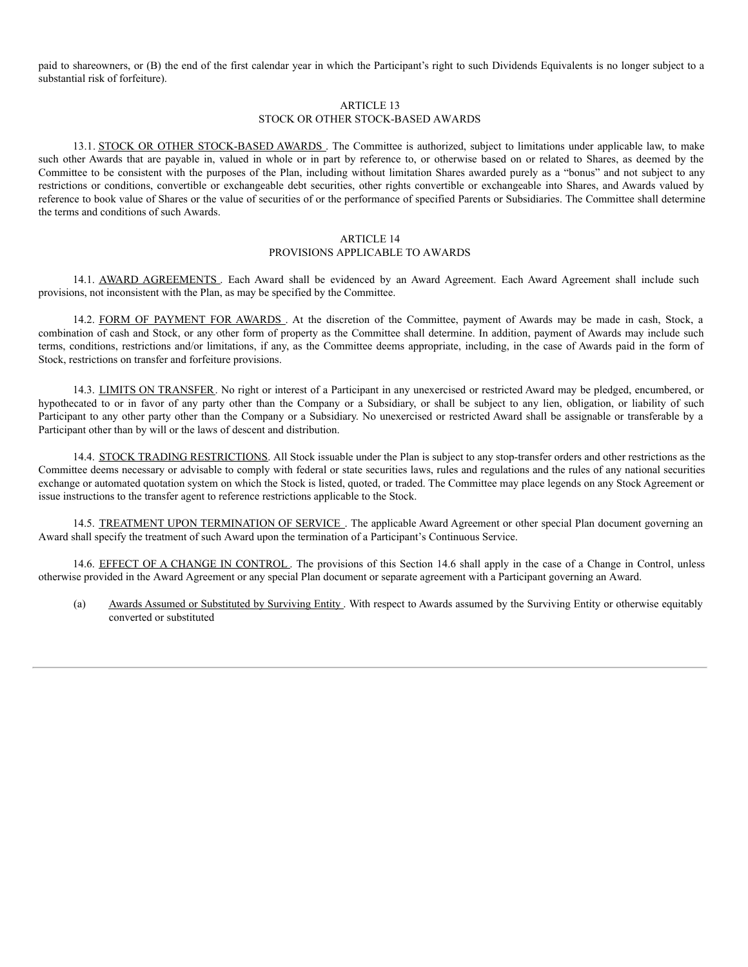paid to shareowners, or (B) the end of the first calendar year in which the Participant's right to such Dividends Equivalents is no longer subject to a substantial risk of forfeiture).

## ARTICLE 13

# STOCK OR OTHER STOCK-BASED AWARDS

13.1. STOCK OR OTHER STOCK-BASED AWARDS. The Committee is authorized, subject to limitations under applicable law, to make such other Awards that are payable in, valued in whole or in part by reference to, or otherwise based on or related to Shares, as deemed by the Committee to be consistent with the purposes of the Plan, including without limitation Shares awarded purely as a "bonus" and not subject to any restrictions or conditions, convertible or exchangeable debt securities, other rights convertible or exchangeable into Shares, and Awards valued by reference to book value of Shares or the value of securities of or the performance of specified Parents or Subsidiaries. The Committee shall determine the terms and conditions of such Awards.

# ARTICLE 14 PROVISIONS APPLICABLE TO AWARDS

14.1. AWARD AGREEMENTS . Each Award shall be evidenced by an Award Agreement. Each Award Agreement shall include such provisions, not inconsistent with the Plan, as may be specified by the Committee.

14.2. FORM OF PAYMENT FOR AWARDS. At the discretion of the Committee, payment of Awards may be made in cash, Stock, a combination of cash and Stock, or any other form of property as the Committee shall determine. In addition, payment of Awards may include such terms, conditions, restrictions and/or limitations, if any, as the Committee deems appropriate, including, in the case of Awards paid in the form of Stock, restrictions on transfer and forfeiture provisions.

14.3. LIMITS ON TRANSFER. No right or interest of a Participant in any unexercised or restricted Award may be pledged, encumbered, or hypothecated to or in favor of any party other than the Company or a Subsidiary, or shall be subject to any lien, obligation, or liability of such Participant to any other party other than the Company or a Subsidiary. No unexercised or restricted Award shall be assignable or transferable by a Participant other than by will or the laws of descent and distribution.

14.4. STOCK TRADING RESTRICTIONS. All Stock issuable under the Plan is subject to any stop-transfer orders and other restrictions as the Committee deems necessary or advisable to comply with federal or state securities laws, rules and regulations and the rules of any national securities exchange or automated quotation system on which the Stock is listed, quoted, or traded. The Committee may place legends on any Stock Agreement or issue instructions to the transfer agent to reference restrictions applicable to the Stock.

14.5. TREATMENT UPON TERMINATION OF SERVICE. The applicable Award Agreement or other special Plan document governing an Award shall specify the treatment of such Award upon the termination of a Participant's Continuous Service.

14.6. EFFECT OF A CHANGE IN CONTROL . The provisions of this Section 14.6 shall apply in the case of a Change in Control, unless otherwise provided in the Award Agreement or any special Plan document or separate agreement with a Participant governing an Award.

(a) Awards Assumed or Substituted by Surviving Entity . With respect to Awards assumed by the Surviving Entity or otherwise equitably converted or substituted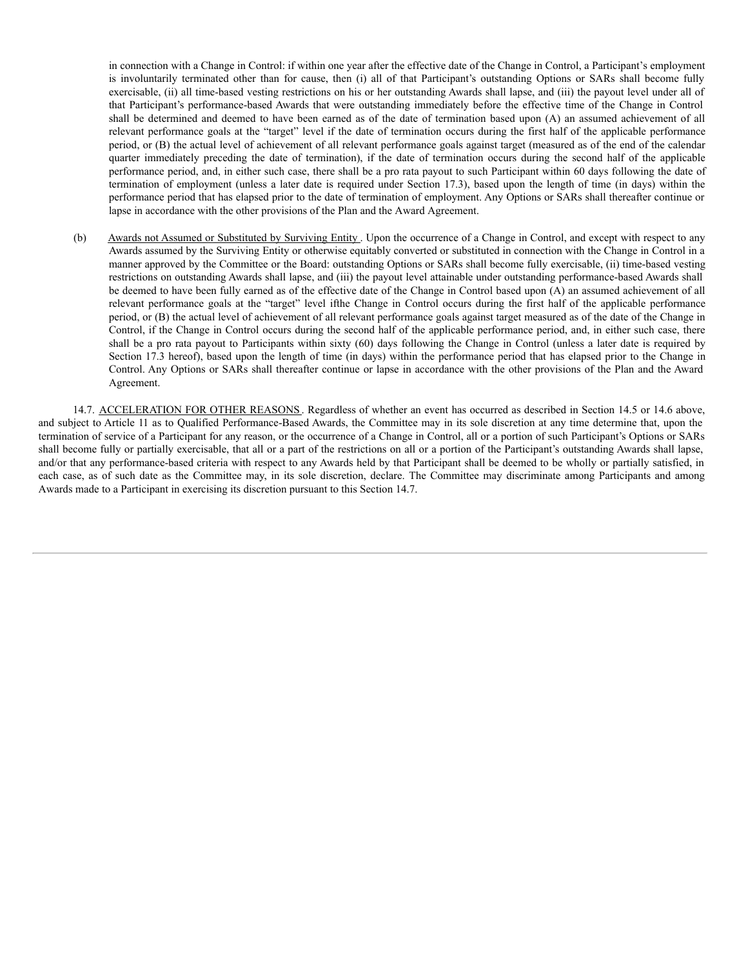in connection with a Change in Control: if within one year after the effective date of the Change in Control, a Participant's employment is involuntarily terminated other than for cause, then (i) all of that Participant's outstanding Options or SARs shall become fully exercisable, (ii) all time-based vesting restrictions on his or her outstanding Awards shall lapse, and (iii) the payout level under all of that Participant's performance-based Awards that were outstanding immediately before the effective time of the Change in Control shall be determined and deemed to have been earned as of the date of termination based upon (A) an assumed achievement of all relevant performance goals at the "target" level if the date of termination occurs during the first half of the applicable performance period, or (B) the actual level of achievement of all relevant performance goals against target (measured as of the end of the calendar quarter immediately preceding the date of termination), if the date of termination occurs during the second half of the applicable performance period, and, in either such case, there shall be a pro rata payout to such Participant within 60 days following the date of termination of employment (unless a later date is required under Section 17.3), based upon the length of time (in days) within the performance period that has elapsed prior to the date of termination of employment. Any Options or SARs shall thereafter continue or lapse in accordance with the other provisions of the Plan and the Award Agreement.

(b) Awards not Assumed or Substituted by Surviving Entity . Upon the occurrence of a Change in Control, and except with respect to any Awards assumed by the Surviving Entity or otherwise equitably converted or substituted in connection with the Change in Control in a manner approved by the Committee or the Board: outstanding Options or SARs shall become fully exercisable, (ii) time-based vesting restrictions on outstanding Awards shall lapse, and (iii) the payout level attainable under outstanding performance-based Awards shall be deemed to have been fully earned as of the effective date of the Change in Control based upon (A) an assumed achievement of all relevant performance goals at the "target" level ifthe Change in Control occurs during the first half of the applicable performance period, or (B) the actual level of achievement of all relevant performance goals against target measured as of the date of the Change in Control, if the Change in Control occurs during the second half of the applicable performance period, and, in either such case, there shall be a pro rata payout to Participants within sixty (60) days following the Change in Control (unless a later date is required by Section 17.3 hereof), based upon the length of time (in days) within the performance period that has elapsed prior to the Change in Control. Any Options or SARs shall thereafter continue or lapse in accordance with the other provisions of the Plan and the Award Agreement.

14.7. ACCELERATION FOR OTHER REASONS. Regardless of whether an event has occurred as described in Section 14.5 or 14.6 above, and subject to Article 11 as to Qualified Performance-Based Awards, the Committee may in its sole discretion at any time determine that, upon the termination of service of a Participant for any reason, or the occurrence of a Change in Control, all or a portion of such Participant's Options or SARs shall become fully or partially exercisable, that all or a part of the restrictions on all or a portion of the Participant's outstanding Awards shall lapse, and/or that any performance-based criteria with respect to any Awards held by that Participant shall be deemed to be wholly or partially satisfied, in each case, as of such date as the Committee may, in its sole discretion, declare. The Committee may discriminate among Participants and among Awards made to a Participant in exercising its discretion pursuant to this Section 14.7.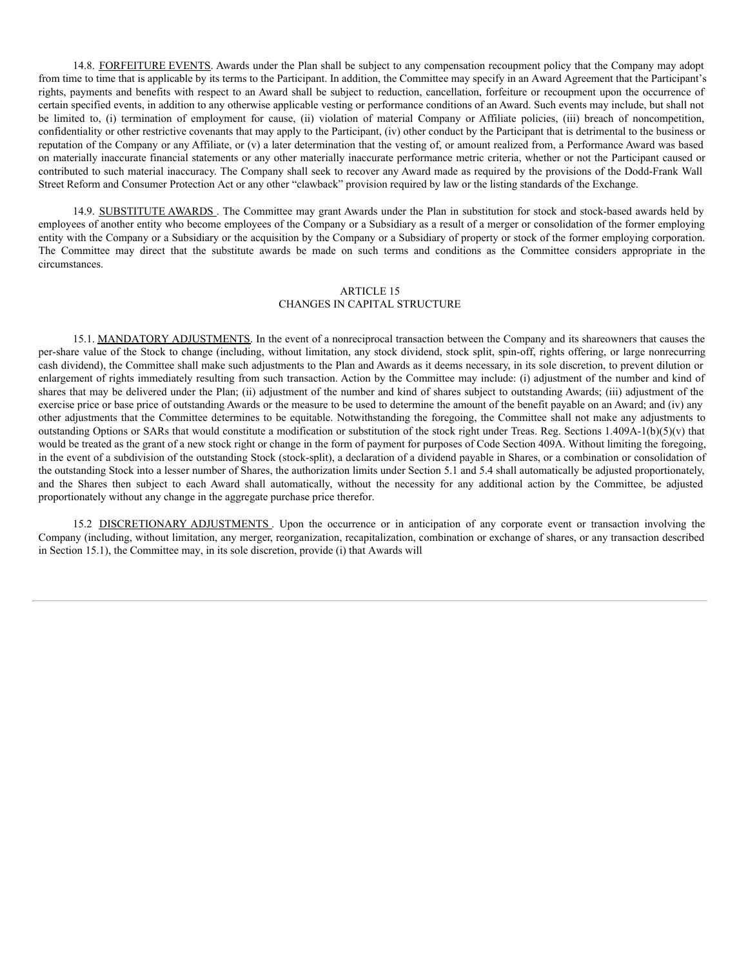14.8. FORFEITURE EVENTS. Awards under the Plan shall be subject to any compensation recoupment policy that the Company may adopt from time to time that is applicable by its terms to the Participant. In addition, the Committee may specify in an Award Agreement that the Participant's rights, payments and benefits with respect to an Award shall be subject to reduction, cancellation, forfeiture or recoupment upon the occurrence of certain specified events, in addition to any otherwise applicable vesting or performance conditions of an Award. Such events may include, but shall not be limited to, (i) termination of employment for cause, (ii) violation of material Company or Affiliate policies, (iii) breach of noncompetition, confidentiality or other restrictive covenants that may apply to the Participant, (iv) other conduct by the Participant that is detrimental to the business or reputation of the Company or any Affiliate, or (v) a later determination that the vesting of, or amount realized from, a Performance Award was based on materially inaccurate financial statements or any other materially inaccurate performance metric criteria, whether or not the Participant caused or contributed to such material inaccuracy. The Company shall seek to recover any Award made as required by the provisions of the Dodd-Frank Wall Street Reform and Consumer Protection Act or any other "clawback" provision required by law or the listing standards of the Exchange.

14.9. SUBSTITUTE AWARDS . The Committee may grant Awards under the Plan in substitution for stock and stock-based awards held by employees of another entity who become employees of the Company or a Subsidiary as a result of a merger or consolidation of the former employing entity with the Company or a Subsidiary or the acquisition by the Company or a Subsidiary of property or stock of the former employing corporation. The Committee may direct that the substitute awards be made on such terms and conditions as the Committee considers appropriate in the circumstances.

## ARTICLE 15 CHANGES IN CAPITAL STRUCTURE

15.1. MANDATORY ADJUSTMENTS. In the event of a nonreciprocal transaction between the Company and its shareowners that causes the per-share value of the Stock to change (including, without limitation, any stock dividend, stock split, spin-off, rights offering, or large nonrecurring cash dividend), the Committee shall make such adjustments to the Plan and Awards as it deems necessary, in its sole discretion, to prevent dilution or enlargement of rights immediately resulting from such transaction. Action by the Committee may include: (i) adjustment of the number and kind of shares that may be delivered under the Plan; (ii) adjustment of the number and kind of shares subject to outstanding Awards; (iii) adjustment of the exercise price or base price of outstanding Awards or the measure to be used to determine the amount of the benefit payable on an Award; and (iv) any other adjustments that the Committee determines to be equitable. Notwithstanding the foregoing, the Committee shall not make any adjustments to outstanding Options or SARs that would constitute a modification or substitution of the stock right under Treas. Reg. Sections  $1.409A-1(b)(5)(v)$  that would be treated as the grant of a new stock right or change in the form of payment for purposes of Code Section 409A. Without limiting the foregoing, in the event of a subdivision of the outstanding Stock (stock-split), a declaration of a dividend payable in Shares, or a combination or consolidation of the outstanding Stock into a lesser number of Shares, the authorization limits under Section 5.1 and 5.4 shall automatically be adjusted proportionately, and the Shares then subject to each Award shall automatically, without the necessity for any additional action by the Committee, be adjusted proportionately without any change in the aggregate purchase price therefor.

15.2 DISCRETIONARY ADJUSTMENTS . Upon the occurrence or in anticipation of any corporate event or transaction involving the Company (including, without limitation, any merger, reorganization, recapitalization, combination or exchange of shares, or any transaction described in Section 15.1), the Committee may, in its sole discretion, provide (i) that Awards will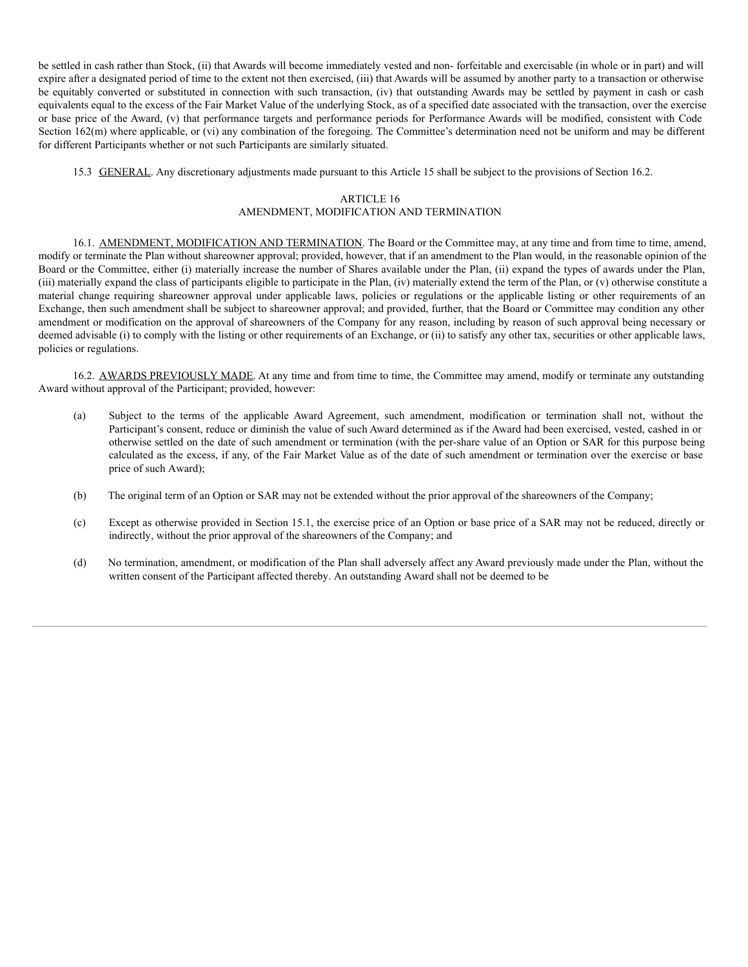be settled in cash rather than Stock, (ii) that Awards will become immediately vested and non- forfeitable and exercisable (in whole or in part) and will expire after a designated period of time to the extent not then exercised, (iii) that Awards will be assumed by another party to a transaction or otherwise be equitably converted or substituted in connection with such transaction, (iv) that outstanding Awards may be settled by payment in cash or cash equivalents equal to the excess of the Fair Market Value of the underlying Stock, as of a specified date associated with the transaction, over the exercise or base price of the Award, (v) that performance targets and performance periods for Performance Awards will be modified, consistent with Code Section 162(m) where applicable, or (vi) any combination of the foregoing. The Committee's determination need not be uniform and may be different for different Participants whether or not such Participants are similarly situated.

15.3 GENERAL. Any discretionary adjustments made pursuant to this Article 15 shall be subject to the provisions of Section 16.2.

# ARTICLE 16 AMENDMENT, MODIFICATION AND TERMINATION

16.1. AMENDMENT, MODIFICATION AND TERMINATION. The Board or the Committee may, at any time and from time to time, amend, modify or terminate the Plan without shareowner approval; provided, however, that if an amendment to the Plan would, in the reasonable opinion of the Board or the Committee, either (i) materially increase the number of Shares available under the Plan, (ii) expand the types of awards under the Plan,  $(iii)$  materially expand the class of participants eligible to participate in the Plan,  $(iv)$  materially extend the term of the Plan, or  $(v)$  otherwise constitute a material change requiring shareowner approval under applicable laws, policies or regulations or the applicable listing or other requirements of an Exchange, then such amendment shall be subject to shareowner approval; and provided, further, that the Board or Committee may condition any other amendment or modification on the approval of shareowners of the Company for any reason, including by reason of such approval being necessary or deemed advisable (i) to comply with the listing or other requirements of an Exchange, or (ii) to satisfy any other tax, securities or other applicable laws, policies or regulations.

16.2. AWARDS PREVIOUSLY MADE. At any time and from time to time, the Committee may amend, modify or terminate any outstanding Award without approval of the Participant; provided, however:

- (a) Subject to the terms of the applicable Award Agreement, such amendment, modification or termination shall not, without the Participant's consent, reduce or diminish the value of such Award determined as if the Award had been exercised, vested, cashed in or otherwise settled on the date of such amendment or termination (with the per-share value of an Option or SAR for this purpose being calculated as the excess, if any, of the Fair Market Value as of the date of such amendment or termination over the exercise or base price of such Award);
- (b) The original term of an Option or SAR may not be extended without the prior approval of the shareowners of the Company;
- (c) Except as otherwise provided in Section 15.1, the exercise price of an Option or base price of a SAR may not be reduced, directly or indirectly, without the prior approval of the shareowners of the Company; and
- (d) No termination, amendment, or modification of the Plan shall adversely affect any Award previously made under the Plan, without the written consent of the Participant affected thereby. An outstanding Award shall not be deemed to be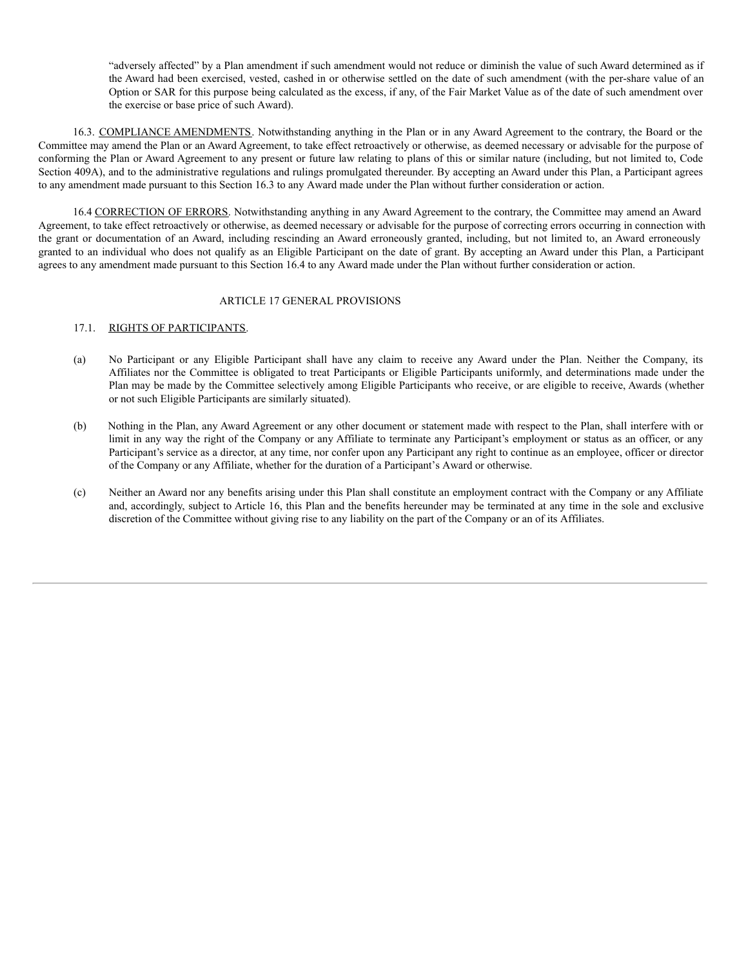"adversely affected" by a Plan amendment if such amendment would not reduce or diminish the value of such Award determined as if the Award had been exercised, vested, cashed in or otherwise settled on the date of such amendment (with the per-share value of an Option or SAR for this purpose being calculated as the excess, if any, of the Fair Market Value as of the date of such amendment over the exercise or base price of such Award).

16.3. COMPLIANCE AMENDMENTS. Notwithstanding anything in the Plan or in any Award Agreement to the contrary, the Board or the Committee may amend the Plan or an Award Agreement, to take effect retroactively or otherwise, as deemed necessary or advisable for the purpose of conforming the Plan or Award Agreement to any present or future law relating to plans of this or similar nature (including, but not limited to, Code Section 409A), and to the administrative regulations and rulings promulgated thereunder. By accepting an Award under this Plan, a Participant agrees to any amendment made pursuant to this Section 16.3 to any Award made under the Plan without further consideration or action.

16.4 CORRECTION OF ERRORS. Notwithstanding anything in any Award Agreement to the contrary, the Committee may amend an Award Agreement, to take effect retroactively or otherwise, as deemed necessary or advisable for the purpose of correcting errors occurring in connection with the grant or documentation of an Award, including rescinding an Award erroneously granted, including, but not limited to, an Award erroneously granted to an individual who does not qualify as an Eligible Participant on the date of grant. By accepting an Award under this Plan, a Participant agrees to any amendment made pursuant to this Section 16.4 to any Award made under the Plan without further consideration or action.

## ARTICLE 17 GENERAL PROVISIONS

## 17.1. RIGHTS OF PARTICIPANTS.

- (a) No Participant or any Eligible Participant shall have any claim to receive any Award under the Plan. Neither the Company, its Affiliates nor the Committee is obligated to treat Participants or Eligible Participants uniformly, and determinations made under the Plan may be made by the Committee selectively among Eligible Participants who receive, or are eligible to receive, Awards (whether or not such Eligible Participants are similarly situated).
- (b) Nothing in the Plan, any Award Agreement or any other document or statement made with respect to the Plan, shall interfere with or limit in any way the right of the Company or any Affiliate to terminate any Participant's employment or status as an officer, or any Participant's service as a director, at any time, nor confer upon any Participant any right to continue as an employee, officer or director of the Company or any Affiliate, whether for the duration of a Participant's Award or otherwise.
- (c) Neither an Award nor any benefits arising under this Plan shall constitute an employment contract with the Company or any Affiliate and, accordingly, subject to Article 16, this Plan and the benefits hereunder may be terminated at any time in the sole and exclusive discretion of the Committee without giving rise to any liability on the part of the Company or an of its Affiliates.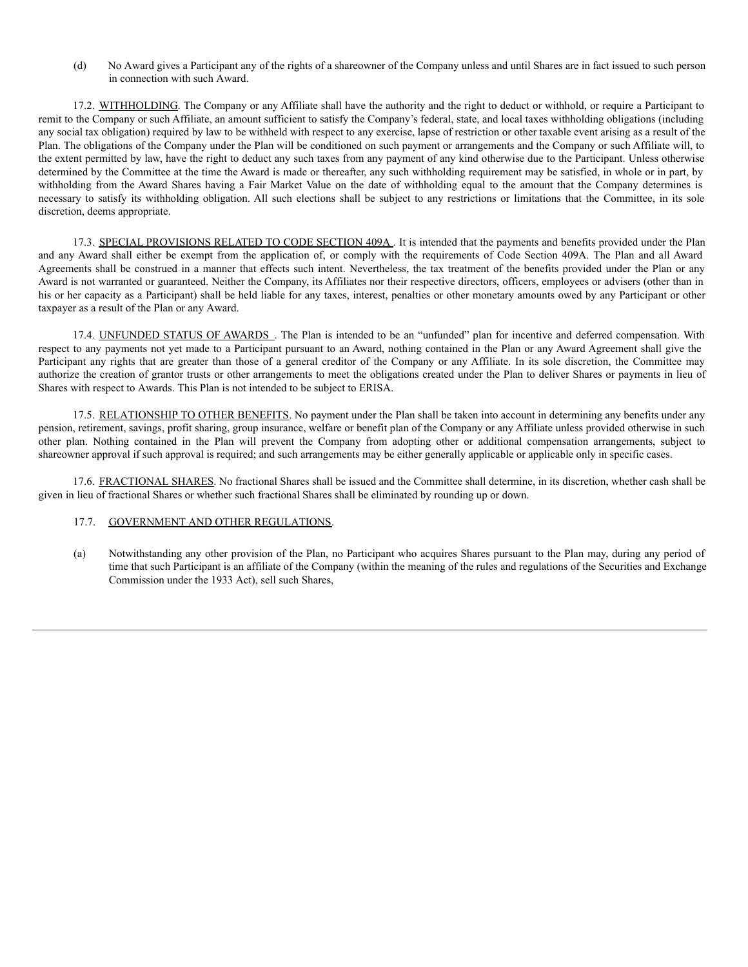(d) No Award gives a Participant any of the rights of a shareowner of the Company unless and until Shares are in fact issued to such person in connection with such Award.

17.2. WITHHOLDING. The Company or any Affiliate shall have the authority and the right to deduct or withhold, or require a Participant to remit to the Company or such Affiliate, an amount sufficient to satisfy the Company's federal, state, and local taxes withholding obligations (including any social tax obligation) required by law to be withheld with respect to any exercise, lapse of restriction or other taxable event arising as a result of the Plan. The obligations of the Company under the Plan will be conditioned on such payment or arrangements and the Company or such Affiliate will, to the extent permitted by law, have the right to deduct any such taxes from any payment of any kind otherwise due to the Participant. Unless otherwise determined by the Committee at the time the Award is made or thereafter, any such withholding requirement may be satisfied, in whole or in part, by withholding from the Award Shares having a Fair Market Value on the date of withholding equal to the amount that the Company determines is necessary to satisfy its withholding obligation. All such elections shall be subject to any restrictions or limitations that the Committee, in its sole discretion, deems appropriate.

17.3. SPECIAL PROVISIONS RELATED TO CODE SECTION 409A. It is intended that the payments and benefits provided under the Plan and any Award shall either be exempt from the application of, or comply with the requirements of Code Section 409A. The Plan and all Award Agreements shall be construed in a manner that effects such intent. Nevertheless, the tax treatment of the benefits provided under the Plan or any Award is not warranted or guaranteed. Neither the Company, its Affiliates nor their respective directors, officers, employees or advisers (other than in his or her capacity as a Participant) shall be held liable for any taxes, interest, penalties or other monetary amounts owed by any Participant or other taxpayer as a result of the Plan or any Award.

17.4. UNFUNDED STATUS OF AWARDS. The Plan is intended to be an "unfunded" plan for incentive and deferred compensation. With respect to any payments not yet made to a Participant pursuant to an Award, nothing contained in the Plan or any Award Agreement shall give the Participant any rights that are greater than those of a general creditor of the Company or any Affiliate. In its sole discretion, the Committee may authorize the creation of grantor trusts or other arrangements to meet the obligations created under the Plan to deliver Shares or payments in lieu of Shares with respect to Awards. This Plan is not intended to be subject to ERISA.

17.5. RELATIONSHIP TO OTHER BENEFITS. No payment under the Plan shall be taken into account in determining any benefits under any pension, retirement, savings, profit sharing, group insurance, welfare or benefit plan of the Company or any Affiliate unless provided otherwise in such other plan. Nothing contained in the Plan will prevent the Company from adopting other or additional compensation arrangements, subject to shareowner approval if such approval is required; and such arrangements may be either generally applicable or applicable only in specific cases.

17.6. FRACTIONAL SHARES. No fractional Shares shall be issued and the Committee shall determine, in its discretion, whether cash shall be given in lieu of fractional Shares or whether such fractional Shares shall be eliminated by rounding up or down.

# 17.7. GOVERNMENT AND OTHER REGULATIONS.

(a) Notwithstanding any other provision of the Plan, no Participant who acquires Shares pursuant to the Plan may, during any period of time that such Participant is an affiliate of the Company (within the meaning of the rules and regulations of the Securities and Exchange Commission under the 1933 Act), sell such Shares,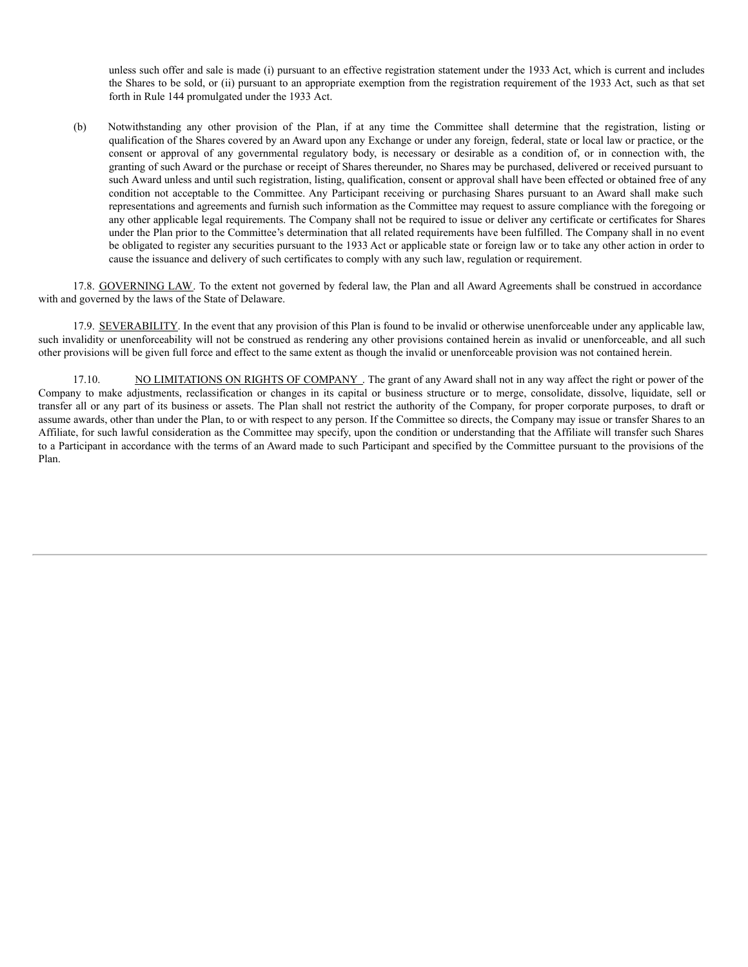unless such offer and sale is made (i) pursuant to an effective registration statement under the 1933 Act, which is current and includes the Shares to be sold, or (ii) pursuant to an appropriate exemption from the registration requirement of the 1933 Act, such as that set forth in Rule 144 promulgated under the 1933 Act.

(b) Notwithstanding any other provision of the Plan, if at any time the Committee shall determine that the registration, listing or qualification of the Shares covered by an Award upon any Exchange or under any foreign, federal, state or local law or practice, or the consent or approval of any governmental regulatory body, is necessary or desirable as a condition of, or in connection with, the granting of such Award or the purchase or receipt of Shares thereunder, no Shares may be purchased, delivered or received pursuant to such Award unless and until such registration, listing, qualification, consent or approval shall have been effected or obtained free of any condition not acceptable to the Committee. Any Participant receiving or purchasing Shares pursuant to an Award shall make such representations and agreements and furnish such information as the Committee may request to assure compliance with the foregoing or any other applicable legal requirements. The Company shall not be required to issue or deliver any certificate or certificates for Shares under the Plan prior to the Committee's determination that all related requirements have been fulfilled. The Company shall in no event be obligated to register any securities pursuant to the 1933 Act or applicable state or foreign law or to take any other action in order to cause the issuance and delivery of such certificates to comply with any such law, regulation or requirement.

17.8. GOVERNING LAW. To the extent not governed by federal law, the Plan and all Award Agreements shall be construed in accordance with and governed by the laws of the State of Delaware.

17.9. SEVERABILITY. In the event that any provision of this Plan is found to be invalid or otherwise unenforceable under any applicable law, such invalidity or unenforceability will not be construed as rendering any other provisions contained herein as invalid or unenforceable, and all such other provisions will be given full force and effect to the same extent as though the invalid or unenforceable provision was not contained herein.

17.10. NO LIMITATIONS ON RIGHTS OF COMPANY . The grant of any Award shall not in any way affect the right or power of the Company to make adjustments, reclassification or changes in its capital or business structure or to merge, consolidate, dissolve, liquidate, sell or transfer all or any part of its business or assets. The Plan shall not restrict the authority of the Company, for proper corporate purposes, to draft or assume awards, other than under the Plan, to or with respect to any person. If the Committee so directs, the Company may issue or transfer Shares to an Affiliate, for such lawful consideration as the Committee may specify, upon the condition or understanding that the Affiliate will transfer such Shares to a Participant in accordance with the terms of an Award made to such Participant and specified by the Committee pursuant to the provisions of the Plan.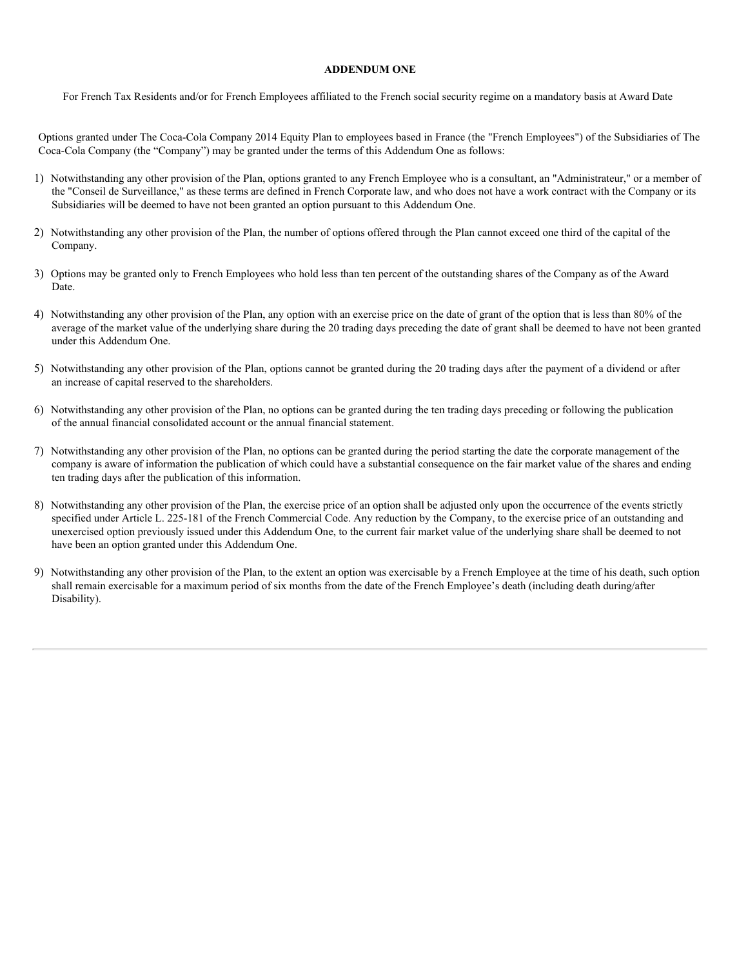## **ADDENDUM ONE**

For French Tax Residents and/or for French Employees affiliated to the French social security regime on a mandatory basis at Award Date

Options granted under The Coca-Cola Company 2014 Equity Plan to employees based in France (the "French Employees") of the Subsidiaries of The Coca-Cola Company (the "Company") may be granted under the terms of this Addendum One as follows:

- 1) Notwithstanding any other provision of the Plan, options granted to any French Employee who is a consultant, an "Administrateur," or a member of the "Conseil de Surveillance," as these terms are defined in French Corporate law, and who does not have a work contract with the Company or its Subsidiaries will be deemed to have not been granted an option pursuant to this Addendum One.
- 2) Notwithstanding any other provision of the Plan, the number of options offered through the Plan cannot exceed one third of the capital of the Company.
- 3) Options may be granted only to French Employees who hold less than ten percent of the outstanding shares of the Company as of the Award Date.
- 4) Notwithstanding any other provision of the Plan, any option with an exercise price on the date of grant of the option that is less than 80% of the average of the market value of the underlying share during the 20 trading days preceding the date of grant shall be deemed to have not been granted under this Addendum One.
- 5) Notwithstanding any other provision of the Plan, options cannot be granted during the 20 trading days after the payment of a dividend or after an increase of capital reserved to the shareholders.
- 6) Notwithstanding any other provision of the Plan, no options can be granted during the ten trading days preceding or following the publication of the annual financial consolidated account or the annual financial statement.
- 7) Notwithstanding any other provision of the Plan, no options can be granted during the period starting the date the corporate management of the company is aware of information the publication of which could have a substantial consequence on the fair market value of the shares and ending ten trading days after the publication of this information.
- 8) Notwithstanding any other provision of the Plan, the exercise price of an option shall be adjusted only upon the occurrence of the events strictly specified under Article L. 225-181 of the French Commercial Code. Any reduction by the Company, to the exercise price of an outstanding and unexercised option previously issued under this Addendum One, to the current fair market value of the underlying share shall be deemed to not have been an option granted under this Addendum One.
- 9) Notwithstanding any other provision of the Plan, to the extent an option was exercisable by a French Employee at the time of his death, such option shall remain exercisable for a maximum period of six months from the date of the French Employee's death (including death during/after Disability).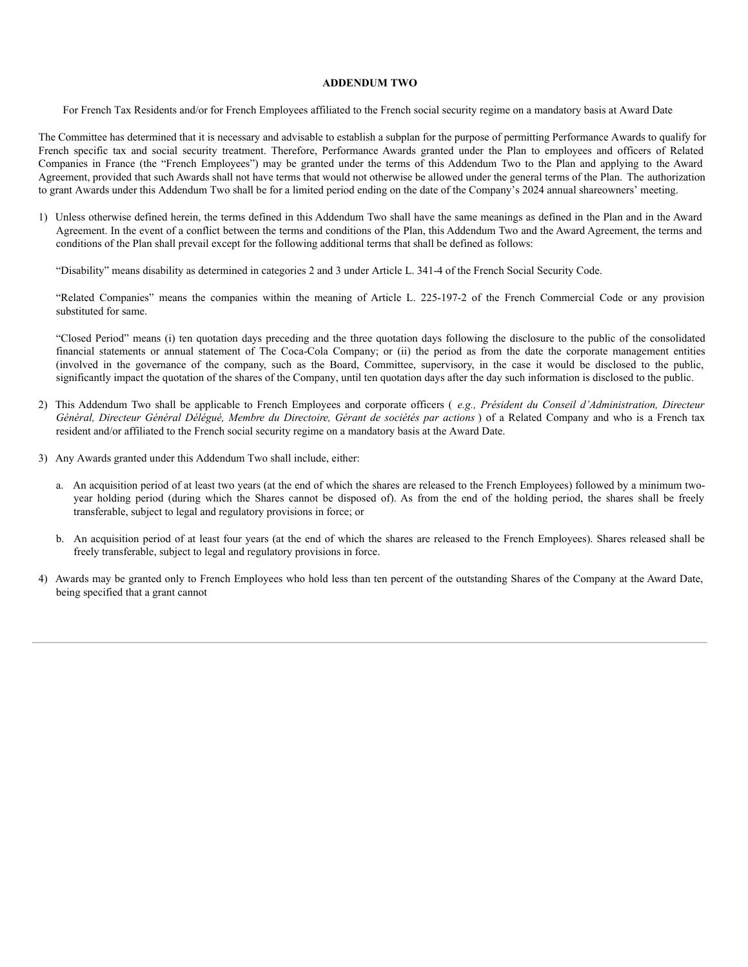## **ADDENDUM TWO**

For French Tax Residents and/or for French Employees affiliated to the French social security regime on a mandatory basis at Award Date

The Committee has determined that it is necessary and advisable to establish a subplan for the purpose of permitting Performance Awards to qualify for French specific tax and social security treatment. Therefore, Performance Awards granted under the Plan to employees and officers of Related Companies in France (the "French Employees") may be granted under the terms of this Addendum Two to the Plan and applying to the Award Agreement, provided that such Awards shall not have terms that would not otherwise be allowed under the general terms of the Plan. The authorization to grant Awards under this Addendum Two shall be for a limited period ending on the date of the Company's 2024 annual shareowners' meeting.

1) Unless otherwise defined herein, the terms defined in this Addendum Two shall have the same meanings as defined in the Plan and in the Award Agreement. In the event of a conflict between the terms and conditions of the Plan, this Addendum Two and the Award Agreement, the terms and conditions of the Plan shall prevail except for the following additional terms that shall be defined as follows:

"Disability" means disability as determined in categories 2 and 3 under Article L. 341-4 of the French Social Security Code.

"Related Companies" means the companies within the meaning of Article L. 225-197-2 of the French Commercial Code or any provision substituted for same.

"Closed Period" means (i) ten quotation days preceding and the three quotation days following the disclosure to the public of the consolidated financial statements or annual statement of The Coca-Cola Company; or (ii) the period as from the date the corporate management entities (involved in the governance of the company, such as the Board, Committee, supervisory, in the case it would be disclosed to the public, significantly impact the quotation of the shares of the Company, until ten quotation days after the day such information is disclosed to the public.

- 2) This Addendum Two shall be applicable to French Employees and corporate officers ( *e.g., Président du Conseil d'Administration, Directeur Général, Directeur Général Délégué, Membre du Directoire, Gérant de sociétés par actions* ) of a Related Company and who is a French tax resident and/or affiliated to the French social security regime on a mandatory basis at the Award Date.
- 3) Any Awards granted under this Addendum Two shall include, either:
	- a. An acquisition period of at least two years (at the end of which the shares are released to the French Employees) followed by a minimum twoyear holding period (during which the Shares cannot be disposed of). As from the end of the holding period, the shares shall be freely transferable, subject to legal and regulatory provisions in force; or
	- b. An acquisition period of at least four years (at the end of which the shares are released to the French Employees). Shares released shall be freely transferable, subject to legal and regulatory provisions in force.
- 4) Awards may be granted only to French Employees who hold less than ten percent of the outstanding Shares of the Company at the Award Date, being specified that a grant cannot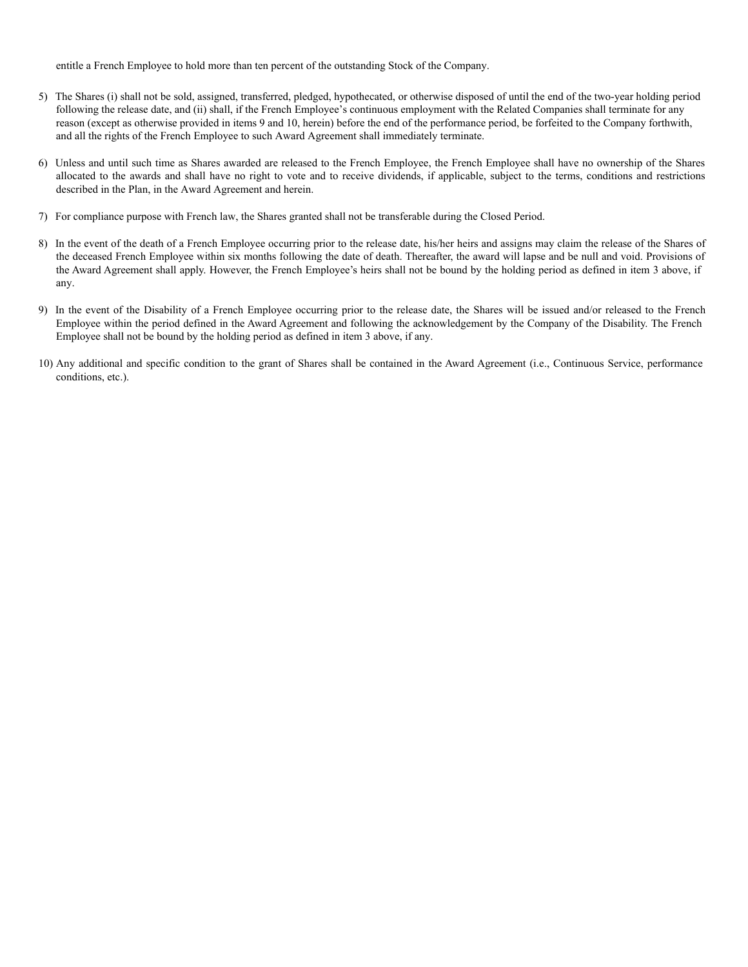entitle a French Employee to hold more than ten percent of the outstanding Stock of the Company.

- 5) The Shares (i) shall not be sold, assigned, transferred, pledged, hypothecated, or otherwise disposed of until the end of the two-year holding period following the release date, and (ii) shall, if the French Employee's continuous employment with the Related Companies shall terminate for any reason (except as otherwise provided in items 9 and 10, herein) before the end of the performance period, be forfeited to the Company forthwith, and all the rights of the French Employee to such Award Agreement shall immediately terminate.
- 6) Unless and until such time as Shares awarded are released to the French Employee, the French Employee shall have no ownership of the Shares allocated to the awards and shall have no right to vote and to receive dividends, if applicable, subject to the terms, conditions and restrictions described in the Plan, in the Award Agreement and herein.
- 7) For compliance purpose with French law, the Shares granted shall not be transferable during the Closed Period.
- 8) In the event of the death of a French Employee occurring prior to the release date, his/her heirs and assigns may claim the release of the Shares of the deceased French Employee within six months following the date of death. Thereafter, the award will lapse and be null and void. Provisions of the Award Agreement shall apply. However, the French Employee's heirs shall not be bound by the holding period as defined in item 3 above, if any.
- 9) In the event of the Disability of a French Employee occurring prior to the release date, the Shares will be issued and/or released to the French Employee within the period defined in the Award Agreement and following the acknowledgement by the Company of the Disability. The French Employee shall not be bound by the holding period as defined in item 3 above, if any.
- 10) Any additional and specific condition to the grant of Shares shall be contained in the Award Agreement (i.e., Continuous Service, performance conditions, etc.).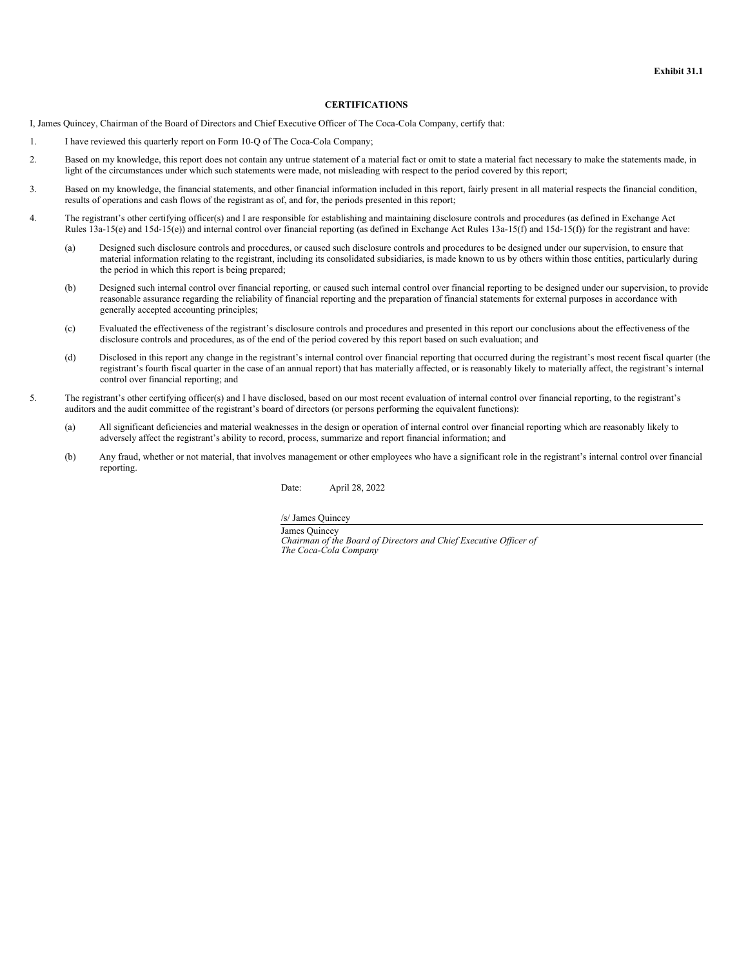### **CERTIFICATIONS**

<span id="page-71-0"></span>I, James Quincey, Chairman of the Board of Directors and Chief Executive Officer of The Coca-Cola Company, certify that:

- 1. I have reviewed this quarterly report on Form 10-Q of The Coca-Cola Company;
- 2. Based on my knowledge, this report does not contain any untrue statement of a material fact or omit to state a material fact necessary to make the statements made, in light of the circumstances under which such statements were made, not misleading with respect to the period covered by this report;
- 3. Based on my knowledge, the financial statements, and other financial information included in this report, fairly present in all material respects the financial condition, results of operations and cash flows of the registrant as of, and for, the periods presented in this report;
- 4. The registrant's other certifying officer(s) and I are responsible for establishing and maintaining disclosure controls and procedures (as defined in Exchange Act Rules  $13a-15(e)$  and  $15d-15(e)$ ) and internal control over financial reporting (as defined in Exchange Act Rules  $13a-15(f)$  and  $15d-15(f)$ ) for the registrant and have:
	- (a) Designed such disclosure controls and procedures, or caused such disclosure controls and procedures to be designed under our supervision, to ensure that material information relating to the registrant, including its consolidated subsidiaries, is made known to us by others within those entities, particularly during the period in which this report is being prepared;
	- (b) Designed such internal control over financial reporting, or caused such internal control over financial reporting to be designed under our supervision, to provide reasonable assurance regarding the reliability of financial reporting and the preparation of financial statements for external purposes in accordance with generally accepted accounting principles;
	- (c) Evaluated the effectiveness of the registrant's disclosure controls and procedures and presented in this report our conclusions about the effectiveness of the disclosure controls and procedures, as of the end of the period covered by this report based on such evaluation; and
	- (d) Disclosed in this report any change in the registrant's internal control over financial reporting that occurred during the registrant's most recent fiscal quarter (the registrant's fourth fiscal quarter in the case of an annual report) that has materially affected, or is reasonably likely to materially affect, the registrant's internal control over financial reporting; and
- 5. The registrant's other certifying officer(s) and I have disclosed, based on our most recent evaluation of internal control over financial reporting, to the registrant's auditors and the audit committee of the registrant's board of directors (or persons performing the equivalent functions):
	- (a) All significant deficiencies and material weaknesses in the design or operation of internal control over financial reporting which are reasonably likely to adversely affect the registrant's ability to record, process, summarize and report financial information; and
	- (b) Any fraud, whether or not material, that involves management or other employees who have a significant role in the registrant's internal control over financial reporting.

Date: April 28, 2022

/s/ James Quincey

James Quincey *Chairman of the Board of Directors and Chief Executive Of icer of The Coca-Cola Company*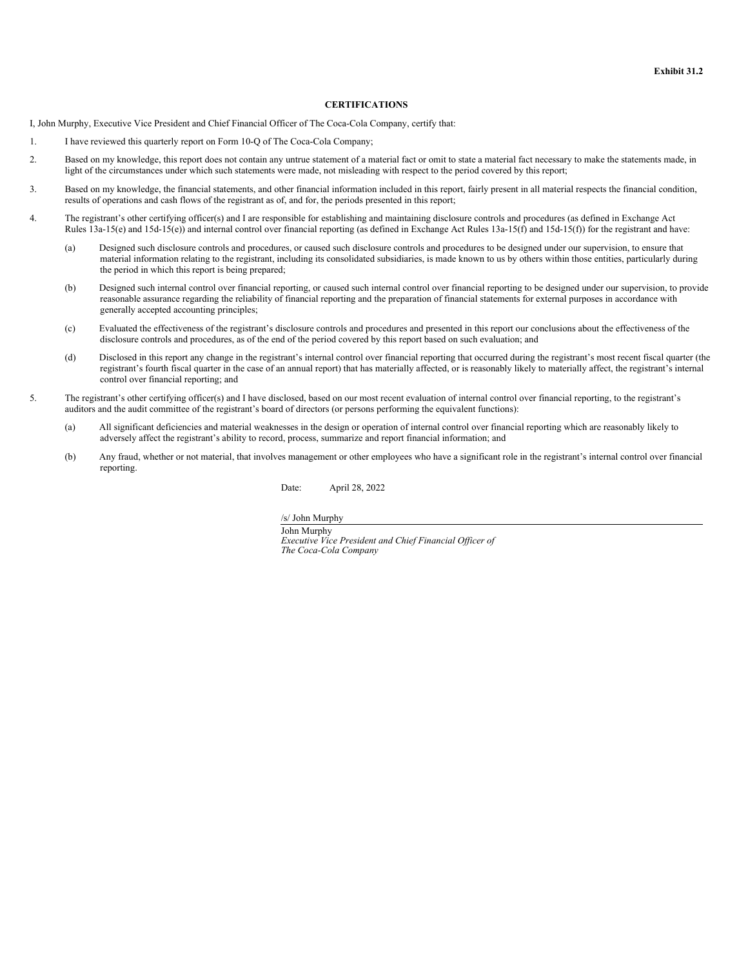## **CERTIFICATIONS**

I, John Murphy, Executive Vice President and Chief Financial Officer of The Coca-Cola Company, certify that:

- 1. I have reviewed this quarterly report on Form 10-Q of The Coca-Cola Company;
- 2. Based on my knowledge, this report does not contain any untrue statement of a material fact or omit to state a material fact necessary to make the statements made, in light of the circumstances under which such statements were made, not misleading with respect to the period covered by this report;
- 3. Based on my knowledge, the financial statements, and other financial information included in this report, fairly present in all material respects the financial condition, results of operations and cash flows of the registrant as of, and for, the periods presented in this report;
- 4. The registrant's other certifying officer(s) and I are responsible for establishing and maintaining disclosure controls and procedures (as defined in Exchange Act Rules  $13a-15(e)$  and  $15d-15(e)$ ) and internal control over financial reporting (as defined in Exchange Act Rules  $13a-15(f)$  and  $15d-15(f)$ ) for the registrant and have:
	- (a) Designed such disclosure controls and procedures, or caused such disclosure controls and procedures to be designed under our supervision, to ensure that material information relating to the registrant, including its consolidated subsidiaries, is made known to us by others within those entities, particularly during the period in which this report is being prepared;
	- (b) Designed such internal control over financial reporting, or caused such internal control over financial reporting to be designed under our supervision, to provide reasonable assurance regarding the reliability of financial reporting and the preparation of financial statements for external purposes in accordance with generally accepted accounting principles;
	- (c) Evaluated the effectiveness of the registrant's disclosure controls and procedures and presented in this report our conclusions about the effectiveness of the disclosure controls and procedures, as of the end of the period covered by this report based on such evaluation; and
	- (d) Disclosed in this report any change in the registrant's internal control over financial reporting that occurred during the registrant's most recent fiscal quarter (the registrant's fourth fiscal quarter in the case of an annual report) that has materially affected, or is reasonably likely to materially affect, the registrant's internal control over financial reporting; and
- 5. The registrant's other certifying officer(s) and I have disclosed, based on our most recent evaluation of internal control over financial reporting, to the registrant's auditors and the audit committee of the registrant's board of directors (or persons performing the equivalent functions):
	- (a) All significant deficiencies and material weaknesses in the design or operation of internal control over financial reporting which are reasonably likely to adversely affect the registrant's ability to record, process, summarize and report financial information; and
	- (b) Any fraud, whether or not material, that involves management or other employees who have a significant role in the registrant's internal control over financial reporting.

Date: April 28, 2022

/s/ John Murphy

John Murphy

*Executive Vice President and Chief Financial Of icer of The Coca-Cola Company*